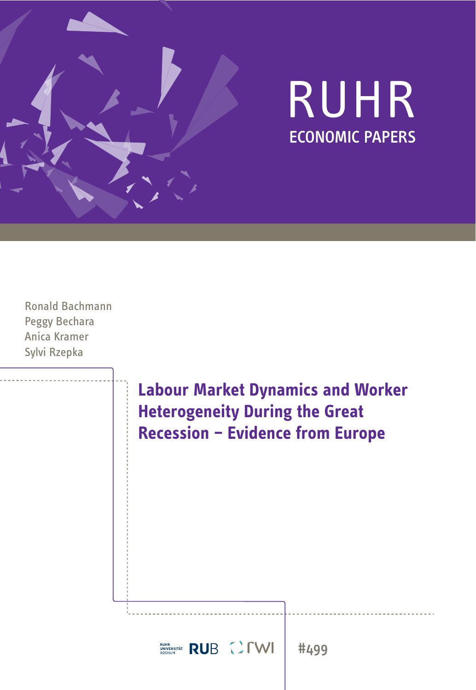

## RUHR ECONOMIC PAPERS

Ronald Bachmann Peggy Bechara Anica Kramer Sylvi Rzepka

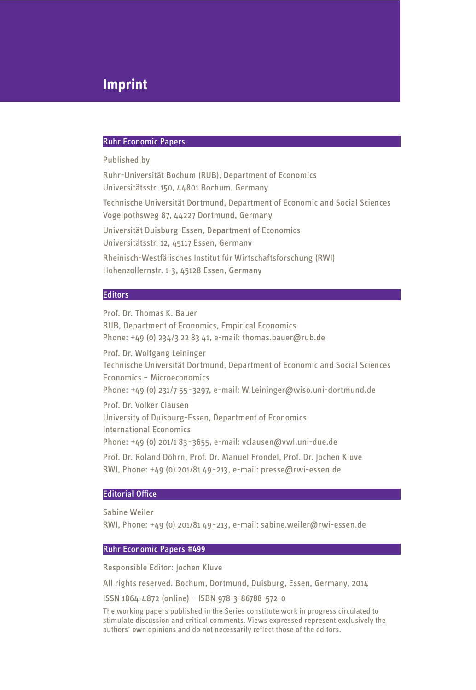### **Imprint**

#### Ruhr Economic Papers

Published by

Ruhr-Universität Bochum (RUB), Department of Economics Universitätsstr. 150, 44801 Bochum, Germany Technische Universität Dortmund, Department of Economic and Social Sciences Vogelpothsweg 87, 44227 Dortmund, Germany Universität Duisburg-Essen, Department of Economics

Universitätsstr. 12, 45117 Essen, Germany

Rheinisch-Westfälisches Institut für Wirtschaftsforschung (RWI) Hohenzollernstr. 1-3, 45128 Essen, Germany

#### **Editors**

Prof. Dr. Thomas K. Bauer RUB, Department of Economics, Empirical Economics Phone: +49 (0) 234/3 22 83 41, e-mail: thomas.bauer@rub.de Prof. Dr. Wolfgang Leininger Technische Universität Dortmund, Department of Economic and Social Sciences Economics – Microeconomics Phone: +49 (0) 231/7 55-3297, e-mail: W.Leininger@wiso.uni-dortmund.de Prof. Dr. Volker Clausen University of Duisburg-Essen, Department of Economics International Economics Phone: +49 (0) 201/1 83-3655, e-mail: vclausen@vwl.uni-due.de Prof. Dr. Roland Döhrn, Prof. Dr. Manuel Frondel, Prof. Dr. Jochen Kluve RWI, Phone: +49 (0) 201/81 49-213, e-mail: presse@rwi-essen.de

#### **Editorial Office**

Sabine Weiler

RWI, Phone: +49 (0) 201/81 49-213, e-mail: sabine.weiler@rwi-essen.de

#### Ruhr Economic Papers #499

Responsible Editor: Jochen Kluve

All rights reserved. Bochum, Dortmund, Duisburg, Essen, Germany, 2014

ISSN 1864-4872 (online) – ISBN 978-3-86788-572-0

The working papers published in the Series constitute work in progress circulated to stimulate discussion and critical comments. Views expressed represent exclusively the authors' own opinions and do not necessarily reflect those of the editors.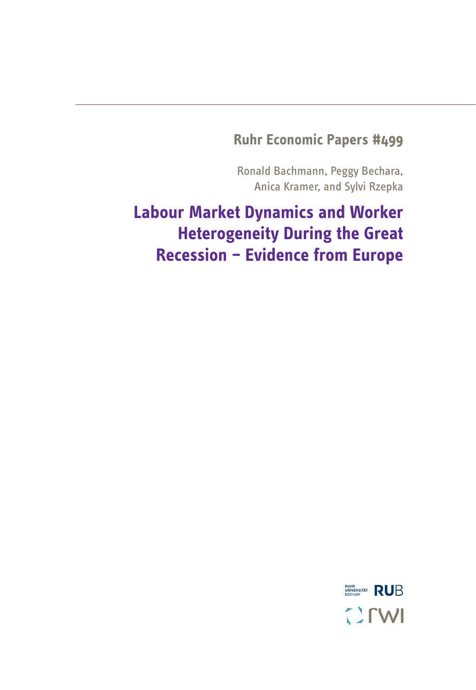### **Ruhr Economic Papers #499**

Ronald Bachmann, Peggy Bechara, Anica Kramer, and Sylvi Rzepka

## **Labour Market Dynamics and Worker Heterogeneity During the Great Recession – Evidence from Europe**

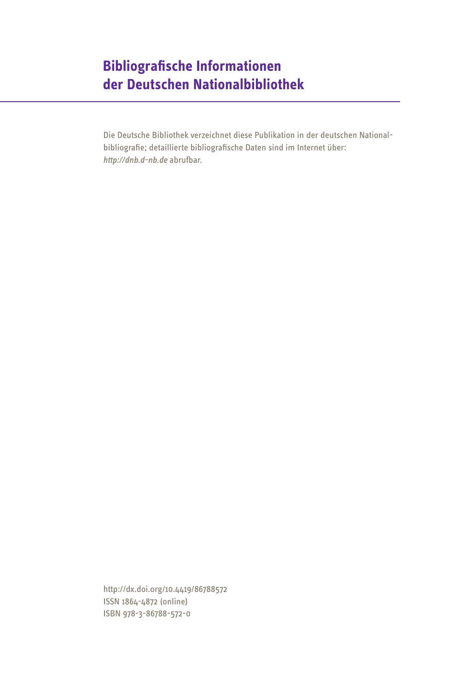### **Bibliografi sche Informationen der Deutschen Nationalbibliothek**

Die Deutsche Bibliothek verzeichnet diese Publikation in der deutschen Nationalbibliografie; detaillierte bibliografische Daten sind im Internet über: *http://dnb.d-nb.de* abrufbar.

http://dx.doi.org/10.4419/86788572 ISSN 1864-4872 (online) ISBN 978-3-86788-572-0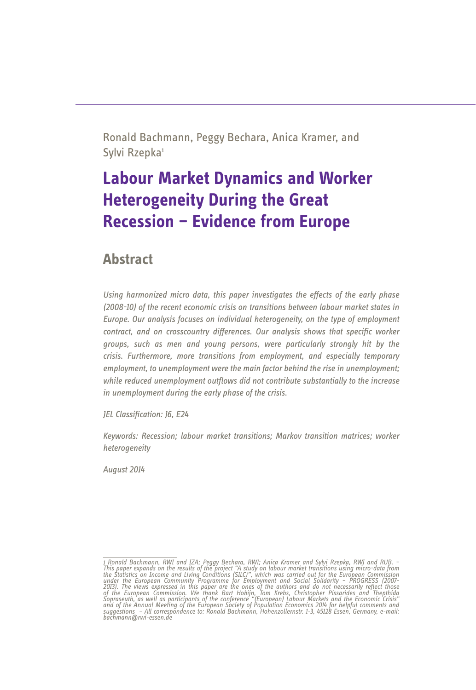Ronald Bachmann, Peggy Bechara, Anica Kramer, and Sylvi Rzepka<sup>1</sup>

### **Labour Market Dynamics and Worker Heterogeneity During the Great Recession – Evidence from Europe**

### **Abstract**

Using harmonized micro data, this paper investigates the effects of the early phase *(2008-10) of the recent economic crisis on transitions between labour market states in Europe. Our analysis focuses on individual heterogeneity, on the type of employment contract, and on crosscountry differences. Our analysis shows that specific worker groups, such as men and young persons, were particularly strongly hit by the crisis. Furthermore, more transitions from employment, and especially temporary employment, to unemployment were the main factor behind the rise in unemployment;*  while reduced unemployment outflows did not contribute substantially to the increase *in unemployment during the early phase of the crisis.*

*<i>JEL Classification: 16, E24* 

*Keywords: Recession; labour market transitions; Markov transition matrices; worker heterogeneity*

*August 2014*

<sup>1</sup> Ronald Bachmann, RWI and IZA; Peggy Bechara, RWI; Anica Kramer and Sylvi Rzepka, RWI and RUB. - This paper expands on the results of the project "A study on labour market transitions using micro-data from the Statistics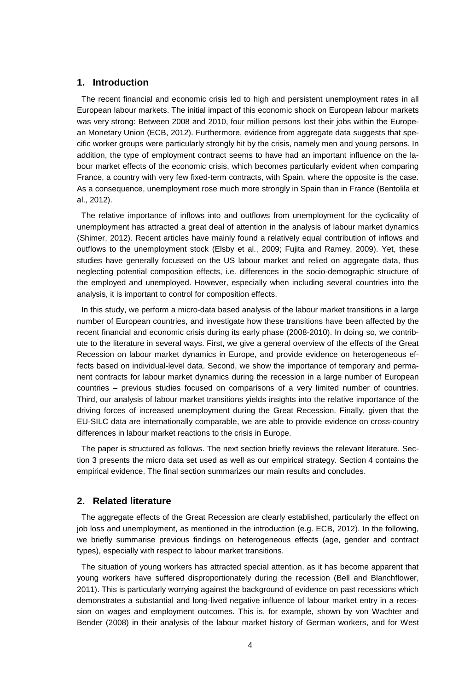#### **1. Introduction**

The recent financial and economic crisis led to high and persistent unemployment rates in all European labour markets. The initial impact of this economic shock on European labour markets was very strong: Between 2008 and 2010, four million persons lost their jobs within the European Monetary Union (ECB, 2012). Furthermore, evidence from aggregate data suggests that specific worker groups were particularly strongly hit by the crisis, namely men and young persons. In addition, the type of employment contract seems to have had an important influence on the labour market effects of the economic crisis, which becomes particularly evident when comparing France, a country with very few fixed-term contracts, with Spain, where the opposite is the case. As a consequence, unemployment rose much more strongly in Spain than in France (Bentolila et al., 2012).

The relative importance of inflows into and outflows from unemployment for the cyclicality of unemployment has attracted a great deal of attention in the analysis of labour market dynamics (Shimer, 2012). Recent articles have mainly found a relatively equal contribution of inflows and outflows to the unemployment stock (Elsby et al., 2009; Fujita and Ramey, 2009). Yet, these studies have generally focussed on the US labour market and relied on aggregate data, thus neglecting potential composition effects, i.e. differences in the socio-demographic structure of the employed and unemployed. However, especially when including several countries into the analysis, it is important to control for composition effects.

In this study, we perform a micro-data based analysis of the labour market transitions in a large number of European countries, and investigate how these transitions have been affected by the recent financial and economic crisis during its early phase (2008-2010). In doing so, we contribute to the literature in several ways. First, we give a general overview of the effects of the Great Recession on labour market dynamics in Europe, and provide evidence on heterogeneous effects based on individual-level data. Second, we show the importance of temporary and permanent contracts for labour market dynamics during the recession in a large number of European countries – previous studies focused on comparisons of a very limited number of countries. Third, our analysis of labour market transitions yields insights into the relative importance of the driving forces of increased unemployment during the Great Recession. Finally, given that the EU-SILC data are internationally comparable, we are able to provide evidence on cross-country differences in labour market reactions to the crisis in Europe.

The paper is structured as follows. The next section briefly reviews the relevant literature. Section 3 presents the micro data set used as well as our empirical strategy. Section 4 contains the empirical evidence. The final section summarizes our main results and concludes.

#### **2. Related literature**

The aggregate effects of the Great Recession are clearly established, particularly the effect on job loss and unemployment, as mentioned in the introduction (e.g. ECB, 2012). In the following, we briefly summarise previous findings on heterogeneous effects (age, gender and contract types), especially with respect to labour market transitions.

The situation of young workers has attracted special attention, as it has become apparent that young workers have suffered disproportionately during the recession (Bell and Blanchflower, 2011). This is particularly worrying against the background of evidence on past recessions which demonstrates a substantial and long-lived negative influence of labour market entry in a recession on wages and employment outcomes. This is, for example, shown by von Wachter and Bender (2008) in their analysis of the labour market history of German workers, and for West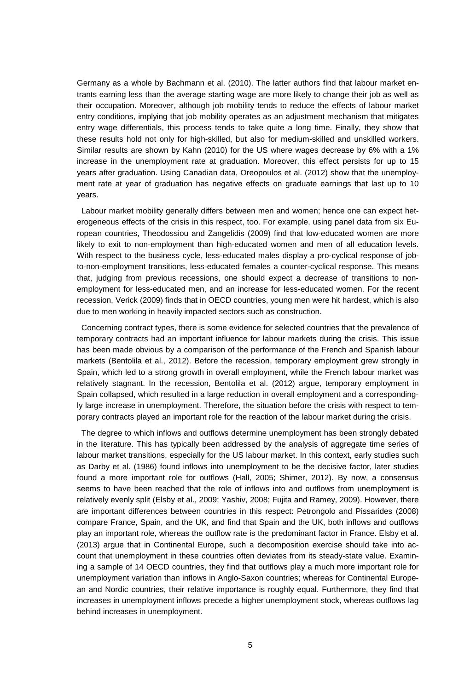Germany as a whole by Bachmann et al. (2010). The latter authors find that labour market entrants earning less than the average starting wage are more likely to change their job as well as their occupation. Moreover, although job mobility tends to reduce the effects of labour market entry conditions, implying that job mobility operates as an adjustment mechanism that mitigates entry wage differentials, this process tends to take quite a long time. Finally, they show that these results hold not only for high-skilled, but also for medium-skilled and unskilled workers. Similar results are shown by Kahn (2010) for the US where wages decrease by 6% with a 1% increase in the unemployment rate at graduation. Moreover, this effect persists for up to 15 years after graduation. Using Canadian data, Oreopoulos et al. (2012) show that the unemployment rate at year of graduation has negative effects on graduate earnings that last up to 10 years.

Labour market mobility generally differs between men and women; hence one can expect heterogeneous effects of the crisis in this respect, too. For example, using panel data from six European countries, Theodossiou and Zangelidis (2009) find that low-educated women are more likely to exit to non-employment than high-educated women and men of all education levels. With respect to the business cycle, less-educated males display a pro-cyclical response of jobto-non-employment transitions, less-educated females a counter-cyclical response. This means that, judging from previous recessions, one should expect a decrease of transitions to nonemployment for less-educated men, and an increase for less-educated women. For the recent recession, Verick (2009) finds that in OECD countries, young men were hit hardest, which is also due to men working in heavily impacted sectors such as construction.

Concerning contract types, there is some evidence for selected countries that the prevalence of temporary contracts had an important influence for labour markets during the crisis. This issue has been made obvious by a comparison of the performance of the French and Spanish labour markets (Bentolila et al., 2012). Before the recession, temporary employment grew strongly in Spain, which led to a strong growth in overall employment, while the French labour market was relatively stagnant. In the recession, Bentolila et al. (2012) argue, temporary employment in Spain collapsed, which resulted in a large reduction in overall employment and a correspondingly large increase in unemployment. Therefore, the situation before the crisis with respect to temporary contracts played an important role for the reaction of the labour market during the crisis.

The degree to which inflows and outflows determine unemployment has been strongly debated in the literature. This has typically been addressed by the analysis of aggregate time series of labour market transitions, especially for the US labour market. In this context, early studies such as Darby et al. (1986) found inflows into unemployment to be the decisive factor, later studies found a more important role for outflows (Hall, 2005; Shimer, 2012). By now, a consensus seems to have been reached that the role of inflows into and outflows from unemployment is relatively evenly split (Elsby et al., 2009; Yashiv, 2008; Fujita and Ramey, 2009). However, there are important differences between countries in this respect: Petrongolo and Pissarides (2008) compare France, Spain, and the UK, and find that Spain and the UK, both inflows and outflows play an important role, whereas the outflow rate is the predominant factor in France. Elsby et al. (2013) argue that in Continental Europe, such a decomposition exercise should take into account that unemployment in these countries often deviates from its steady-state value. Examining a sample of 14 OECD countries, they find that outflows play a much more important role for unemployment variation than inflows in Anglo-Saxon countries; whereas for Continental European and Nordic countries, their relative importance is roughly equal. Furthermore, they find that increases in unemployment inflows precede a higher unemployment stock, whereas outflows lag behind increases in unemployment.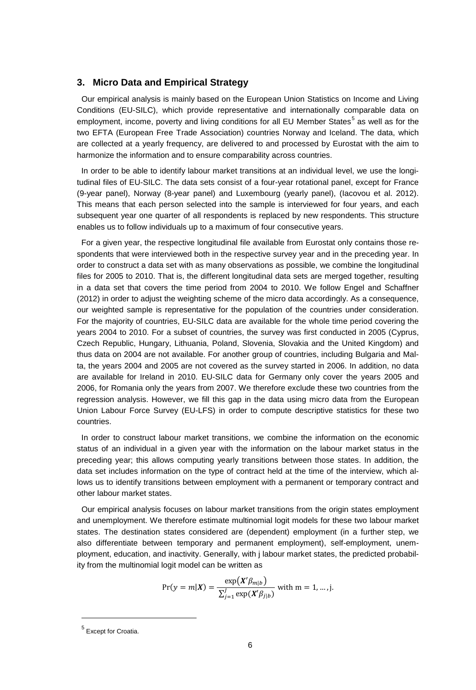#### **3. Micro Data and Empirical Strategy**

Our empirical analysis is mainly based on the European Union Statistics on Income and Living Conditions (EU-SILC), which provide representative and internationally comparable data on employment, income, poverty and living conditions for all EU Member States<sup>5</sup> as well as for the two EFTA (European Free Trade Association) countries Norway and Iceland. The data, which are collected at a yearly frequency, are delivered to and processed by Eurostat with the aim to harmonize the information and to ensure comparability across countries.

In order to be able to identify labour market transitions at an individual level, we use the longitudinal files of EU-SILC. The data sets consist of a four-year rotational panel, except for France (9-year panel), Norway (8-year panel) and Luxembourg (yearly panel), (Iacovou et al. 2012). This means that each person selected into the sample is interviewed for four years, and each subsequent year one quarter of all respondents is replaced by new respondents. This structure enables us to follow individuals up to a maximum of four consecutive years.

For a given year, the respective longitudinal file available from Eurostat only contains those respondents that were interviewed both in the respective survey year and in the preceding year. In order to construct a data set with as many observations as possible, we combine the longitudinal files for 2005 to 2010. That is, the different longitudinal data sets are merged together, resulting in a data set that covers the time period from 2004 to 2010. We follow Engel and Schaffner (2012) in order to adjust the weighting scheme of the micro data accordingly. As a consequence, our weighted sample is representative for the population of the countries under consideration. For the majority of countries, EU-SILC data are available for the whole time period covering the years 2004 to 2010. For a subset of countries, the survey was first conducted in 2005 (Cyprus, Czech Republic, Hungary, Lithuania, Poland, Slovenia, Slovakia and the United Kingdom) and thus data on 2004 are not available. For another group of countries, including Bulgaria and Malta, the years 2004 and 2005 are not covered as the survey started in 2006. In addition, no data are available for Ireland in 2010. EU-SILC data for Germany only cover the years 2005 and 2006, for Romania only the years from 2007. We therefore exclude these two countries from the regression analysis. However, we fill this gap in the data using micro data from the European Union Labour Force Survey (EU-LFS) in order to compute descriptive statistics for these two countries.

In order to construct labour market transitions, we combine the information on the economic status of an individual in a given year with the information on the labour market status in the preceding year; this allows computing yearly transitions between those states. In addition, the data set includes information on the type of contract held at the time of the interview, which allows us to identify transitions between employment with a permanent or temporary contract and other labour market states.

Our empirical analysis focuses on labour market transitions from the origin states employment and unemployment. We therefore estimate multinomial logit models for these two labour market states. The destination states considered are (dependent) employment (in a further step, we also differentiate between temporary and permanent employment), self-employment, unemployment, education, and inactivity. Generally, with j labour market states, the predicted probability from the multinomial logit model can be written as

$$
Pr(y = m | X) = \frac{\exp(X'\beta_{m|b})}{\sum_{j=1}^{J} \exp(X'\beta_{j|b})}
$$
 with m = 1, ..., j.

<sup>5</sup> Except for Croatia.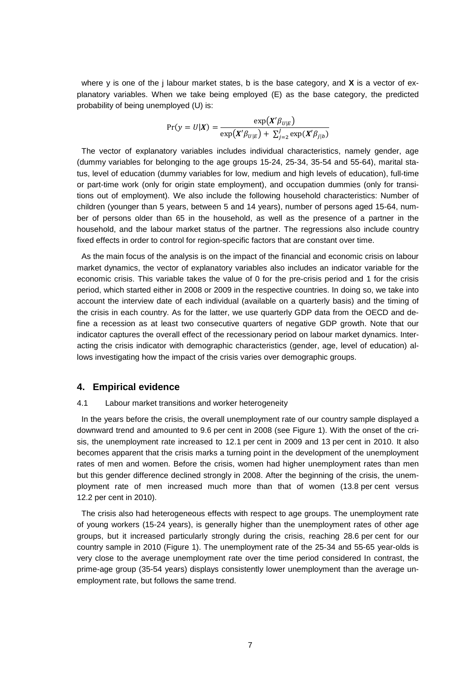where y is one of the j labour market states, b is the base category, and **X** is a vector of explanatory variables. When we take being employed (E) as the base category, the predicted probability of being unemployed (U) is:

$$
Pr(y = U|X) = \frac{\exp(X'\beta_{U|E})}{\exp(X'\beta_{U|E}) + \sum_{j=2}^{I} \exp(X'\beta_{j|b})}
$$

The vector of explanatory variables includes individual characteristics, namely gender, age (dummy variables for belonging to the age groups 15-24, 25-34, 35-54 and 55-64), marital status, level of education (dummy variables for low, medium and high levels of education), full-time or part-time work (only for origin state employment), and occupation dummies (only for transitions out of employment). We also include the following household characteristics: Number of children (younger than 5 years, between 5 and 14 years), number of persons aged 15-64, number of persons older than 65 in the household, as well as the presence of a partner in the household, and the labour market status of the partner. The regressions also include country fixed effects in order to control for region-specific factors that are constant over time.

As the main focus of the analysis is on the impact of the financial and economic crisis on labour market dynamics, the vector of explanatory variables also includes an indicator variable for the economic crisis. This variable takes the value of 0 for the pre-crisis period and 1 for the crisis period, which started either in 2008 or 2009 in the respective countries. In doing so, we take into account the interview date of each individual (available on a quarterly basis) and the timing of the crisis in each country. As for the latter, we use quarterly GDP data from the OECD and define a recession as at least two consecutive quarters of negative GDP growth. Note that our indicator captures the overall effect of the recessionary period on labour market dynamics. Interacting the crisis indicator with demographic characteristics (gender, age, level of education) allows investigating how the impact of the crisis varies over demographic groups.

#### **4. Empirical evidence**

#### 4.1 Labour market transitions and worker heterogeneity

In the years before the crisis, the overall unemployment rate of our country sample displayed a downward trend and amounted to 9.6 per cent in 2008 (see Figure 1). With the onset of the crisis, the unemployment rate increased to 12.1 per cent in 2009 and 13 per cent in 2010. It also becomes apparent that the crisis marks a turning point in the development of the unemployment rates of men and women. Before the crisis, women had higher unemployment rates than men but this gender difference declined strongly in 2008. After the beginning of the crisis, the unemployment rate of men increased much more than that of women (13.8 per cent versus 12.2 per cent in 2010).

The crisis also had heterogeneous effects with respect to age groups. The unemployment rate of young workers (15-24 years), is generally higher than the unemployment rates of other age groups, but it increased particularly strongly during the crisis, reaching 28.6 per cent for our country sample in 2010 (Figure 1). The unemployment rate of the 25-34 and 55-65 year-olds is very close to the average unemployment rate over the time period considered In contrast, the prime-age group (35-54 years) displays consistently lower unemployment than the average unemployment rate, but follows the same trend.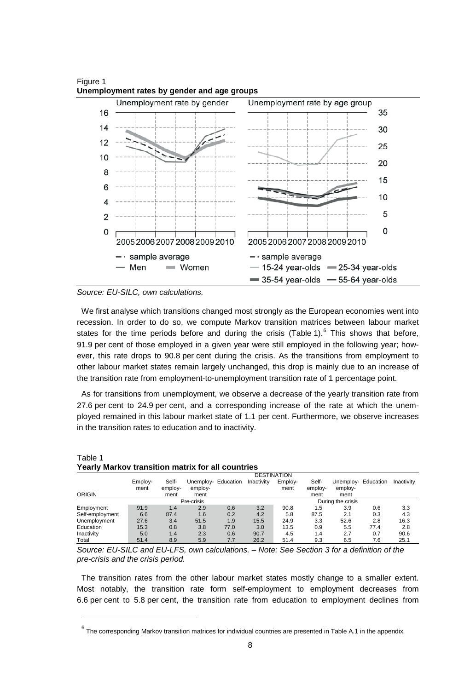

Figure 1 **Unemployment rates by gender and age groups**



We first analyse which transitions changed most strongly as the European economies went into recession. In order to do so, we compute Markov transition matrices between labour market states for the time periods before and during the crisis (Table 1).<sup>6</sup> This shows that before, 91.9 per cent of those employed in a given year were still employed in the following year; however, this rate drops to 90.8 per cent during the crisis. As the transitions from employment to other labour market states remain largely unchanged, this drop is mainly due to an increase of the transition rate from employment-to-unemployment transition rate of 1 percentage point.

As for transitions from unemployment, we observe a decrease of the yearly transition rate from 27.6 per cent to 24.9 per cent, and a corresponding increase of the rate at which the unemployed remained in this labour market state of 1.1 per cent. Furthermore, we observe increases in the transition rates to education and to inactivity.

|                 |                 | <b>DESTINATION</b>       |                                        |      |            |                 |                          |                                        |      |            |
|-----------------|-----------------|--------------------------|----------------------------------------|------|------------|-----------------|--------------------------|----------------------------------------|------|------------|
| ORIGIN          | Employ-<br>ment | Self-<br>employ-<br>ment | Unemploy- Education<br>employ-<br>ment |      | Inactivity | Employ-<br>ment | Self-<br>employ-<br>ment | Unemploy- Education<br>employ-<br>ment |      | Inactivity |
|                 |                 |                          | Pre-crisis                             |      |            |                 |                          | During the crisis                      |      |            |
| Employment      | 91.9            | 1.4                      | 2.9                                    | 0.6  | 3.2        | 90.8            | 1.5                      | 3.9                                    | 0.6  | 3.3        |
| Self-employment | 6.6             | 87.4                     | 1.6                                    | 0.2  | 4.2        | 5.8             | 87.5                     | 2.1                                    | 0.3  | 4.3        |
| Unemployment    | 27.6            | 3.4                      | 51.5                                   | 1.9  | 15.5       | 24.9            | 3.3                      | 52.6                                   | 2.8  | 16.3       |
| Education       | 15.3            | 0.8                      | 3.8                                    | 77.0 | 3.0        | 13.5            | 0.9                      | 5.5                                    | 77.4 | 2.8        |
| Inactivity      | 5.0             | 1.4                      | 2.3                                    | 0.6  | 90.7       | 4.5             | 1.4                      | 2.7                                    | 0.7  | 90.6       |
| Total           | 51.4            | 8.9                      | 5.9                                    | 7.7  | 26.2       | 51.4            | 9.3                      | 6.5                                    | 7.6  | 25.1       |

#### Table 1 **Yearly Markov transition matrix for all countries**

*Source: EU-SILC and EU-LFS, own calculations. – Note: See Section 3 for a definition of the pre-crisis and the crisis period.*

The transition rates from the other labour market states mostly change to a smaller extent. Most notably, the transition rate form self-employment to employment decreases from 6.6 per cent to 5.8 per cent, the transition rate from education to employment declines from

 $6$  The corresponding Markov transition matrices for individual countries are presented in Table A.1 in the appendix.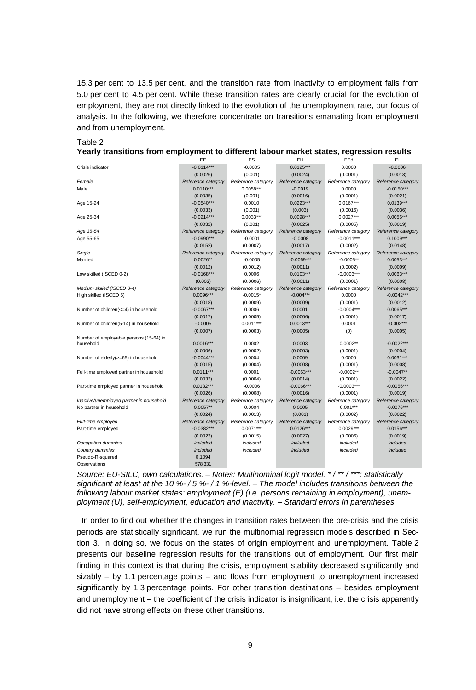15.3 per cent to 13.5 per cent, and the transition rate from inactivity to employment falls from 5.0 per cent to 4.5 per cent. While these transition rates are clearly crucial for the evolution of employment, they are not directly linked to the evolution of the unemployment rate, our focus of analysis. In the following, we therefore concentrate on transitions emanating from employment and from unemployment.

#### Table 2

| Yearly transitions from employment to different labour market states, regression results |
|------------------------------------------------------------------------------------------|
|------------------------------------------------------------------------------------------|

|                                          | EE                                 | ES                                | EU                                | EEd                               | EI                                |
|------------------------------------------|------------------------------------|-----------------------------------|-----------------------------------|-----------------------------------|-----------------------------------|
| Crisis indicator                         | $-0.0114***$                       | $-0.0005$                         | $0.0125***$                       | 0.0000                            | $-0.0006$                         |
|                                          | (0.0026)                           | (0.001)                           | (0.0024)                          | (0.0001)                          | (0.0013)                          |
| Female                                   | Reference category                 | Reference category                | Reference category                | Reference category                | Reference category                |
| Male                                     | $0.0110***$                        | 0.0058***                         | $-0.0019$                         | 0.0000                            | $-0.0150***$                      |
|                                          | (0.0035)                           | (0.001)                           | (0.0016)                          | (0.0001)                          | (0.0021)                          |
| Age 15-24                                | $-0.0540***$                       | 0.0010                            | $0.0223***$                       | $0.0167***$                       | $0.0139***$                       |
|                                          | (0.0033)                           | (0.001)                           | (0.003)                           | (0.0016)                          | (0.0036)                          |
| Age 25-34                                | $-0.0214***$                       | $0.0033***$                       | $0.0098***$                       | $0.0027***$                       | $0.0056***$                       |
|                                          | (0.0032)                           | (0.001)                           | (0.0025)                          | (0.0005)                          | (0.0019)                          |
| Age 35-54                                | Reference category                 | Reference category                | Reference category                | Reference category                | Reference category                |
| Age 55-65                                | $-0.0990***$                       | $-0.0001$                         | $-0.0008$                         | $-0.0011***$                      | $0.1009***$                       |
|                                          | (0.0152)                           | (0.0007)                          | (0.0017)                          | (0.0002)                          | (0.0148)                          |
| Single                                   | Reference category                 | Reference category                | Reference category                | Reference category                | Reference category                |
| Married                                  | $0.0026**$                         | $-0.0005$                         | $-0.0069***$                      | $-0.0005**$                       | 0.0053***                         |
|                                          | (0.0012)                           | (0.0012)                          | (0.0011)                          | (0.0002)                          | (0.0009)                          |
| Low skilled (ISCED 0-2)                  | $-0.0168***$                       | 0.0006                            | $0.0103***$                       | $-0.0003***$                      | $0.0063***$                       |
|                                          | (0.002)                            | (0.0006)                          | (0.0011)                          | (0.0001)                          | (0.0008)                          |
| Medium skilled (ISCED 3-4)               | Reference category                 | Reference category                | Reference category                | Reference category                | Reference category                |
| High skilled (ISCED 5)                   | $0.0096***$                        | $-0.0015*$                        | $-0.004***$                       | 0.0000                            | $-0.0042***$                      |
|                                          | (0.0018)                           | (0.0009)                          | (0.0009)                          | (0.0001)                          | (0.0012)                          |
| Number of children(<=4) in household     | $-0.0067***$                       | 0.0006                            | 0.0001                            | $-0.0004***$                      | $0.0065***$                       |
|                                          | (0.0017)                           | (0.0005)                          | (0.0006)                          | (0.0001)                          | (0.0017)                          |
| Number of children(5-14) in household    | $-0.0005$                          | $0.0011***$                       | 0.0013***                         | 0.0001                            | $-0.002***$                       |
|                                          | (0.0007)                           | (0.0003)                          | (0.0005)                          | (0)                               | (0.0005)                          |
| Number of employable persons (15-64) in  |                                    |                                   |                                   |                                   |                                   |
| household                                | $0.0016***$                        | 0.0002                            | 0.0003                            | $0.0002**$                        | $-0.0022***$                      |
|                                          | (0.0006)                           | (0.0002)                          | (0.0003)                          | (0.0001)                          | (0.0004)                          |
| Number of elderly(>=65) in household     | $-0.0044***$                       | 0.0004                            | 0.0009                            | 0.0000                            | $0.0031***$                       |
|                                          | (0.0015)                           | (0.0004)                          | (0.0008)                          | (0.0001)                          | (0.0008)                          |
| Full-time employed partner in household  | $0.0111***$                        | 0.0001                            | $-0.0063***$                      | $-0.0002**$                       | $-0.0047**$                       |
|                                          | (0.0032)                           | (0.0004)                          | (0.0014)                          | (0.0001)                          | (0.0022)                          |
| Part-time employed partner in household  | $0.0132***$                        | $-0.0006$                         | $-0.0066***$                      | $-0.0003***$                      | $-0.0056***$                      |
|                                          | (0.0026)                           | (0.0008)                          | (0.0016)                          | (0.0001)                          | (0.0019)                          |
| Inactive/unemployed partner in household | Reference category                 | Reference category                | Reference category                | Reference category                | Reference category                |
| No partner in household                  | $0.0057**$                         | 0.0004                            | 0.0005                            | $0.001***$                        | $-0.0076***$                      |
| Full-time employed                       | (0.0024)                           | (0.0013)                          | (0.001)                           | (0.0002)                          | (0.0022)                          |
|                                          | Reference category<br>$-0.0382***$ | Reference category<br>$0.0071***$ | Reference category<br>$0.0126***$ | Reference category<br>$0.0029***$ | Reference category<br>$0.0156***$ |
| Part-time employed                       |                                    |                                   |                                   |                                   |                                   |
| Occupation dummies                       | (0.0023)<br>included               | (0.0015)<br>included              | (0.0027)<br>included              | (0.0006)<br>included              | (0.0019)<br>included              |
|                                          | included                           | included                          | included                          | included                          | included                          |
| Country dummies<br>Pseudo-R-squared      | 0.1094                             |                                   |                                   |                                   |                                   |
| Observations                             | 578.331                            |                                   |                                   |                                   |                                   |
|                                          |                                    |                                   |                                   |                                   |                                   |

*Source: EU-SILC, own calculations. – Notes: Multinominal logit model. \* / \*\* / \*\*\*: statistically significant at least at the 10 %- / 5 %- / 1 %-level. – The model includes transitions between the following labour market states: employment (E) (i.e. persons remaining in employment), unemployment (U), self-employment, education and inactivity. – Standard errors in parentheses.*

In order to find out whether the changes in transition rates between the pre-crisis and the crisis periods are statistically significant, we run the multinomial regression models described in Section 3. In doing so, we focus on the states of origin employment and unemployment. Table 2 presents our baseline regression results for the transitions out of employment. Our first main finding in this context is that during the crisis, employment stability decreased significantly and sizably – by 1.1 percentage points – and flows from employment to unemployment increased significantly by 1.3 percentage points. For other transition destinations – besides employment and unemployment – the coefficient of the crisis indicator is insignificant, i.e. the crisis apparently did not have strong effects on these other transitions.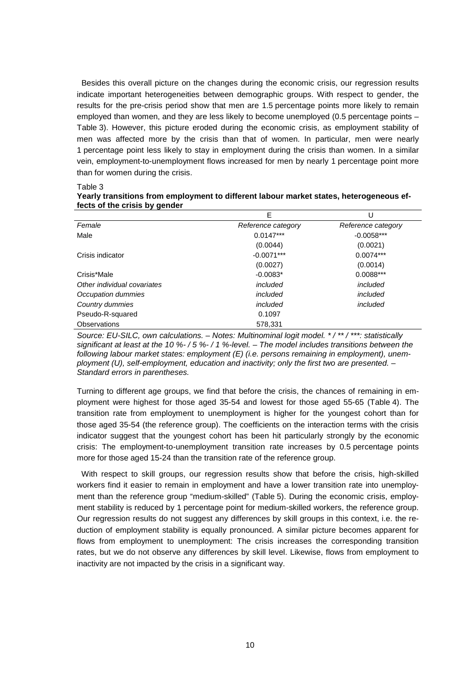Besides this overall picture on the changes during the economic crisis, our regression results indicate important heterogeneities between demographic groups. With respect to gender, the results for the pre-crisis period show that men are 1.5 percentage points more likely to remain employed than women, and they are less likely to become unemployed (0.5 percentage points – Table 3). However, this picture eroded during the economic crisis, as employment stability of men was affected more by the crisis than that of women. In particular, men were nearly 1 percentage point less likely to stay in employment during the crisis than women. In a similar vein, employment-to-unemployment flows increased for men by nearly 1 percentage point more than for women during the crisis.

Table 3

| fects of the crisis by gender | Yearly transitions from employment to different labour market states, heterogeneous ef- |                    |
|-------------------------------|-----------------------------------------------------------------------------------------|--------------------|
|                               |                                                                                         |                    |
| Female                        | Reference category                                                                      | Reference category |

| Female                      | Reference category | Reference category |  |
|-----------------------------|--------------------|--------------------|--|
| Male                        | $0.0147***$        | $-0.0058***$       |  |
|                             | (0.0044)           | (0.0021)           |  |
| Crisis indicator            | $-0.0071***$       | $0.0074***$        |  |
|                             | (0.0027)           | (0.0014)           |  |
| Crisis*Male                 | $-0.0083*$         | $0.0088***$        |  |
| Other individual covariates | included           | included           |  |
| Occupation dummies          | included           | included           |  |
| Country dummies             | included           | included           |  |
| Pseudo-R-squared            | 0.1097             |                    |  |
| Observations                | 578,331            |                    |  |

*Source: EU-SILC, own calculations. – Notes: Multinominal logit model. \* / \*\* / \*\*\*: statistically significant at least at the 10 %- / 5 %- / 1 %-level. – The model includes transitions between the following labour market states: employment (E) (i.e. persons remaining in employment), unemployment (U), self-employment, education and inactivity; only the first two are presented. – Standard errors in parentheses.*

Turning to different age groups, we find that before the crisis, the chances of remaining in employment were highest for those aged 35-54 and lowest for those aged 55-65 (Table 4). The transition rate from employment to unemployment is higher for the youngest cohort than for those aged 35-54 (the reference group). The coefficients on the interaction terms with the crisis indicator suggest that the youngest cohort has been hit particularly strongly by the economic crisis: The employment-to-unemployment transition rate increases by 0.5 percentage points more for those aged 15-24 than the transition rate of the reference group.

With respect to skill groups, our regression results show that before the crisis, high-skilled workers find it easier to remain in employment and have a lower transition rate into unemployment than the reference group "medium-skilled" (Table 5). During the economic crisis, employment stability is reduced by 1 percentage point for medium-skilled workers, the reference group. Our regression results do not suggest any differences by skill groups in this context, i.e. the reduction of employment stability is equally pronounced. A similar picture becomes apparent for flows from employment to unemployment: The crisis increases the corresponding transition rates, but we do not observe any differences by skill level. Likewise, flows from employment to inactivity are not impacted by the crisis in a significant way.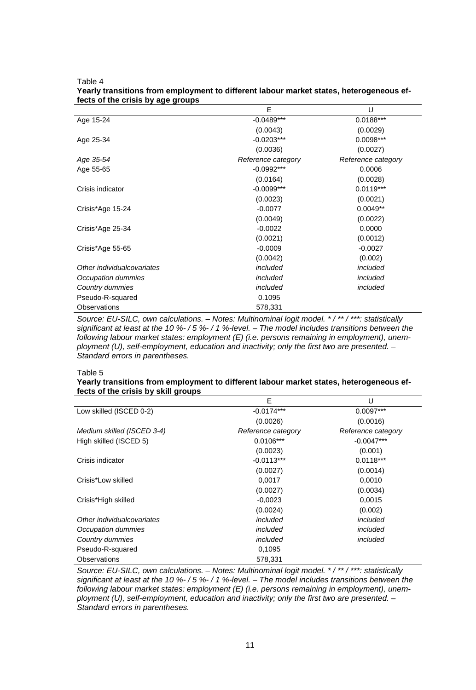Table 4

|                            | E                  | U                  |
|----------------------------|--------------------|--------------------|
| Age 15-24                  | $-0.0489***$       | $0.0188***$        |
|                            | (0.0043)           | (0.0029)           |
| Age 25-34                  | $-0.0203***$       | 0.0098***          |
|                            | (0.0036)           | (0.0027)           |
| Age 35-54                  | Reference category | Reference category |
| Age 55-65                  | $-0.0992***$       | 0.0006             |
|                            | (0.0164)           | (0.0028)           |
| Crisis indicator           | $-0.0099***$       | $0.0119***$        |
|                            | (0.0023)           | (0.0021)           |
| Crisis*Age 15-24           | $-0.0077$          | $0.0049**$         |
|                            | (0.0049)           | (0.0022)           |
| Crisis*Age 25-34           | $-0.0022$          | 0.0000             |
|                            | (0.0021)           | (0.0012)           |
| Crisis*Age 55-65           | $-0.0009$          | $-0.0027$          |
|                            | (0.0042)           | (0.002)            |
| Other individualcovariates | included           | included           |
| Occupation dummies         | included           | included           |
| Country dummies            | included           | included           |
| Pseudo-R-squared           | 0.1095             |                    |
| Observations               | 578,331            |                    |

#### **Yearly transitions from employment to different labour market states, heterogeneous effects of the crisis by age groups**

*Source: EU-SILC, own calculations. – Notes: Multinominal logit model. \* / \*\* / \*\*\*: statistically significant at least at the 10 %- / 5 %- / 1 %-level. – The model includes transitions between the following labour market states: employment (E) (i.e. persons remaining in employment), unemployment (U), self-employment, education and inactivity; only the first two are presented. – Standard errors in parentheses.*

#### Table 5

#### **Yearly transitions from employment to different labour market states, heterogeneous effects of the crisis by skill groups**

|                            | Е                  | U                  |
|----------------------------|--------------------|--------------------|
| Low skilled (ISCED 0-2)    | $-0.0174***$       | $0.0097***$        |
|                            | (0.0026)           | (0.0016)           |
| Medium skilled (ISCED 3-4) | Reference category | Reference category |
| High skilled (ISCED 5)     | $0.0106***$        | $-0.0047***$       |
|                            | (0.0023)           | (0.001)            |
| Crisis indicator           | $-0.0113***$       | $0.0118***$        |
|                            | (0.0027)           | (0.0014)           |
| Crisis*Low skilled         | 0.0017             | 0,0010             |
|                            | (0.0027)           | (0.0034)           |
| Crisis*High skilled        | $-0,0023$          | 0,0015             |
|                            | (0.0024)           | (0.002)            |
| Other individualcovariates | included           | included           |
| Occupation dummies         | included           | included           |
| Country dummies            | included           | included           |
| Pseudo-R-squared           | 0,1095             |                    |
| Observations               | 578,331            |                    |

*Source: EU-SILC, own calculations. – Notes: Multinominal logit model. \* / \*\* / \*\*\*: statistically significant at least at the 10 %- / 5 %- / 1 %-level. – The model includes transitions between the following labour market states: employment (E) (i.e. persons remaining in employment), unemployment (U), self-employment, education and inactivity; only the first two are presented. – Standard errors in parentheses.*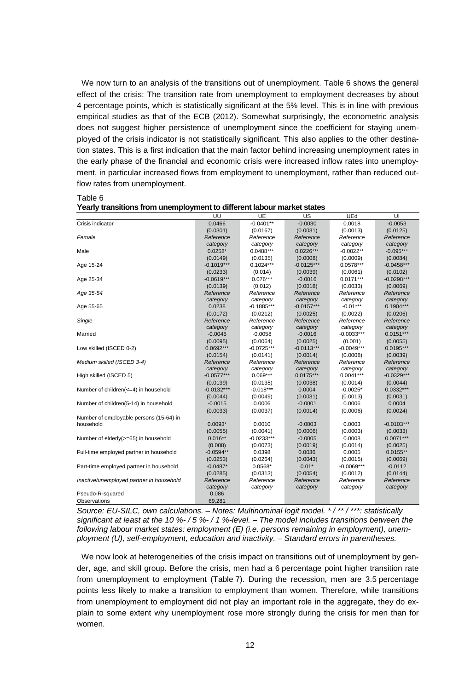We now turn to an analysis of the transitions out of unemployment. Table 6 shows the general effect of the crisis: The transition rate from unemployment to employment decreases by about 4 percentage points, which is statistically significant at the 5% level. This is in line with previous empirical studies as that of the ECB (2012). Somewhat surprisingly, the econometric analysis does not suggest higher persistence of unemployment since the coefficient for staying unemployed of the crisis indicator is not statistically significant. This also applies to the other destination states. This is a first indication that the main factor behind increasing unemployment rates in the early phase of the financial and economic crisis were increased inflow rates into unemployment, in particular increased flows from employment to unemployment, rather than reduced outflow rates from unemployment.

UU UE US UEd UI Crisis indicator **Crisis indicator** 0.0458 -0.0466 -0.0401<sup>\*\*</sup> -0.0030 0.0018 -0.0053 (0.0301) (0.0167) (0.0031) (0.0013) (0.0125) *Female Reference category Reference category*<br>0.0488\*\*\* *Reference category Reference category Reference*  category<br>-0.095\*\*\* Male 0.0258\* 0.0488\*\*\* 0.0226\*\*\* -0.0022\*\* -0.095\*\*\*  $(0.0149)$   $(0.0135)$   $(0.0008)$   $(0.0009)$   $(0.0084)$ <br> $-0.1019***$   $0.1024***$   $-0.0125***$   $0.0578***$   $-0.0458**$ Age 15-24 -0.1019\*\*\* 0.1024\*\*\* -0.0125\*\*\* 0.0578\*\*\* -0.0458\*\*\* (0.0233) (0.014) (0.0039) (0.0061) (0.0102) Age 25-34 -0.0619\*\*\* 0.076\*\*\* -0.0016 0.0171\*\*\* -0.0298\*\*\* (0.0139) (0.012) (0.0018) (0.0033) (0.0069) *Age 35-54 Reference category Reference category Reference category Reference category Reference category* Age 55-65 0.0238 -0.1885\*\*\* -0.0157\*\*\* -0.01\*\*\* 0.1904\*\*\* (0.0172) (0.0212) (0.0025) (0.0022) (0.0206) *Single Reference category Reference category Reference category Reference* category<br>-0.0033\*\*\* *Reference category*<br>0.0151\*\*\* Married **-0.0045 -0.0045** -0.0058 -0.0016 -0.0033\*\*\* 0.0151\*\*\* (0.0095) (0.0064) (0.0025) (0.001) (0.0055) Low skilled (ISCED 0-2) 0.0692\*\*\* -0.0725\*\*\* -0.0113\*\*\* -0.0049\*\*\* 0.0195\*\*\* (0.0154) (0.0141) (0.0014) (0.0008) (0.0039) *Medium skilled (ISCED 3-4) Reference category Reference category Reference category Reference category Reference category* High skilled (ISCED 5)  $-0.0577**$ (0.0139) (0.0135) (0.0038) (0.0014) (0.0044) Number of children(<=4) in household  $(0.0132*** \ \cdot 0.018*** \ \cdot 0.0004 \ \cdot 0.0025* \ \cdot 0.0031)$  (0.0031) (0.0044) (0.0049) (0.0031) (0.0013) (0.0031) Number of children(5-14) in household  $(0.0015)$  0.0006 0.0004 0.0006 0.0004 0.0006 0.0004 0.0004 0.0004 0.0004 0.0004 0.0004 0.0004 0.0004 0.0004 0.0004 0.0004 0.0004 0.0004 0.0004 0.0004 0.0004 0.0004 0.0004 0.0004 0.000 (0.0033) (0.0037) (0.0014) (0.0006) (0.0024) Number of employable persons (15-64) in household 0.0093\* 0.0010 -0.0003 0.0003 -0.0103\*\*\* (0.0055) (0.0041) (0.0006) (0.0003) (0.0033) Number of elderly(>=65) in household  $0.016**$   $0.0233***$   $0.0005$   $0.0008$   $0.0074**$   $0.0014$   $0.0014$   $0.0025$ (0.008) (0.0073) (0.0019) (0.0014) (0.0025) Full-time employed partner in household  $-0.0594**$  0.0398 0.0036 0.0005 0.0155\*\*<br>(0.0253) (0.0043) (0.0015) (0.0069)  $(0.0253)$   $(0.0264)$   $(0.0043)$   $(0.0015)$   $(0.0069)$ <br> $-0.0487$   $0.0568$   $0.0112$   $-0.0069$ <sup>\*\*\*</sup>  $-0.0112$ Part-time employed partner in household -0.0487\* 0.0568\* 0.01\* -0.0069\*\*\* -0.0112  $(0.0012)$ *Inactive/unemployed partner in household Reference category Reference category Reference category Reference category Reference category* Pseudo-R-squared Observations 69,281

|--|

Table 6

*Source: EU-SILC, own calculations. – Notes: Multinominal logit model. \* / \*\* / \*\*\*: statistically significant at least at the 10 %- / 5 %- / 1 %-level. – The model includes transitions between the following labour market states: employment (E) (i.e. persons remaining in employment), unemployment (U), self-employment, education and inactivity. – Standard errors in parentheses.*

We now look at heterogeneities of the crisis impact on transitions out of unemployment by gender, age, and skill group. Before the crisis, men had a 6 percentage point higher transition rate from unemployment to employment (Table 7). During the recession, men are 3.5 percentage points less likely to make a transition to employment than women. Therefore, while transitions from unemployment to employment did not play an important role in the aggregate, they do explain to some extent why unemployment rose more strongly during the crisis for men than for women.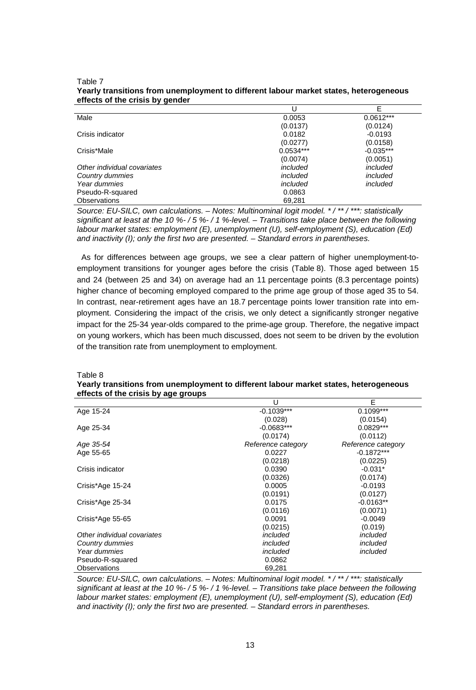|                             |             | E           |
|-----------------------------|-------------|-------------|
| Male                        | 0.0053      | $0.0612***$ |
|                             | (0.0137)    | (0.0124)    |
| Crisis indicator            | 0.0182      | $-0.0193$   |
|                             | (0.0277)    | (0.0158)    |
| Crisis*Male                 | $0.0534***$ | $-0.035***$ |
|                             | (0.0074)    | (0.0051)    |
| Other individual covariates | included    | included    |
| Country dummies             | included    | included    |
| Year dummies                | included    | included    |
| Pseudo-R-squared            | 0.0863      |             |
| <b>Observations</b>         | 69.281      |             |

#### Table 7 **Yearly transitions from unemployment to different labour market states, heterogeneous effects of the crisis by gender**

*Source: EU-SILC, own calculations. – Notes: Multinominal logit model. \* / \*\* / \*\*\*: statistically significant at least at the 10 %- / 5 %- / 1 %-level. – Transitions take place between the following labour market states: employment (E), unemployment (U), self-employment (S), education (Ed) and inactivity (I); only the first two are presented. – Standard errors in parentheses.*

As for differences between age groups, we see a clear pattern of higher unemployment-toemployment transitions for younger ages before the crisis (Table 8). Those aged between 15 and 24 (between 25 and 34) on average had an 11 percentage points (8.3 percentage points) higher chance of becoming employed compared to the prime age group of those aged 35 to 54. In contrast, near-retirement ages have an 18.7 percentage points lower transition rate into employment. Considering the impact of the crisis, we only detect a significantly stronger negative impact for the 25-34 year-olds compared to the prime-age group. Therefore, the negative impact on young workers, which has been much discussed, does not seem to be driven by the evolution of the transition rate from unemployment to employment.

| ellects of the crisis by age groups |                    |                    |
|-------------------------------------|--------------------|--------------------|
|                                     | U                  | E                  |
| Age 15-24                           | $-0.1039***$       | $0.1099***$        |
|                                     | (0.028)            | (0.0154)           |
| Age 25-34                           | $-0.0683***$       | $0.0829***$        |
|                                     | (0.0174)           | (0.0112)           |
| Age 35-54                           | Reference category | Reference category |
| Age 55-65                           | 0.0227             | $-0.1872***$       |
|                                     | (0.0218)           | (0.0225)           |
| Crisis indicator                    | 0.0390             | $-0.031*$          |
|                                     | (0.0326)           | (0.0174)           |
| Crisis*Age 15-24                    | 0.0005             | $-0.0193$          |
|                                     | (0.0191)           | (0.0127)           |
| Crisis*Age 25-34                    | 0.0175             | $-0.0163**$        |
|                                     | (0.0116)           | (0.0071)           |
| Crisis*Age 55-65                    | 0.0091             | $-0.0049$          |
|                                     | (0.0215)           | (0.019)            |
| Other individual covariates         | included           | included           |
| Country dummies                     | included           | included           |
| Year dummies                        | included           | included           |
| Pseudo-R-squared                    | 0.0862             |                    |
| <b>Observations</b>                 | 69,281             |                    |

Table 8 **Yearly transitions from unemployment to different labour market states, heterogeneous effects of the crisis by age groups**

*Source: EU-SILC, own calculations. – Notes: Multinominal logit model. \* / \*\* / \*\*\*: statistically significant at least at the 10 %- / 5 %- / 1 %-level. – Transitions take place between the following labour market states: employment (E), unemployment (U), self-employment (S), education (Ed) and inactivity (I); only the first two are presented. – Standard errors in parentheses.*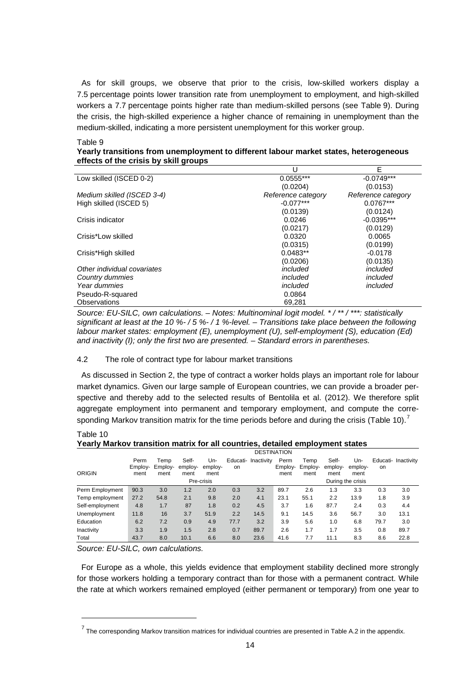As for skill groups, we observe that prior to the crisis, low-skilled workers display a 7.5 percentage points lower transition rate from unemployment to employment, and high-skilled workers a 7.7 percentage points higher rate than medium-skilled persons (see Table 9). During the crisis, the high-skilled experience a higher chance of remaining in unemployment than the medium-skilled, indicating a more persistent unemployment for this worker group.

#### Table 9

| Yearly transitions from unemployment to different labour market states, heterogeneous |
|---------------------------------------------------------------------------------------|
| effects of the crisis by skill groups                                                 |

|                             | U                  | E                  |
|-----------------------------|--------------------|--------------------|
| Low skilled (ISCED 0-2)     | $0.0555***$        | $-0.0749***$       |
|                             | (0.0204)           | (0.0153)           |
| Medium skilled (ISCED 3-4)  | Reference category | Reference category |
| High skilled (ISCED 5)      | $-0.077***$        | $0.0767***$        |
|                             | (0.0139)           | (0.0124)           |
| Crisis indicator            | 0.0246             | $-0.0395***$       |
|                             | (0.0217)           | (0.0129)           |
| Crisis*Low skilled          | 0.0320             | 0.0065             |
|                             | (0.0315)           | (0.0199)           |
| Crisis*High skilled         | $0.0483**$         | $-0.0178$          |
|                             | (0.0206)           | (0.0135)           |
| Other individual covariates | included           | included           |
| Country dummies             | included           | included           |
| Year dummies                | included           | included           |
| Pseudo-R-squared            | 0.0864             |                    |
| Observations                | 69.281             |                    |

*Source: EU-SILC, own calculations. – Notes: Multinominal logit model. \* / \*\* / \*\*\*: statistically significant at least at the 10 %- / 5 %- / 1 %-level. – Transitions take place between the following labour market states: employment (E), unemployment (U), self-employment (S), education (Ed) and inactivity (I); only the first two are presented. – Standard errors in parentheses.*

#### 4.2 The role of contract type for labour market transitions

As discussed in Section 2, the type of contract a worker holds plays an important role for labour market dynamics. Given our large sample of European countries, we can provide a broader perspective and thereby add to the selected results of Bentolila et al. (2012). We therefore split aggregate employment into permanent and temporary employment, and compute the corresponding Markov transition matrix for the time periods before and during the crisis (Table 10).

#### Table 10 **Yearly Markov transition matrix for all countries, detailed employment states**

|                 |                         | <b>DESTINATION</b>      |                          |                        |      |                     |                         |                         |                          |                        |      |                     |
|-----------------|-------------------------|-------------------------|--------------------------|------------------------|------|---------------------|-------------------------|-------------------------|--------------------------|------------------------|------|---------------------|
| <b>ORIGIN</b>   | Perm<br>Employ-<br>ment | Temp<br>Employ-<br>ment | Self-<br>employ-<br>ment | Un-<br>employ-<br>ment | on   | Educati- Inactivity | Perm<br>Employ-<br>ment | Temp<br>Employ-<br>ment | Self-<br>employ-<br>ment | Un-<br>employ-<br>ment | on   | Educati- Inactivity |
|                 |                         |                         |                          | Pre-crisis             |      |                     |                         |                         |                          | During the crisis      |      |                     |
| Perm Employment | 90.3                    | 3.0                     | 1.2                      | 2.0                    | 0.3  | 3.2                 | 89.7                    | 2.6                     | 1.3                      | 3.3                    | 0.3  | 3.0                 |
| Temp employment | 27.2                    | 54.8                    | 2.1                      | 9.8                    | 2.0  | 4.1                 | 23.1                    | 55.1                    | 2.2                      | 13.9                   | 1.8  | 3.9                 |
| Self-employment | 4.8                     | 1.7                     | 87                       | 1.8                    | 0.2  | 4.5                 | 3.7                     | 1.6                     | 87.7                     | 2.4                    | 0.3  | 4.4                 |
| Unemployment    | 11.8                    | 16                      | 3.7                      | 51.9                   | 2.2  | 14.5                | 9.1                     | 14.5                    | 3.6                      | 56.7                   | 3.0  | 13.1                |
| Education       | 6.2                     | 7.2                     | 0.9                      | 4.9                    | 77.7 | 3.2                 | 3.9                     | 5.6                     | 1.0                      | 6.8                    | 79.7 | 3.0                 |
| Inactivity      | 3.3                     | 1.9                     | 1.5                      | 2.8                    | 0.7  | 89.7                | 2.6                     | 1.7                     | 1.7                      | 3.5                    | 0.8  | 89.7                |
| Total           | 43.7                    | 8.0                     | 10.1                     | 6.6                    | 8.0  | 23.6                | 41.6                    | 7.7                     | 11.1                     | 8.3                    | 8.6  | 22.8                |

*Source: EU-SILC, own calculations.*

For Europe as a whole, this yields evidence that employment stability declined more strongly for those workers holding a temporary contract than for those with a permanent contract. While the rate at which workers remained employed (either permanent or temporary) from one year to

 $^7$  The corresponding Markov transition matrices for individual countries are presented in Table A.2 in the appendix.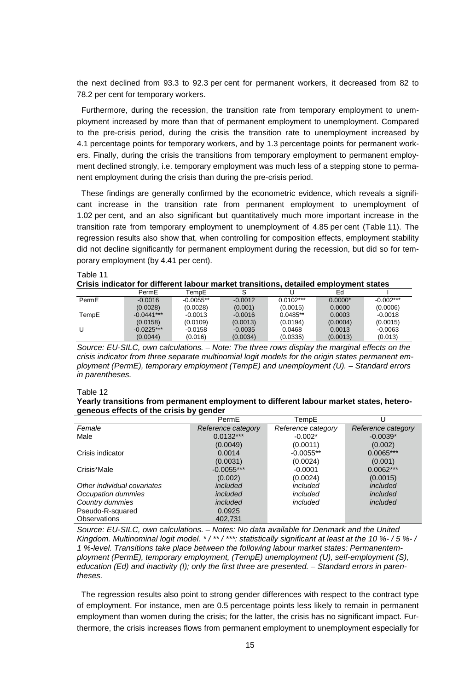the next declined from 93.3 to 92.3 per cent for permanent workers, it decreased from 82 to 78.2 per cent for temporary workers.

Furthermore, during the recession, the transition rate from temporary employment to unemployment increased by more than that of permanent employment to unemployment. Compared to the pre-crisis period, during the crisis the transition rate to unemployment increased by 4.1 percentage points for temporary workers, and by 1.3 percentage points for permanent workers. Finally, during the crisis the transitions from temporary employment to permanent employment declined strongly, i.e. temporary employment was much less of a stepping stone to permanent employment during the crisis than during the pre-crisis period.

These findings are generally confirmed by the econometric evidence, which reveals a significant increase in the transition rate from permanent employment to unemployment of 1.02 per cent, and an also significant but quantitatively much more important increase in the transition rate from temporary employment to unemployment of 4.85 per cent (Table 11). The regression results also show that, when controlling for composition effects, employment stability did not decline significantly for permanent employment during the recession, but did so for temporary employment (by 4.41 per cent).

Table 11

**Crisis indicator for different labour market transitions, detailed employment states**

|       | PermE        | TempE       |           |             | Ed        |             |
|-------|--------------|-------------|-----------|-------------|-----------|-------------|
| PermE | $-0.0016$    | $-0.0055**$ | $-0.0012$ | $0.0102***$ | $0.0000*$ | $-0.002***$ |
|       | (0.0028)     | (0.0028)    | (0.001)   | (0.0015)    | 0.0000    | (0.0006)    |
| TempE | $-0.0441***$ | $-0.0013$   | $-0.0016$ | $0.0485**$  | 0.0003    | $-0.0018$   |
|       | (0.0158)     | (0.0109)    | (0.0013)  | (0.0194)    | (0.0004)  | (0.0015)    |
| U     | $-0.0225***$ | $-0.0158$   | $-0.0035$ | 0.0468      | 0.0013    | $-0.0063$   |
|       | (0.0044)     | (0.016)     | (0.0034)  | (0.0335)    | (0.0013)  | (0.013)     |

*Source: EU-SILC, own calculations. – Note: The three rows display the marginal effects on the crisis indicator from three separate multinomial logit models for the origin states permanent employment (PermE), temporary employment (TempE) and unemployment (U). – Standard errors in parentheses.*

#### Table 12

#### **Yearly transitions from permanent employment to different labour market states, heterogeneous effects of the crisis by gender**

|                             | PermE              | TempE              |                    |
|-----------------------------|--------------------|--------------------|--------------------|
| Female                      | Reference category | Reference category | Reference category |
| Male                        | $0.0132***$        | $-0.002*$          | $-0.0039*$         |
|                             | (0.0049)           | (0.0011)           | (0.002)            |
| Crisis indicator            | 0.0014             | $-0.0055**$        | $0.0065***$        |
|                             | (0.0031)           | (0.0024)           | (0.001)            |
| Crisis*Male                 | $-0.0055***$       | $-0.0001$          | $0.0062***$        |
|                             | (0.002)            | (0.0024)           | (0.0015)           |
| Other individual covariates | included           | included           | included           |
| Occupation dummies          | included           | included           | included           |
| Country dummies             | included           | included           | included           |
| Pseudo-R-squared            | 0.0925             |                    |                    |
| <b>Observations</b>         | 402.731            |                    |                    |

*Source: EU-SILC, own calculations. – Notes: No data available for Denmark and the United Kingdom. Multinominal logit model. \* / \*\* / \*\*\*: statistically significant at least at the 10 %- / 5 %- / 1 %-level. Transitions take place between the following labour market states: Permanentemployment (PermE), temporary employment, (TempE) unemployment (U), self-employment (S), education (Ed) and inactivity (I); only the first three are presented. – Standard errors in parentheses.*

The regression results also point to strong gender differences with respect to the contract type of employment. For instance, men are 0.5 percentage points less likely to remain in permanent employment than women during the crisis; for the latter, the crisis has no significant impact. Furthermore, the crisis increases flows from permanent employment to unemployment especially for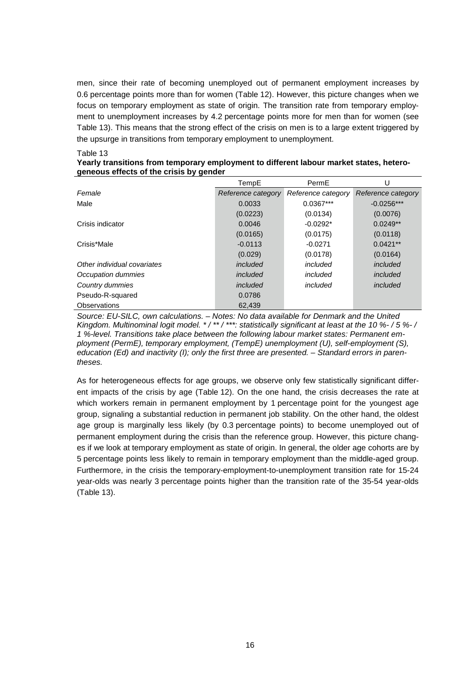men, since their rate of becoming unemployed out of permanent employment increases by 0.6 percentage points more than for women (Table 12). However, this picture changes when we focus on temporary employment as state of origin. The transition rate from temporary employment to unemployment increases by 4.2 percentage points more for men than for women (see Table 13). This means that the strong effect of the crisis on men is to a large extent triggered by the upsurge in transitions from temporary employment to unemployment.

#### Table 13

| Yearly transitions from temporary employment to different labour market states, hetero- |  |
|-----------------------------------------------------------------------------------------|--|
| geneous effects of the crisis by gender                                                 |  |

|                             | TempE              | PermE              |                    |
|-----------------------------|--------------------|--------------------|--------------------|
| Female                      | Reference category | Reference category | Reference category |
| Male                        | 0.0033             | $0.0367***$        | $-0.0256***$       |
|                             | (0.0223)           | (0.0134)           | (0.0076)           |
| Crisis indicator            | 0.0046             | $-0.0292*$         | $0.0249**$         |
|                             | (0.0165)           | (0.0175)           | (0.0118)           |
| Crisis*Male                 | $-0.0113$          | $-0.0271$          | $0.0421**$         |
|                             | (0.029)            | (0.0178)           | (0.0164)           |
| Other individual covariates | included           | included           | included           |
| Occupation dummies          | included           | included           | included           |
| Country dummies             | included           | included           | included           |
| Pseudo-R-squared            | 0.0786             |                    |                    |
| Observations                | 62.439             |                    |                    |

*Source: EU-SILC, own calculations. – Notes: No data available for Denmark and the United Kingdom. Multinominal logit model. \* / \*\* / \*\*\*: statistically significant at least at the 10 %- / 5 %- / 1 %-level. Transitions take place between the following labour market states: Permanent employment (PermE), temporary employment, (TempE) unemployment (U), self-employment (S), education (Ed) and inactivity (I); only the first three are presented. – Standard errors in parentheses.*

As for heterogeneous effects for age groups, we observe only few statistically significant different impacts of the crisis by age (Table 12). On the one hand, the crisis decreases the rate at which workers remain in permanent employment by 1 percentage point for the youngest age group, signaling a substantial reduction in permanent job stability. On the other hand, the oldest age group is marginally less likely (by 0.3 percentage points) to become unemployed out of permanent employment during the crisis than the reference group. However, this picture changes if we look at temporary employment as state of origin. In general, the older age cohorts are by 5 percentage points less likely to remain in temporary employment than the middle-aged group. Furthermore, in the crisis the temporary-employment-to-unemployment transition rate for 15-24 year-olds was nearly 3 percentage points higher than the transition rate of the 35-54 year-olds (Table 13).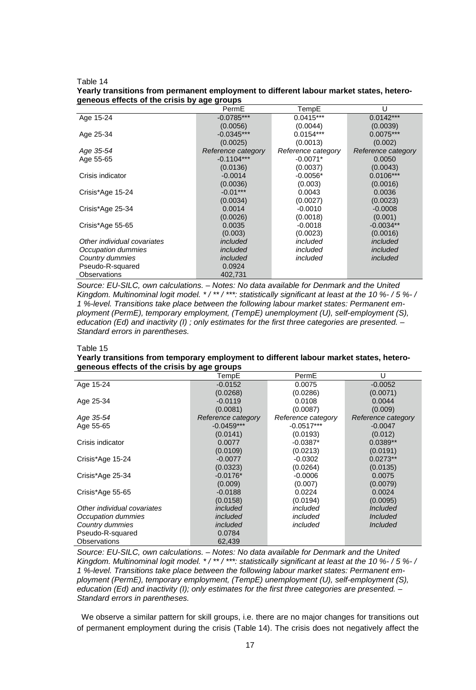Table 14

| Yearly transitions from permanent employment to different labour market states, hetero- |  |  |
|-----------------------------------------------------------------------------------------|--|--|
| geneous effects of the crisis by age groups                                             |  |  |

|                             | PermE              | TempE              | U                  |
|-----------------------------|--------------------|--------------------|--------------------|
| Age 15-24                   | $-0.0785***$       | $0.0415***$        | $0.0142***$        |
|                             | (0.0056)           | (0.0044)           | (0.0039)           |
| Age 25-34                   | $-0.0345***$       | $0.0154***$        | $0.0075***$        |
|                             | (0.0025)           | (0.0013)           | (0.002)            |
| Age 35-54                   | Reference category | Reference category | Reference category |
| Age 55-65                   | $-0.1104***$       | $-0.0071*$         | 0.0050             |
|                             | (0.0136)           | (0.0037)           | (0.0043)           |
| Crisis indicator            | $-0.0014$          | $-0.0056*$         | $0.0106***$        |
|                             | (0.0036)           | (0.003)            | (0.0016)           |
| Crisis*Age 15-24            | $-0.01***$         | 0.0043             | 0.0036             |
|                             | (0.0034)           | (0.0027)           | (0.0023)           |
| Crisis*Age 25-34            | 0.0014             | $-0.0010$          | $-0.0008$          |
|                             | (0.0026)           | (0.0018)           | (0.001)            |
| Crisis*Age 55-65            | 0.0035             | $-0.0018$          | $-0.0034**$        |
|                             | (0.003)            | (0.0023)           | (0.0016)           |
| Other individual covariates | included           | included           | included           |
| Occupation dummies          | included           | included           | included           |
| Country dummies             | included           | included           | included           |
| Pseudo-R-squared            | 0.0924             |                    |                    |
| Observations                | 402.731            |                    |                    |

*Source: EU-SILC, own calculations. – Notes: No data available for Denmark and the United Kingdom. Multinominal logit model. \* / \*\* / \*\*\*: statistically significant at least at the 10 %- / 5 %- / 1 %-level. Transitions take place between the following labour market states: Permanent employment (PermE), temporary employment, (TempE) unemployment (U), self-employment (S), education (Ed) and inactivity (I) ; only estimates for the first three categories are presented. – Standard errors in parentheses.*

#### Table 15

#### **Yearly transitions from temporary employment to different labour market states, heterogeneous effects of the crisis by age groups**

|                             | TempE              | PermE              | U                  |
|-----------------------------|--------------------|--------------------|--------------------|
| Age 15-24                   | $-0.0152$          | 0.0075             | $-0.0052$          |
|                             | (0.0268)           | (0.0286)           | (0.0071)           |
| Age 25-34                   | $-0.0119$          | 0.0108             | 0.0044             |
|                             | (0.0081)           | (0.0087)           | (0.009)            |
| Age 35-54                   | Reference category | Reference category | Reference category |
| Age 55-65                   | $-0.0459***$       | $-0.0517***$       | $-0.0047$          |
|                             | (0.0141)           | (0.0193)           | (0.012)            |
| Crisis indicator            | 0.0077             | $-0.0387*$         | $0.0389**$         |
|                             | (0.0109)           | (0.0213)           | (0.0191)           |
| Crisis*Age 15-24            | $-0.0077$          | $-0.0302$          | $0.0273**$         |
|                             | (0.0323)           | (0.0264)           | (0.0135)           |
| Crisis*Age 25-34            | $-0.0176*$         | $-0.0006$          | 0.0075             |
|                             | (0.009)            | (0.007)            | (0.0079)           |
| Crisis*Age 55-65            | $-0.0188$          | 0.0224             | 0.0024             |
|                             | (0.0158)           | (0.0194)           | (0.0095)           |
| Other individual covariates | included           | included           | <b>Included</b>    |
| Occupation dummies          | included           | included           | <b>Included</b>    |
| Country dummies             | included           | included           | <b>Included</b>    |
| Pseudo-R-squared            | 0.0784             |                    |                    |
| Observations                | 62,439             |                    |                    |

*Source: EU-SILC, own calculations. – Notes: No data available for Denmark and the United Kingdom. Multinominal logit model. \* / \*\* / \*\*\*: statistically significant at least at the 10 %- / 5 %- / 1 %-level. Transitions take place between the following labour market states: Permanent employment (PermE), temporary employment, (TempE) unemployment (U), self-employment (S), education (Ed) and inactivity (I); only estimates for the first three categories are presented. – Standard errors in parentheses.*

We observe a similar pattern for skill groups, i.e. there are no major changes for transitions out of permanent employment during the crisis (Table 14). The crisis does not negatively affect the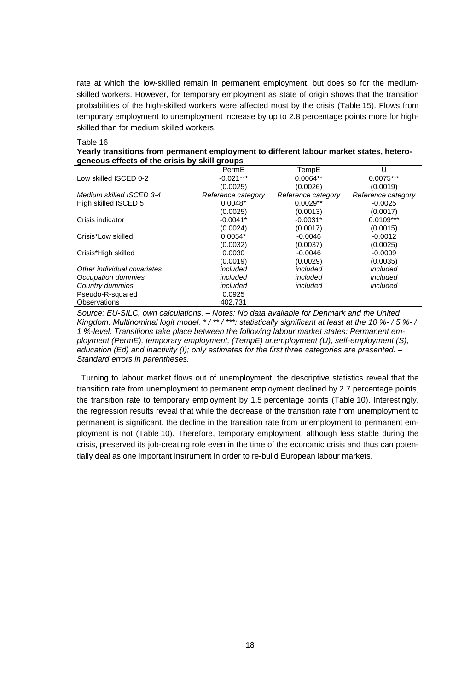rate at which the low-skilled remain in permanent employment, but does so for the mediumskilled workers. However, for temporary employment as state of origin shows that the transition probabilities of the high-skilled workers were affected most by the crisis (Table 15). Flows from temporary employment to unemployment increase by up to 2.8 percentage points more for highskilled than for medium skilled workers.

Table 16

| Yearly transitions from permanent employment to different labour market states, hetero- |  |
|-----------------------------------------------------------------------------------------|--|
| geneous effects of the crisis by skill groups                                           |  |

|                             | PermE              | TempE              | U                  |
|-----------------------------|--------------------|--------------------|--------------------|
| Low skilled ISCED 0-2       | $-0.021***$        | $0.0064**$         | $0.0075***$        |
|                             | (0.0025)           | (0.0026)           | (0.0019)           |
| Medium skilled ISCED 3-4    | Reference category | Reference category | Reference category |
| High skilled ISCED 5        | $0.0048*$          | $0.0029**$         | $-0.0025$          |
|                             | (0.0025)           | (0.0013)           | (0.0017)           |
| Crisis indicator            | $-0.0041*$         | $-0.0031*$         | $0.0109***$        |
|                             | (0.0024)           | (0.0017)           | (0.0015)           |
| Crisis*Low skilled          | $0.0054*$          | $-0.0046$          | $-0.0012$          |
|                             | (0.0032)           | (0.0037)           | (0.0025)           |
| Crisis*High skilled         | 0.0030             | $-0.0046$          | $-0.0009$          |
|                             | (0.0019)           | (0.0029)           | (0.0035)           |
| Other individual covariates | included           | included           | included           |
| Occupation dummies          | included           | included           | included           |
| Country dummies             | included           | included           | included           |
| Pseudo-R-squared            | 0.0925             |                    |                    |
| <b>Observations</b>         | 402.731            |                    |                    |

*Source: EU-SILC, own calculations. – Notes: No data available for Denmark and the United Kingdom. Multinominal logit model. \* / \*\* / \*\*\*: statistically significant at least at the 10 %- / 5 %- / 1 %-level. Transitions take place between the following labour market states: Permanent employment (PermE), temporary employment, (TempE) unemployment (U), self-employment (S), education (Ed) and inactivity (I); only estimates for the first three categories are presented. – Standard errors in parentheses.*

Turning to labour market flows out of unemployment, the descriptive statistics reveal that the transition rate from unemployment to permanent employment declined by 2.7 percentage points, the transition rate to temporary employment by 1.5 percentage points (Table 10). Interestingly, the regression results reveal that while the decrease of the transition rate from unemployment to permanent is significant, the decline in the transition rate from unemployment to permanent employment is not (Table 10). Therefore, temporary employment, although less stable during the crisis, preserved its job-creating role even in the time of the economic crisis and thus can potentially deal as one important instrument in order to re-build European labour markets.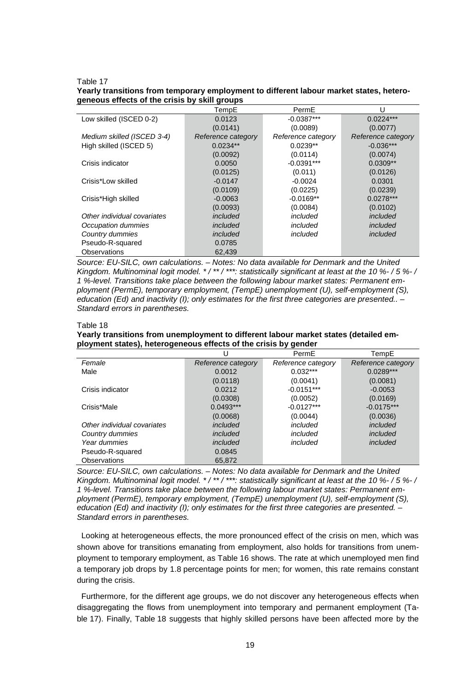#### Table 17

#### **Yearly transitions from temporary employment to different labour market states, heterogeneous effects of the crisis by skill groups**

|                             | TempE              | PermE              | U                  |
|-----------------------------|--------------------|--------------------|--------------------|
| Low skilled (ISCED 0-2)     | 0.0123             | $-0.0387***$       | $0.0224***$        |
|                             | (0.0141)           | (0.0089)           | (0.0077)           |
| Medium skilled (ISCED 3-4)  | Reference category | Reference category | Reference category |
| High skilled (ISCED 5)      | $0.0234**$         | $0.0239**$         | $-0.036***$        |
|                             | (0.0092)           | (0.0114)           | (0.0074)           |
| Crisis indicator            | 0.0050             | $-0.0391***$       | $0.0309**$         |
|                             | (0.0125)           | (0.011)            | (0.0126)           |
| Crisis*Low skilled          | $-0.0147$          | $-0.0024$          | 0.0301             |
|                             | (0.0109)           | (0.0225)           | (0.0239)           |
| Crisis*High skilled         | $-0.0063$          | $-0.0169**$        | $0.0278***$        |
|                             | (0.0093)           | (0.0084)           | (0.0102)           |
| Other individual covariates | included           | included           | included           |
| Occupation dummies          | included           | included           | included           |
| Country dummies             | included           | included           | included           |
| Pseudo-R-squared            | 0.0785             |                    |                    |
| Observations                | 62,439             |                    |                    |

*Source: EU-SILC, own calculations. – Notes: No data available for Denmark and the United Kingdom. Multinominal logit model. \* / \*\* / \*\*\*: statistically significant at least at the 10 %- / 5 %- / 1 %-level. Transitions take place between the following labour market states: Permanent employment (PermE), temporary employment, (TempE) unemployment (U), self-employment (S), education (Ed) and inactivity (I); only estimates for the first three categories are presented.. – Standard errors in parentheses.*

#### Table 18

#### **Yearly transitions from unemployment to different labour market states (detailed employment states), heterogeneous effects of the crisis by gender**

|                             | U                  | PermE              | TempE              |
|-----------------------------|--------------------|--------------------|--------------------|
| Female                      | Reference category | Reference category | Reference category |
| Male                        | 0.0012             | $0.032***$         | $0.0289***$        |
|                             | (0.0118)           | (0.0041)           | (0.0081)           |
| Crisis indicator            | 0.0212             | $-0.0151***$       | $-0.0053$          |
|                             | (0.0308)           | (0.0052)           | (0.0169)           |
| Crisis*Male                 | $0.0493***$        | $-0.0127***$       | $-0.0175***$       |
|                             | (0.0068)           | (0.0044)           | (0.0036)           |
| Other individual covariates | included           | included           | included           |
| Country dummies             | included           | included           | included           |
| Year dummies                | included           | included           | included           |
| Pseudo-R-squared            | 0.0845             |                    |                    |
| <b>Observations</b>         | 65.872             |                    |                    |

*Source: EU-SILC, own calculations. – Notes: No data available for Denmark and the United Kingdom. Multinominal logit model. \* / \*\* / \*\*\*: statistically significant at least at the 10 %- / 5 %- / 1 %-level. Transitions take place between the following labour market states: Permanent employment (PermE), temporary employment, (TempE) unemployment (U), self-employment (S), education (Ed) and inactivity (I); only estimates for the first three categories are presented. – Standard errors in parentheses.*

Looking at heterogeneous effects, the more pronounced effect of the crisis on men, which was shown above for transitions emanating from employment, also holds for transitions from unemployment to temporary employment, as Table 16 shows. The rate at which unemployed men find a temporary job drops by 1.8 percentage points for men; for women, this rate remains constant during the crisis.

Furthermore, for the different age groups, we do not discover any heterogeneous effects when disaggregating the flows from unemployment into temporary and permanent employment (Table 17). Finally, Table 18 suggests that highly skilled persons have been affected more by the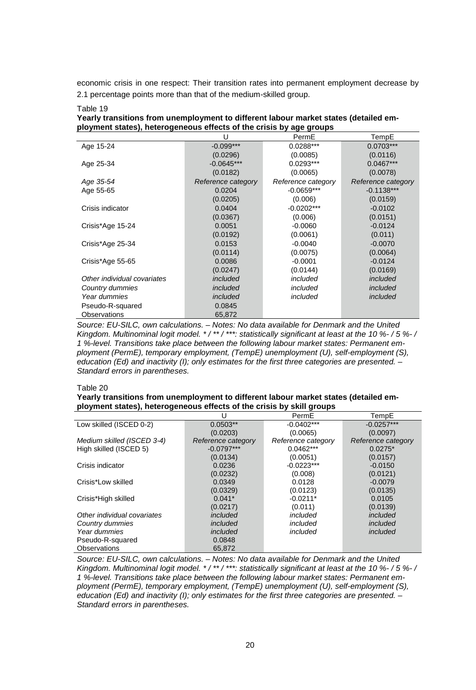economic crisis in one respect: Their transition rates into permanent employment decrease by 2.1 percentage points more than that of the medium-skilled group.

| Table 19                                                                             |
|--------------------------------------------------------------------------------------|
| Yearly transitions from unemployment to different labour market states (detailed em- |
| ployment states), heterogeneous effects of the crisis by age groups                  |

|                             | U                  | PermE              | TempE              |
|-----------------------------|--------------------|--------------------|--------------------|
| Age 15-24                   | $-0.099***$        | $0.0288***$        | $0.0703***$        |
|                             | (0.0296)           | (0.0085)           | (0.0116)           |
| Age 25-34                   | $-0.0645***$       | $0.0293***$        | $0.0467***$        |
|                             | (0.0182)           | (0.0065)           | (0.0078)           |
| Age 35-54                   | Reference category | Reference category | Reference category |
| Age 55-65                   | 0.0204             | $-0.0659***$       | $-0.1138***$       |
|                             | (0.0205)           | (0.006)            | (0.0159)           |
| Crisis indicator            | 0.0404             | $-0.0202***$       | $-0.0102$          |
|                             | (0.0367)           | (0.006)            | (0.0151)           |
| Crisis*Age 15-24            | 0.0051             | $-0.0060$          | $-0.0124$          |
|                             | (0.0192)           | (0.0061)           | (0.011)            |
| Crisis*Age 25-34            | 0.0153             | $-0.0040$          | $-0.0070$          |
|                             | (0.0114)           | (0.0075)           | (0.0064)           |
| Crisis*Age 55-65            | 0.0086             | $-0.0001$          | $-0.0124$          |
|                             | (0.0247)           | (0.0144)           | (0.0169)           |
| Other individual covariates | included           | included           | included           |
| Country dummies             | included           | included           | included           |
| Year dummies                | included           | included           | included           |
| Pseudo-R-squared            | 0.0845             |                    |                    |
| Observations                | 65,872             |                    |                    |

*Source: EU-SILC, own calculations. – Notes: No data available for Denmark and the United Kingdom. Multinominal logit model. \* / \*\* / \*\*\*: statistically significant at least at the 10 %- / 5 %- / 1 %-level. Transitions take place between the following labour market states: Permanent employment (PermE), temporary employment, (TempE) unemployment (U), self-employment (S), education (Ed) and inactivity (I); only estimates for the first three categories are presented. – Standard errors in parentheses.*

#### Table 20

#### **Yearly transitions from unemployment to different labour market states (detailed employment states), heterogeneous effects of the crisis by skill groups**

|                             | U                  | PermE              | TempE              |
|-----------------------------|--------------------|--------------------|--------------------|
| Low skilled (ISCED 0-2)     | $0.0503**$         | $-0.0402***$       | $-0.0257***$       |
|                             | (0.0203)           | (0.0065)           | (0.0097)           |
| Medium skilled (ISCED 3-4)  | Reference category | Reference category | Reference category |
| High skilled (ISCED 5)      | $-0.0797***$       | $0.0462***$        | $0.0275*$          |
|                             | (0.0134)           | (0.0051)           | (0.0157)           |
| Crisis indicator            | 0.0236             | $-0.0223***$       | $-0.0150$          |
|                             | (0.0232)           | (0.008)            | (0.0121)           |
| Crisis*Low skilled          | 0.0349             | 0.0128             | $-0.0079$          |
|                             | (0.0329)           | (0.0123)           | (0.0135)           |
| Crisis*High skilled         | $0.041*$           | $-0.0211*$         | 0.0105             |
|                             | (0.0217)           | (0.011)            | (0.0139)           |
| Other individual covariates | included           | included           | included           |
| Country dummies             | included           | included           | included           |
| Year dummies                | included           | included           | included           |
| Pseudo-R-squared            | 0.0848             |                    |                    |
| Observations                | 65.872             |                    |                    |

*Source: EU-SILC, own calculations. – Notes: No data available for Denmark and the United Kingdom. Multinominal logit model. \* / \*\* / \*\*\*: statistically significant at least at the 10 %- / 5 %- / 1 %-level. Transitions take place between the following labour market states: Permanent employment (PermE), temporary employment, (TempE) unemployment (U), self-employment (S), education (Ed) and inactivity (I); only estimates for the first three categories are presented. – Standard errors in parentheses.*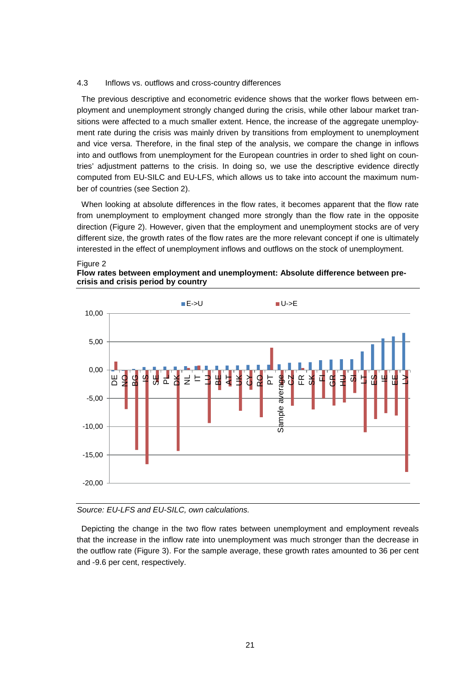#### 4.3 Inflows vs. outflows and cross-country differences

The previous descriptive and econometric evidence shows that the worker flows between employment and unemployment strongly changed during the crisis, while other labour market transitions were affected to a much smaller extent. Hence, the increase of the aggregate unemployment rate during the crisis was mainly driven by transitions from employment to unemployment and vice versa. Therefore, in the final step of the analysis, we compare the change in inflows into and outflows from unemployment for the European countries in order to shed light on countries' adjustment patterns to the crisis. In doing so, we use the descriptive evidence directly computed from EU-SILC and EU-LFS, which allows us to take into account the maximum number of countries (see Section 2).

When looking at absolute differences in the flow rates, it becomes apparent that the flow rate from unemployment to employment changed more strongly than the flow rate in the opposite direction (Figure 2). However, given that the employment and unemployment stocks are of very different size, the growth rates of the flow rates are the more relevant concept if one is ultimately interested in the effect of unemployment inflows and outflows on the stock of unemployment.







#### *Source: EU-LFS and EU-SILC, own calculations.*

Depicting the change in the two flow rates between unemployment and employment reveals that the increase in the inflow rate into unemployment was much stronger than the decrease in the outflow rate (Figure 3). For the sample average, these growth rates amounted to 36 per cent and -9.6 per cent, respectively.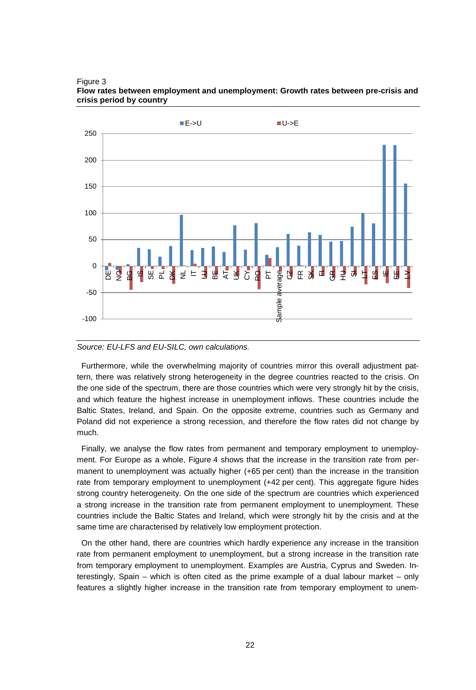

Figure 3 **Flow rates between employment and unemployment: Growth rates between pre-crisis and crisis period by country**

#### *Source: EU-LFS and EU-SILC, own calculations.*

Furthermore, while the overwhelming majority of countries mirror this overall adjustment pattern, there was relatively strong heterogeneity in the degree countries reacted to the crisis. On the one side of the spectrum, there are those countries which were very strongly hit by the crisis, and which feature the highest increase in unemployment inflows. These countries include the Baltic States, Ireland, and Spain. On the opposite extreme, countries such as Germany and Poland did not experience a strong recession, and therefore the flow rates did not change by much.

Finally, we analyse the flow rates from permanent and temporary employment to unemployment. For Europe as a whole, Figure 4 shows that the increase in the transition rate from permanent to unemployment was actually higher (+65 per cent) than the increase in the transition rate from temporary employment to unemployment (+42 per cent). This aggregate figure hides strong country heterogeneity. On the one side of the spectrum are countries which experienced a strong increase in the transition rate from permanent employment to unemployment. These countries include the Baltic States and Ireland, which were strongly hit by the crisis and at the same time are characterised by relatively low employment protection.

On the other hand, there are countries which hardly experience any increase in the transition rate from permanent employment to unemployment, but a strong increase in the transition rate from temporary employment to unemployment. Examples are Austria, Cyprus and Sweden. Interestingly, Spain – which is often cited as the prime example of a dual labour market – only features a slightly higher increase in the transition rate from temporary employment to unem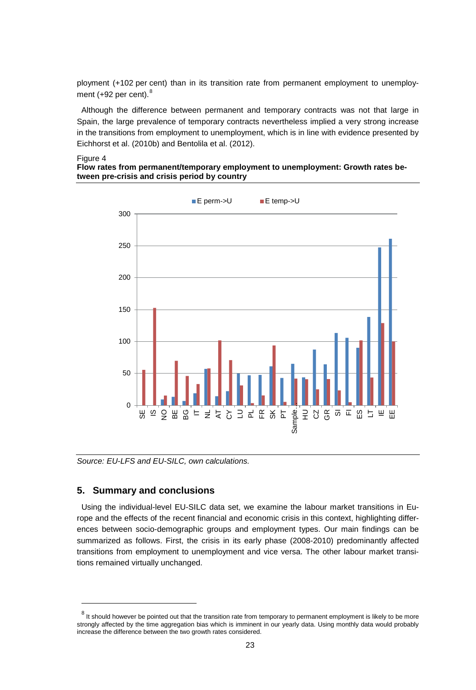ployment (+102 per cent) than in its transition rate from permanent employment to unemployment  $(+92$  per cent). $8$ 

Although the difference between permanent and temporary contracts was not that large in Spain, the large prevalence of temporary contracts nevertheless implied a very strong increase in the transitions from employment to unemployment, which is in line with evidence presented by Eichhorst et al. (2010b) and Bentolila et al. (2012).

#### Figure 4

**Flow rates from permanent/temporary employment to unemployment: Growth rates between pre-crisis and crisis period by country**



*Source: EU-LFS and EU-SILC, own calculations.*

#### **5. Summary and conclusions**

Using the individual-level EU-SILC data set, we examine the labour market transitions in Europe and the effects of the recent financial and economic crisis in this context, highlighting differences between socio-demographic groups and employment types. Our main findings can be summarized as follows. First, the crisis in its early phase (2008-2010) predominantly affected transitions from employment to unemployment and vice versa. The other labour market transitions remained virtually unchanged.

 $8$  It should however be pointed out that the transition rate from temporary to permanent employment is likely to be more strongly affected by the time aggregation bias which is imminent in our yearly data. Using monthly data would probably increase the difference between the two growth rates considered.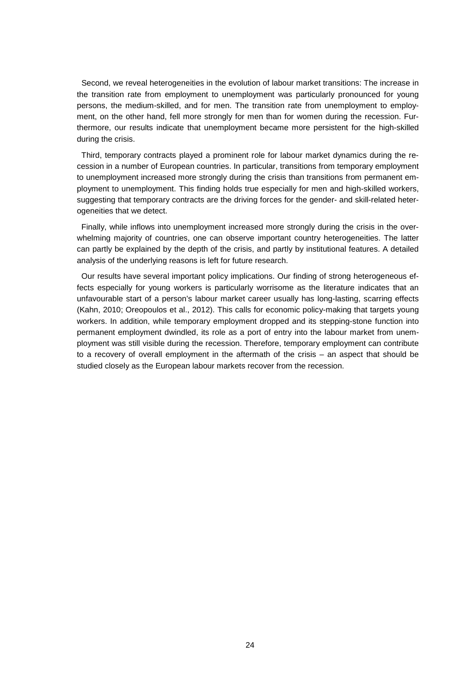Second, we reveal heterogeneities in the evolution of labour market transitions: The increase in the transition rate from employment to unemployment was particularly pronounced for young persons, the medium-skilled, and for men. The transition rate from unemployment to employment, on the other hand, fell more strongly for men than for women during the recession. Furthermore, our results indicate that unemployment became more persistent for the high-skilled during the crisis.

Third, temporary contracts played a prominent role for labour market dynamics during the recession in a number of European countries. In particular, transitions from temporary employment to unemployment increased more strongly during the crisis than transitions from permanent employment to unemployment. This finding holds true especially for men and high-skilled workers, suggesting that temporary contracts are the driving forces for the gender- and skill-related heterogeneities that we detect.

Finally, while inflows into unemployment increased more strongly during the crisis in the overwhelming majority of countries, one can observe important country heterogeneities. The latter can partly be explained by the depth of the crisis, and partly by institutional features. A detailed analysis of the underlying reasons is left for future research.

Our results have several important policy implications. Our finding of strong heterogeneous effects especially for young workers is particularly worrisome as the literature indicates that an unfavourable start of a person's labour market career usually has long-lasting, scarring effects (Kahn, 2010; Oreopoulos et al., 2012). This calls for economic policy-making that targets young workers. In addition, while temporary employment dropped and its stepping-stone function into permanent employment dwindled, its role as a port of entry into the labour market from unemployment was still visible during the recession. Therefore, temporary employment can contribute to a recovery of overall employment in the aftermath of the crisis – an aspect that should be studied closely as the European labour markets recover from the recession.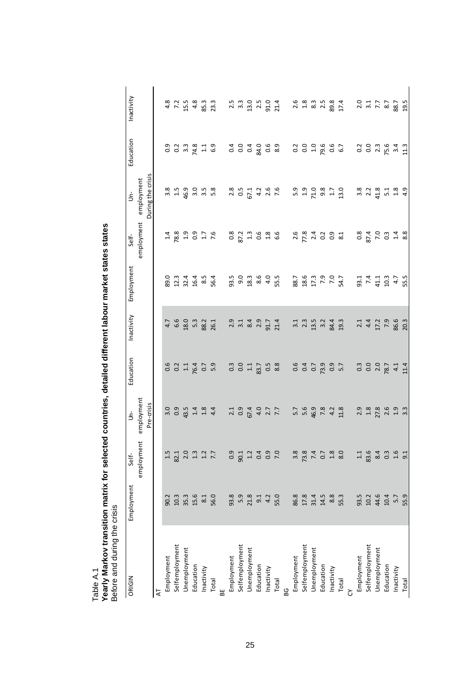| ORIGIN         | Employment           | Self-                            | ś                       | Education                                  | Inactivity       | Employment          | Self-                         | ś                    | Education             | Inactivity                                                                       |
|----------------|----------------------|----------------------------------|-------------------------|--------------------------------------------|------------------|---------------------|-------------------------------|----------------------|-----------------------|----------------------------------------------------------------------------------|
|                |                      | employment employment            |                         |                                            |                  |                     | employment                    | employment           |                       |                                                                                  |
|                |                      |                                  | Pre-crisis              |                                            |                  |                     |                               | During the crisis    |                       |                                                                                  |
| ₹              |                      |                                  |                         |                                            |                  |                     |                               |                      |                       |                                                                                  |
| Employment     |                      |                                  |                         | 0.6                                        | 4.7              | 89.0                |                               | 3.8                  | 0.9                   | 4.8                                                                              |
| Selfemployment |                      | 82.1                             | $\frac{0}{0.9}$         | $rac{2}{11}$                               | 6.6              | 12.3                |                               |                      | $\frac{2}{3}$ .3      | 7.2                                                                              |
| Unemployment   | 90.3<br>10.3<br>35.3 |                                  | 43.5                    |                                            | 18.0             | 32.4                | $\frac{14}{28}$ $\frac{8}{1}$ | $1.5$<br>46.9        |                       | 15.5                                                                             |
| Education      | 15.6                 |                                  |                         | 76.4                                       | 5.3              | 16.4                |                               | $3.5$<br>$3.5$       |                       | 4.8                                                                              |
| Inactivity     | 8.1                  | $2.3$<br>$2.3$<br>$2.7$<br>$7.7$ | $1.4$<br>$1.8$          | 0.7                                        | 88.2             | 8.5                 | 0.9<br>1.7<br>7.6             |                      | $74.8$<br>1.1         | 85.3                                                                             |
| Total          | 56.0                 |                                  | 4.4                     | 5.9                                        | 26.1             | 56.4                |                               | 5.8                  | 6.9                   | 23.3                                                                             |
| 뿖              |                      |                                  |                         |                                            |                  |                     |                               |                      |                       |                                                                                  |
| Employment     | 93.8                 | 0.9                              | $\overline{21}$         | $0.\overline{3}$                           | 2.9              | 93.5                |                               | 2.8                  |                       | 2.5                                                                              |
| Selfemployment | 5.9                  | 90.1                             | $0.9$<br>67.4           | 0.0                                        | 3.1              | $9.0$<br>18.3       | $0.8$<br>$87.3$ $0.6$         | $0.5$<br>67.1        | 0.04                  | $3.\overline{3}$                                                                 |
| Unemployment   | 21.8                 |                                  |                         | $\Xi$                                      | 8.4              |                     |                               |                      |                       | 13.0                                                                             |
| Education      | 9.1                  | $1.2$<br>0.4                     |                         | 83.7                                       | 2.9              | $8.0$<br>$4.0$      |                               |                      |                       | 2.5                                                                              |
| Inactivity     | 4.2                  | $0.9$<br>7.0                     | $4.0$<br>$2.7$<br>$7.7$ | $\begin{array}{c} 5 \\ 0 \\ 8 \end{array}$ | 91.7             |                     | $1.8$<br>$6.6$                | $4.26$<br>$7.6$      | 0<br>8<br>8<br>8<br>8 | 91.0                                                                             |
| Total          | 55.0                 |                                  |                         |                                            | 21.4             | 55.5                |                               |                      |                       | 21.4                                                                             |
| ൠ              |                      |                                  |                         |                                            |                  |                     |                               |                      |                       |                                                                                  |
| Employment     | 86.8                 | 3.8                              | $5.7$<br>5.6            | 0.6                                        | 3.1              | 88.7                |                               | 5.9                  |                       |                                                                                  |
| Selfemployment | 17.8                 | 73.8                             |                         | 0.4                                        | $2.\overline{3}$ | 18.6                |                               | 1.9                  | $\frac{2}{0}$         |                                                                                  |
| Unemployment   | 31.4<br>14.5         |                                  | 46.9                    | 0.7                                        | 13.5             | 17.3                |                               |                      |                       |                                                                                  |
| Education      |                      | $7.4$<br>0.7                     | 7.8                     | 73.9                                       | 3.2              | 7.9<br>7.0          |                               | $71.0$<br>9.8<br>1.7 | $19.6$<br>$0.6$       | $\begin{array}{ccc} 0 & 8 & 3 & 5 \\ 1 & 8 & 3 & 5 \\ 2 & 6 & 3 & 5 \end{array}$ |
| Inactivity     | 8.8                  | 1.8                              | 4.2                     | 0.9                                        | 84.4             |                     | 0.9                           |                      |                       | 89.8                                                                             |
| Total          | 55.3                 | 8.0                              | 11.8                    | 5.7                                        | 19.3             | 54.7                | $\overline{8.1}$              | 13.0                 | 6.7                   | 17.4                                                                             |
|                |                      |                                  |                         |                                            |                  |                     |                               |                      |                       |                                                                                  |
| Employment     | 93.5                 | 1.1                              | 2.9                     | $0.\overline{3}$                           | $\overline{c}$   |                     |                               |                      |                       |                                                                                  |
| Selfemployment | 10.2<br>44.6         | 83.6                             | $1.8$                   | 0.0                                        | 4.4              | 93.1<br>7.4<br>41.1 | 0.8<br>87.4<br>7.0            | 3<br>3 2 3<br>4 4    |                       | $2.0$<br>$3.7$<br>$7.7$<br>$8.7$<br>$8.7$                                        |
| Unemployment   |                      | 8.4                              | 27.8                    | 2.0                                        | 17.2             |                     |                               |                      |                       |                                                                                  |
| Education      | 10.4                 | $0.\overline{3}$                 | 2.6                     | 78.7                                       | 7.9              | 10.3                | $0.\overline{3}$              | 5.1                  |                       |                                                                                  |
| Inactivity     | 5.7                  | $1.6$<br>9.1                     | 1.9                     | 4.1                                        | 86.6             | 4.7                 | $\frac{4}{8}$ 8               | $1.8$                |                       |                                                                                  |
| Total          | 55.9                 |                                  | $3.\overline{3}$        | 11.4                                       | 20.3             | 55.5                |                               | 4.9                  |                       | 19.5                                                                             |

Table A.1<br>Yearly Markov transition matrix for selected countries, detailed different labour market states states<br>Before and during the crisis **Yearly Markov transition matrix for selected countries, detailed different labour market states states** Before and during the crisis Table A.1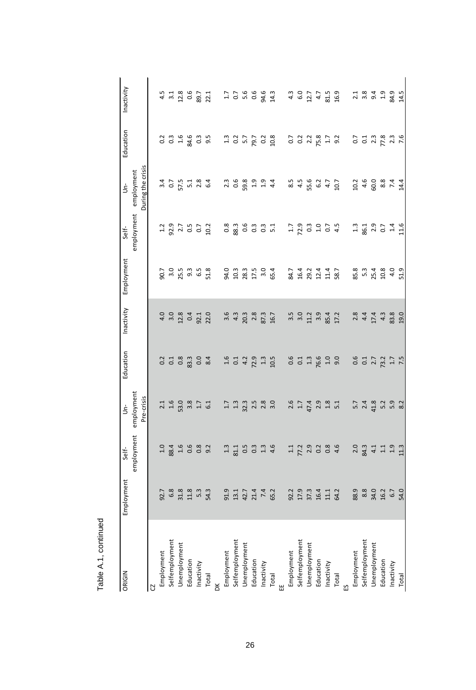| ORIGIN         | Employment       | Self-                                     | ś                  | Education      | Inactivity   | Employment       | Self-                  | ś                             | Education               | Inactivity                 |
|----------------|------------------|-------------------------------------------|--------------------|----------------|--------------|------------------|------------------------|-------------------------------|-------------------------|----------------------------|
|                |                  | employment employment                     |                    |                |              |                  | employment employment  |                               |                         |                            |
|                |                  |                                           | Pre-crisis         |                |              |                  |                        | During the crisis             |                         |                            |
| S              |                  |                                           |                    |                |              |                  |                        |                               |                         |                            |
| Employment     | 92.7             | 1.0                                       | 2.1                | 0.2            | 4.0          | 90.7             | 1.2                    | 3.4                           | 0.2                     | 4.5                        |
| Selfemployment | 6.8              | 88.4                                      | 1.6                | C <sub>1</sub> | 3.0          | 3.0              |                        | C <sub>2</sub>                | $0.\overline{3}$        | 3.1                        |
| Unemployment   |                  | $1.6$<br>0.6                              | 53.0               | 0.8            | 12.8         | 25.5             |                        | 57.5                          | 1.6                     | 12.8                       |
| Education      | $31.8$<br>$11.8$ |                                           | 3.8                | 83.3           | 0.4          | $9.\overline{3}$ | 9<br>2.7<br>3.7<br>0.7 |                               | 84.6                    | 0.6                        |
| Inactivity     | $5.\overline{3}$ | 0.8                                       | 1.7                | 0.0            | 92.1         | 6.5              |                        | $\frac{1}{2}$ , $\frac{3}{4}$ | $0.\overline{3}$        | 89.7                       |
| Total          | 54.3             | 9.2                                       | 6.1                | 8.4            | 22.0         | 51.8             | 10.2                   |                               | 9.5                     | 22.1                       |
| ă              |                  |                                           |                    |                |              |                  |                        |                               |                         |                            |
| Employment     | 91.9             | 1.3                                       | 1.7                | 1.6            | 3.6          | 94.0             |                        |                               | 1.3                     |                            |
| Selfemployment | 13.1             | 81.1                                      | $1.\overline{3}$   | 0.1            | 4.3          | 10.3             | $0.8$<br>88            | $2.3$<br>$0.6$<br>$2.8$       | 0.2                     | $1.7$<br>0.7               |
| Unemployment   | 42.7<br>21.4     | $\begin{array}{c} 0.5 \\ 0.3 \end{array}$ | 32.3               | 4.2            | 20.3         | 28.3             | 0.6                    |                               | 5.7                     | 5.6<br>0.6                 |
| Education      |                  |                                           | 2.5                | 72.9           | 2.8          | 17.5             | $0.\overline{3}$       | 1.9                           | 79.7                    |                            |
| Inactivity     | 7.4              | 1.3                                       | 2.8                | 1.3            | 87.3         | 3.0              | 0.3                    | 1.9                           | 0.2                     | 94.6                       |
| Total          | 65.2             | 4.6                                       | 3.0                | 10.5           | 16.7         | 65.4             | 5.1                    | 4.4                           | 10.8                    | 14.3                       |
| 띮              |                  |                                           |                    |                |              |                  |                        |                               |                         |                            |
| Employment     | 92.2             | 1.1                                       | 2.6                | 0.6            | 3.5          | 84.7             | 1.7                    | 8.5                           | $\overline{0}$          | 4.3                        |
| Selfemployment | 17.9             | 77.2                                      | 1.7                | C <sub>1</sub> | 3.0          | 16.4             | 72.9                   | 4.5                           | $\overline{0}$          | 6.0                        |
| Unemployment   | 37.3             | 2.9                                       | 47.4               | 1.3            | 11.2         |                  | $0.\overline{3}$       | 55.6<br>6.2                   | $2.2$<br>75.8           | 12.7                       |
| Education      | 16.4             | $0.2$<br>$0.8$                            | $2.9$<br>$1.8$     | 76.6           | 3.9          | 29.2<br>12.4     | $1.0$<br>0.7           |                               |                         | 4.7                        |
| Inactivity     | 11.1             |                                           |                    | 1.0            | 85.4         | 11.4             |                        | 4.7                           | 1.7                     | 81.5                       |
| Total          | 64.2             | 4.6                                       | 5.1                | 9.0            | 17.2         | 58.7             | 4.5                    | 10.7                          | 9.2                     | 16.9                       |
|                |                  |                                           |                    |                |              |                  |                        |                               |                         |                            |
| Employment     | 88.9             | 2.0                                       |                    | 0.6            |              | 85.8             | 1.3                    |                               | 0.7                     |                            |
| Selfemployment | $8.8$            | 84.3                                      | 5.7<br>2.4<br>41.8 | 0.1            | $2.8$<br>4.4 | $5.3$<br>25.4    | 86.1                   | $24.6$<br>$4.6$<br>$6$        | 0.1                     | 21<br>21<br>31<br>91<br>91 |
| Unemployment   | 34.0             | 4.1                                       |                    | 2.7            | 17.4         |                  |                        |                               | $2.\overline{3}$        |                            |
| Education      | 16.2             | $1.1$<br>$1.9$                            | 5.2<br>5.9         | 73.2           | 4.3          | 10.8             | $2.9$ 0.7 $\pm 0.7$    | 8.8<br>7.4                    | 77.8                    | 1.9                        |
| Inactivity     | 6.7              |                                           |                    | $1.7$<br>7.5   | 83.8         | 4.0              |                        |                               | $2.\overline{3}$<br>7.6 | 84.9                       |
| Total          | 54.0             | 113                                       | 8.2                |                | 19.0         | 51.9             | 11.6                   | 14.4                          |                         | 14.5                       |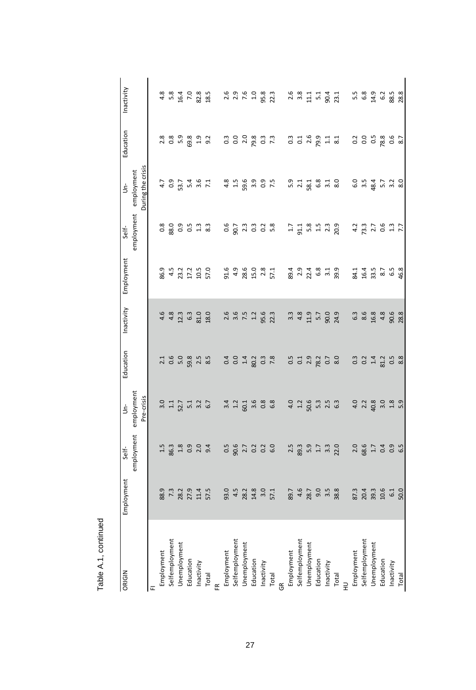| ORIGIN         | Employment       | Self-            | ś                                    | Education        | Inactivity     | Employment               | Self-                   | ś                 | Education        | Inactivity |
|----------------|------------------|------------------|--------------------------------------|------------------|----------------|--------------------------|-------------------------|-------------------|------------------|------------|
|                |                  | employment       | employment                           |                  |                |                          | employment employment   |                   |                  |            |
|                |                  |                  | Pre-crisis                           |                  |                |                          |                         | During the crisis |                  |            |
| $\overline{u}$ |                  |                  |                                      |                  |                |                          |                         |                   |                  |            |
| Employment     | 88.9             | 1.5              | 3.0                                  | 2.1              | 4.6            | 86.9                     | $\frac{8}{2}$           | 4.7               | 2.8              | 4.8        |
| Selfemployment | $7.\overline{3}$ | 86.3             | $\Xi$                                | 0.6              | 4.8            | 4.5                      | 88.0                    | $\overline{0}$    | $0.\overline{8}$ | 5.8        |
| Unemployment   | 28.2             | $1.8\,$          |                                      | 5.0              | 12.3           | 23.2                     |                         | 53.7              | 5.9              | 16.4       |
| Education      | 27.9             | 0.9              | $52.7$<br>$5.1$                      | 59.8             | 6.3            | 17.2                     | 353                     | 5.4               | 69.8             | 7.0        |
| Inactivity     | $11.4$           | 2.0              | 3.2                                  | 2.5              | 81.0           | 10.5                     |                         | $3.6$<br>7.1      | 1.9              | 82.8       |
| Total          | 57.5             | 9.4              | 6.7                                  | 8.5              | 18.0           | 57.0                     | $8.\overline{3}$        |                   | 9.2              | 18.5       |
| ۴              |                  |                  |                                      |                  |                |                          |                         |                   |                  |            |
| Employment     | 93.0             |                  | 3.4                                  | 0.4              | 2.6            | 91.6                     |                         | 4.8               | $0.\overline{3}$ | 2.6        |
| Selfemployment | 4.5              | 0.5<br>90.6      | 1.2                                  | 0.0              | 3.6            | 4.9                      | 0.6<br>90.7             | 1.5               | 0.0              |            |
| Unemployment   | 28.2             | $2.7$<br>0.2     | 60.1                                 | 1.4              | 7.5            | 28.6                     | 2.3                     | 59.6              | 2.0              | 2.9<br>7.6 |
| Education      | 14.8             |                  |                                      | 80.2             | 1.2            | 15.0                     | $\frac{3}{2}$           | 3.9               | 79.8             | 1.0        |
| Inactivity     | 3.0              | 0.2              | 0.8                                  | $0.\overline{3}$ | 95.6           | 2.8                      | $0.\overline{8}$        | $0.9$<br>7.5      | $\frac{3}{2}$    | 95.8       |
| Total          | 57.1             | 6.0              | 6.8                                  | 7.8              | 22.3           | 57.1                     |                         |                   | $7.\overline{3}$ | 22.3       |
| గ్ర            |                  |                  |                                      |                  |                |                          |                         |                   |                  |            |
| Employment     | 89.7             | 2.5              | 4.0                                  | 0.5              | 3.3            | 89.4                     | $\overline{1.7}$        |                   | $0.\overline{3}$ | 2.6        |
| Selfemployment | 4.6              | 89.3             | $1.2$                                | 0.1              | 4.8            |                          | 91.1                    |                   | $\overline{0}$ : | 3.8        |
| Unemployment   | 28.7             | 5.9              | 50.6                                 | 2.9              | 11.9           | $2348$<br>$248$<br>$631$ |                         |                   | 2.6              | 11.1       |
| Education      | 9.0              | $1.7$<br>$3.3$   | $5.\overline{3}$<br>2.5              | 78.2             | 5.7            |                          | 5. 5. 3.<br>5. 4. 3.    |                   | P.9              | 51         |
| Inactivity     | 3.5              |                  |                                      | 0.7              | 90.0           |                          |                         |                   | $\overline{11}$  | 90.4       |
| Total          | 38.8             | 22.0             | 6.3                                  | 8.0              | 24.9           | 39.9                     | 20.9                    |                   | 8.1              | 23.1       |
| $\Rightarrow$  |                  |                  |                                      |                  |                |                          |                         |                   |                  |            |
| Employment     | 87.3             | 2.0              | 4.0                                  | $0.\overline{3}$ |                | 84.1                     | 4.2                     |                   | 0.2              | 5.5        |
| Selfemployment | 20.4             | 68.6             | 2.2                                  | 0.2              | 63<br>63<br>19 | $16.4$<br>$33.5$         | 73.3                    | 6.5<br>9.3<br>9.4 | 0.0              | $6.8\,$    |
| Unemployment   | 39.3             | $1.7\,$          | 40.8                                 | 1.4              |                |                          |                         |                   | 0.5              | 14.9       |
| Education      | 10.6             | $0.99$<br>$0.99$ | $3.\overline{0}$<br>$1.\overline{8}$ | 81.2             | 4.8            | 8.7<br>6.5               | $7.7$<br>$0.6$<br>$7.7$ | $5.7$ 3.2 8.0     | 78.8             | $6.2\,$    |
| Inactivity     | 6.1              |                  |                                      | 0.5              | 90.6           |                          |                         |                   | 0.6              | 88.5       |
| Total          | 50.0             |                  | 5.9                                  | 8.8              | 28.8           | 46.8                     |                         |                   | 8.7              | 28.8       |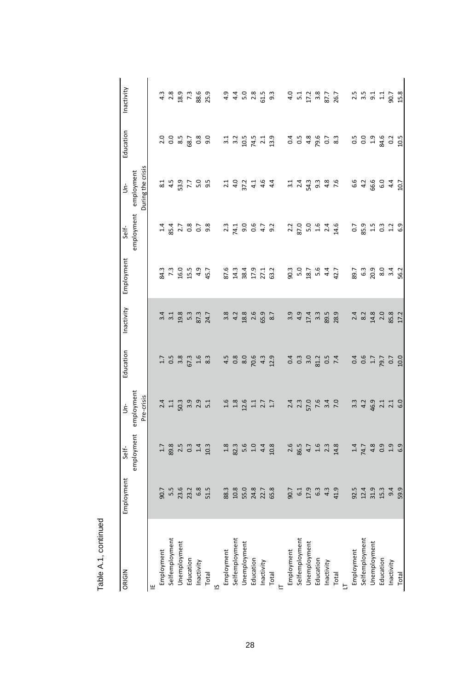| ORIGIN         | Employment       | Self-            | ś                                 | Education        | Inactivity                                      | Employment                 | Self-                 | ś                          | Education       | Inactivity        |
|----------------|------------------|------------------|-----------------------------------|------------------|-------------------------------------------------|----------------------------|-----------------------|----------------------------|-----------------|-------------------|
|                |                  | employment       | employment                        |                  |                                                 |                            | employment employment |                            |                 |                   |
|                |                  |                  | Pre-crisis                        |                  |                                                 |                            |                       | During the crisis          |                 |                   |
|                |                  |                  |                                   |                  |                                                 |                            |                       |                            |                 |                   |
| Employment     | 90.7             | 1.7              | 2.4                               | 1.7              | 3.4                                             | 84.3                       |                       | 8.1                        | 2.0             | 4.3               |
| Selfemployment | 5.5              | 89.8             | $\Xi$                             | 0.5              | 3.1                                             | 7.3                        | 85.4                  | 4.5                        | 0.0             | 2.8               |
| Unemployment   | 23.6<br>23.2     |                  | 50.3                              | 3.8              | 19.8                                            | 16.0                       |                       | 53.9                       | 8.5             | 18.9              |
| Education      |                  | $2.5$ 0.3 $1.4$  |                                   | 67.3             | 5.3                                             | 15.5                       | $2.7$<br>0.8          | 7.7                        | 68.7            | 7.3               |
| Inactivity     | $6.\overline{8}$ |                  |                                   | $1.6$            | 87.3                                            | 4.9                        |                       | 5.0<br>9.5                 | 0.8             | 88.6              |
| Total          | 51.5             | 10.3             |                                   | 8.3              | 24.7                                            | 45.7                       | 9.8                   |                            | 9.0             | 25.9              |
| $\overline{a}$ |                  |                  |                                   |                  |                                                 |                            |                       |                            |                 |                   |
| Employment     | 88.3             | 1.8              | 1.6                               | 4.5              | 3.8                                             | 87.6                       |                       |                            | 3.1             | 4.9               |
| Selfemployment | 10.8             | 82.3             | $1.8$                             | 0.8              | 4.2                                             | 14.3                       | $2.3$<br>74.1         |                            | 3.2             | 4.4               |
| Unemployment   | 55.0             | 5.6              | 12.6                              | 8.0              | 18.8                                            | 38.4                       | 9.0                   | $2.1$<br>4.0<br>$7.2$      | $10.5$<br>74.5  | 5.0               |
| Education      | 24.8             | $1.0\,$          | $1.1\,$                           | 70.6             | 2.6                                             | 17.9                       | 0.6                   | 4.1                        |                 | $2.8$<br>61.5     |
| Inactivity     | 22.7             | 4.4              | $2.7$<br>$1.7$                    | 4.3              | 65.9                                            | 27.1                       | 4.7                   | 4.6                        | $2.1$<br>$13.9$ |                   |
| Total          | 65.8             | 10.8             |                                   | 12.9             | 8.7                                             | 63.2                       | 9.2                   | 4.4                        |                 | 9.3               |
|                |                  |                  |                                   |                  |                                                 |                            |                       |                            |                 |                   |
| Employment     | 90.7             | 2.6              |                                   | 0.4              | 3.9                                             | 90.3                       | 2.2                   |                            | 0.4             | 4.0               |
| Selfemployment | 6.1              | 86.5             | $24$<br>$24$<br>$5$<br>$5$<br>$5$ | $0.\overline{3}$ | 4.9                                             | 5.0                        | 87.0                  | 3.1<br>2.4<br>3.9.3<br>3.9 | 0.5             | 51                |
| Unemployment   | 17.9             | 4.7              |                                   | 3.0              | $17.4$<br>3.3                                   | 18.7                       | 5.0                   |                            | 4.8             |                   |
| Education      | 6.3              | $1.6$<br>2.3     | $7.\overline{6}$<br>3.4           | 81.2             |                                                 | 5.6                        | 1.6                   |                            | 79.6            | $17.2$<br>3.8     |
| Inactivity     | 4.3              |                  |                                   | 0.5              | 89.5                                            | 4.4                        | 2.4                   | 4.8                        | 0.7             | 87.7              |
| Total          | 41.9             | 14.8             | 7.0                               | 7.4              | 28.9                                            | 42.7                       | 14.6                  | 7.6                        | 8.3             | 26.7              |
|                |                  |                  |                                   |                  |                                                 |                            |                       |                            |                 |                   |
| Employment     | 92.5             | 1.4              |                                   | 0.4              |                                                 | 89.7                       | 0.7                   | 6.6                        | 0.5             |                   |
| Selfemployment | $12.4$<br>$31.9$ | 74.7             | 3<br>3 4 9<br>4 9                 | 0.6              | $24$<br>$28$<br>$4$<br>$4$<br>$5$<br>$4$<br>$5$ | 6.3<br>20.9                | 85.9                  | $4.2$<br>66.6              | 0.0             | $2.5$ $3.5$ $3.1$ |
| Unemployment   |                  | 4.8              |                                   | $1.7\,$          |                                                 |                            | 1.5                   |                            | 1.9             |                   |
| Education      | 15.3             | 0.9              | $2.1$<br>$2.1$<br>$6.0$           | 79.7             | 2.0                                             | 8<br>8<br>5<br>5<br>5<br>5 | $0.\overline{3}$      | 6.4<br>0.4<br>0.9          | 84.6            | 1.1               |
| Inactivity     | 9.4              | $\frac{9}{6}$ .9 |                                   | 0.7              | 85.8                                            |                            | 1.2                   |                            | $0.2$<br>10.5   | 90.7              |
| Total          | 59.9             |                  |                                   | 10.0             | 17.2                                            |                            | 6.9                   |                            |                 | 15.8              |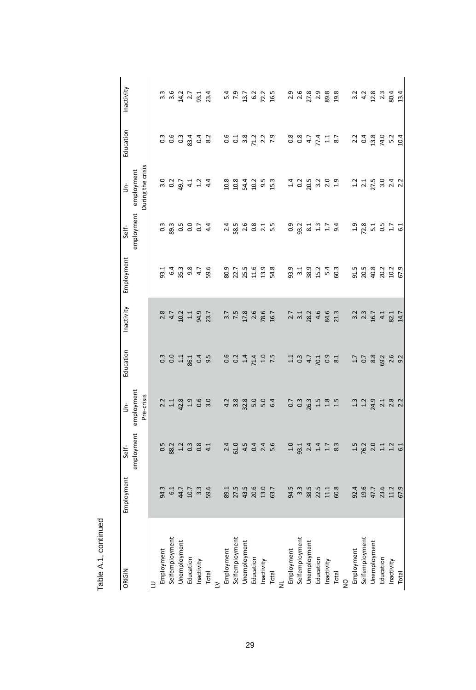| ORIGIN         | Employment          | Self-                     | Ś                                         | Education        | Inactivity               | Employment          | Self-                                                                            | ś                                                       | Education        | Inactivity       |
|----------------|---------------------|---------------------------|-------------------------------------------|------------------|--------------------------|---------------------|----------------------------------------------------------------------------------|---------------------------------------------------------|------------------|------------------|
|                |                     | employment                | employment                                |                  |                          |                     | employment employment                                                            |                                                         |                  |                  |
|                |                     |                           | Pre-crisis                                |                  |                          |                     |                                                                                  | During the crisis                                       |                  |                  |
| ₿              |                     |                           |                                           |                  |                          |                     |                                                                                  |                                                         |                  |                  |
| Employment     | 94.3                | 0.5                       | 2.2                                       | $0.\overline{3}$ | 2.8                      | 93.1                | $0.\overline{3}$                                                                 | 3.0                                                     | $0.\overline{3}$ | $3.\overline{3}$ |
| Selfemployment |                     |                           |                                           | 0.0              | 4.7                      |                     |                                                                                  | $0.2$<br>49.7                                           | 0.6              | 3.6              |
| Unemployment   | 6.1<br>44.7<br>10.7 |                           | $\frac{1}{4}$ $\frac{3}{8}$               | $\Xi$            | 10.2                     | ნ 4 ო<br>გრო<br>გრო |                                                                                  |                                                         | 0.3              | 14.2             |
| Education      |                     | 82<br>32<br>0.3<br>0.8    | 1.9                                       | 86.1             | $\Xi$                    |                     |                                                                                  |                                                         | 83.4             | 2.7              |
| Inactivity     | $3.\overline{3}$    |                           | 0.6                                       | 0.4              | 94.9                     | 4.7                 |                                                                                  | $4.1$<br>$4.2$<br>$4.4$                                 | 0.4              | 93.1             |
| Total          | 59.6                | 4.1                       | 3.0                                       | 9.5              | 23.7                     | 59.6                | 4.4                                                                              |                                                         | 8.2              | 23.4             |
| $\geq$         |                     |                           |                                           |                  |                          |                     |                                                                                  |                                                         |                  |                  |
| Employment     | 89.1                |                           | 4.2                                       | 0.6              |                          | 80.9                |                                                                                  | 10.8                                                    | 0.6              |                  |
| Selfemployment | 27.5                | $240$<br>$-4.5$<br>$-4.5$ | 3.8                                       | 0.2              | $3.7$<br>$7.5$<br>$17.8$ | 22.7                |                                                                                  | 10.8                                                    | $\overline{0}$   | $5.4$<br>7.9     |
| Unemployment   | 43.5                |                           | 32.8                                      | 1.4              |                          | 25.5                |                                                                                  | 54.4                                                    | 3.8              | $13.7$<br>$6.2$  |
| Education      | 20.6                | $0.4$<br>$0.4$<br>$0.6$   | 5.0                                       | 71.4             | 2.6                      | 11.6                |                                                                                  | 10.2                                                    | 71.2             |                  |
| Inactivity     | 13.0                |                           | 5.0                                       | $1.0$<br>7.5     | 78.6                     | 13.9                |                                                                                  | 9.5<br>15.3                                             | $2.2$<br>7.9     | $72.2$<br>16.5   |
| Total          | 63.7                |                           | 6.4                                       |                  | 16.7                     | 54.8                |                                                                                  |                                                         |                  |                  |
|                |                     |                           |                                           |                  |                          |                     |                                                                                  |                                                         |                  |                  |
| Employment     | 94.5                | 1.0                       | 0.7                                       | 1.1              |                          | 93.9                |                                                                                  |                                                         | 0.8              | 2.9              |
| Selfemployment | $3.\overline{3}$    | 93.1                      | $0.\overline{3}$                          | 0.3              | $2.7$<br>$3.1$           | 3.1                 |                                                                                  |                                                         | 0.8              | 2.6              |
| Unemployment   | 38.5                |                           | 26.3                                      | 4.7              | 28.2<br>4.6              | 38.9                |                                                                                  |                                                         | 4.7              | 27.8             |
| Education      | 22.5                |                           | $\begin{array}{c} 1.5 \\ 1.8 \end{array}$ | 70.1             |                          | 15.2                |                                                                                  |                                                         | 77.4             |                  |
| Inactivity     | 11.1                | $2.4$ $1.5$ $3.3$         |                                           | 0.9              | 84.6                     | 5.4                 |                                                                                  |                                                         | $\frac{1}{4}$    | 89.8             |
| Total          | 60.8                |                           | 1.5                                       | 8.1              | 21.3                     | 60.3                | 9.4                                                                              | 1.9                                                     | 8.7              | 19.8             |
| $\frac{1}{2}$  |                     |                           |                                           |                  |                          |                     |                                                                                  |                                                         |                  |                  |
| Employment     | 92.4                |                           |                                           |                  |                          |                     |                                                                                  |                                                         |                  | 3.2              |
| Selfemployment | 19.6                |                           | $1.3$<br>$1.2$<br>$24.9$                  | $1.7$<br>0.7     | 3. 3<br>2. 3<br>16. 7    | 91.5<br>20.5        |                                                                                  | $\frac{2}{2}$ $\frac{1}{2}$ $\frac{1}{2}$ $\frac{1}{2}$ | $2.2$<br>0.4     | 4.2              |
| Unemployment   | 47.7                |                           |                                           | 8.8              |                          | 40.8                |                                                                                  |                                                         | 13.8             | 12.8             |
| Education      | 23.6                | 15<br>1620121<br>1631     | $2.3$<br>$2.3$<br>$2.2$                   | 69.2             | 4.1                      | 20.2                | 1<br>2<br>2<br>5<br>2<br>5<br>2<br>2<br>2<br>2<br>2<br>2<br>2<br>2<br>2<br>2<br> | $3.0$<br>$2.4$<br>$2.2$                                 | 74.0             | $2.\overline{3}$ |
| Inactivity     | $11.2\,$            |                           |                                           | 2.6              | 82.1                     | 10.2                |                                                                                  |                                                         | $5.2$<br>10.4    | 80.4             |
| Total          | 67.9                |                           |                                           | 9.2              | 14.7                     | 67.9                |                                                                                  |                                                         |                  | 13.4             |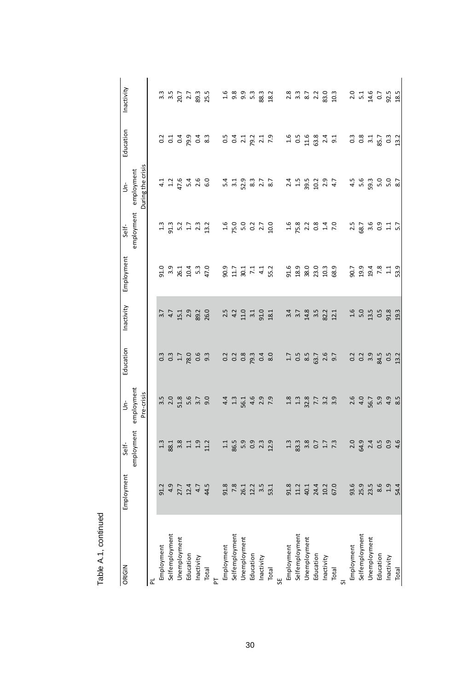| ORIGIN         | Employment    | Self-                                | ś             | Education                            | Inactivity                  | Employment               | Self-                                 | $\dot{\mathbf{5}}$      | Education                            | Inactivity          |
|----------------|---------------|--------------------------------------|---------------|--------------------------------------|-----------------------------|--------------------------|---------------------------------------|-------------------------|--------------------------------------|---------------------|
|                |               | employment                           | employment    |                                      |                             |                          | employment employment                 |                         |                                      |                     |
|                |               |                                      | Pre-crisis    |                                      |                             |                          |                                       | During the crisis       |                                      |                     |
| ᆮ              |               |                                      |               |                                      |                             |                          |                                       |                         |                                      |                     |
| Employment     | 91.2          | 1.3                                  | 3.5           | $0.\overline{3}$                     | 3.7                         | 91.0                     | 1.3                                   | 4.1                     | 0.2                                  | $3.\overline{3}$    |
| Selfemployment | 4.9           | 88.1                                 | 2.0           | 0.3                                  | 4.7                         |                          |                                       |                         | 0.1                                  | 3.5                 |
| Jnemployment   |               | $3.\overline{3}$<br>$1.\overline{1}$ | 51.8          | $1.7\,$                              | 15.1                        |                          |                                       | $1.2$<br>47.6           |                                      | 20.7                |
| Education      | 27.7<br>12.4  |                                      | 5.6           | 78.0                                 | 2.9                         | 3<br>2014<br>2014<br>20  | 3.2<br>5.2<br>5.2<br>5.3              |                         | $0.4$<br>$0.4$                       | 2.7                 |
| Inactivity     | 4.7           | 1.9                                  | 3.7           | 0.6                                  | 89.2                        |                          |                                       | 5.4<br>0.6<br>0.6       |                                      | 89.3<br>25.5        |
| Total          | 44.5          | 11.2                                 | 9.0           | 9.3                                  | 26.0                        | 47.0                     | 13.2                                  |                         | 8.3                                  |                     |
| 눈              |               |                                      |               |                                      |                             |                          |                                       |                         |                                      |                     |
| Employment     | 91.8          |                                      | 4.4           |                                      | 2.5                         | 90.9                     |                                       |                         |                                      | 1.6                 |
| Selfemployment | 7.8           | $1.1$<br>86.5                        | 1.3           |                                      | 4.2                         | $11.7$                   | $1.6$<br>75.0                         |                         | $0.5$<br>0.4                         | 9.8                 |
| Unemployment   | 26.1          | $5.9$<br>0.9                         | 56.1          | 0.28                                 | $11.0\,$                    | 30.1                     | $5.0$<br>0.2<br>2.7                   |                         | 2.1<br>2.2.1.9<br>2.1.9              | 9.9                 |
| Education      | 12.2          |                                      | 4.6           | 79.3                                 | 3.1                         |                          |                                       |                         |                                      | 53                  |
| Inactivity     | 3.5           | 2.3                                  | 2.9           | $0.4$<br>8.0                         | 91.0                        | 4.1                      |                                       |                         |                                      | 88.3                |
| Total          | 53.1          | 12.9                                 | 7.9           |                                      | 18.1                        | 55.2                     | 10.0                                  |                         |                                      | 18.2                |
| 뷙              |               |                                      |               |                                      |                             |                          |                                       |                         |                                      |                     |
| Employment     | 91.8          | 1.3                                  | 1.8           | 1.7                                  |                             | 91.6                     |                                       |                         | 1.6                                  | 2.8                 |
| Selfemployment | 11.2          | 83.3                                 | 1.3           | $0.5$ $8.5$                          |                             | 18.9                     |                                       | $2.4$<br>$1.5$<br>$2.5$ | 0.5                                  | $3.\overline{3}$    |
| Unemployment   | 40.1          | 3.8                                  | 32.8          |                                      |                             | 38.0                     |                                       |                         | 11.6                                 | 8.7                 |
| Education      | 24.4          | $0.7$<br>1.7                         | $7.7$<br>3.2  | 63.7<br>2.6                          | 1<br>1 7 8 10 2<br>1 1 8 20 | 23.0                     | 1<br>1 1 1 1 1 1 1 1<br>1 1 1 1 1 1 1 | $10.2$<br>$2.9$         | 63.8                                 | 2.2<br>83.0         |
| Inactivity     | 10.2          |                                      |               |                                      |                             | 10.3                     |                                       |                         | 2.4                                  |                     |
| Total          | 67.0          | $7.\overline{3}$                     | 3.9           | 9.7                                  | 12.1                        | 58.9                     |                                       | 4.7                     | 9.1                                  | 10.3                |
|                |               |                                      |               |                                      |                             |                          |                                       |                         |                                      |                     |
| Employment     | 93.6          |                                      | 2.6           | 0.2                                  | 1.6                         | 90.7                     | 2.5                                   | 4.5                     | $\frac{3}{2}$                        | 2.0                 |
| Selfemployment | 25.9          | 2.9<br>2.9<br>2.4                    | 4.0           | $0.\overline{2}$<br>$3.\overline{9}$ | $5.0$<br>13.5               | 19.4                     |                                       | 5.6<br>59.3             | $0.\overline{8}$<br>$3.\overline{1}$ | $5.1$<br>14.6       |
| Jnemployment   | 23.5          |                                      | 56.7          |                                      |                             |                          | 8.7<br>8.4 0.3 1<br>9.1 1<br>5.7      |                         |                                      |                     |
| Education      | 8.6           | $0.5$<br>$0.9$<br>$4.6$              | 5.9           | 84.5                                 | 0.5                         |                          |                                       |                         |                                      |                     |
| Inactivity     | $1.9$<br>54.4 |                                      | 4.9           | $0.5$<br>13.2                        | 91.8<br>19.3                | $7.\overline{3}$<br>53.9 |                                       | 5.0<br>5.0<br>8.7       | 85.7<br>0.3<br>13.2                  | 0.7<br>92.5<br>18.5 |
| Total          |               |                                      | $\frac{8}{3}$ |                                      |                             |                          |                                       |                         |                                      |                     |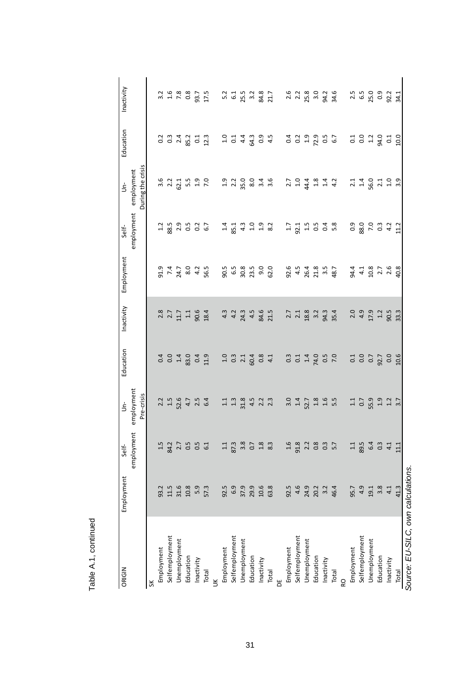| ORIGIN                             | Employment | Self-           | ś                                         | Education               | Inactivity | Employment      | Self-                | ś                        | Education            | Inactivity       |
|------------------------------------|------------|-----------------|-------------------------------------------|-------------------------|------------|-----------------|----------------------|--------------------------|----------------------|------------------|
|                                    |            | employment      | employment                                |                         |            |                 |                      | employment employment    |                      |                  |
|                                    |            |                 | Pre-crisis                                |                         |            |                 |                      | During the crisis        |                      |                  |
| š                                  |            |                 |                                           |                         |            |                 |                      |                          |                      |                  |
| Employment                         | 93.2       | 1.5             | 2.2                                       | 0.4                     | 2.8        | 91.9            |                      |                          | 0.2                  | 3.2              |
| Selfemployment                     | 11.5       | 84.2            | 1.5                                       | 0.0                     | 2.7        | $7.4$<br>24.7   |                      | $3.6$<br>$2.2$<br>$62.1$ | 0.3                  | 1.6              |
| Unemployment                       | 31.6       | $2.7$<br>0.5    | 52.6                                      | 1.4                     | 11.7       |                 | 88.5<br>8 2 9<br>0.5 |                          | 2.4                  | 7.8              |
| Education                          | 10.8       |                 | 4.7                                       | 83.0                    | $1.1\,$    | 8.0             |                      | 5.5                      | 85.2                 | 0.8              |
| Inactivity                         | 5.9        | $0.5$<br>$6.1$  | 2.5                                       | 0.4                     | 90.6       | 4.2             | $0.2$<br>$6.7$       | $1.9$<br>7.0             | $\overline{0}$       | 93.7             |
| Total                              | 57.3       |                 | 6.4                                       | 11.9                    | 18.4       | 56.5            |                      |                          | 12.3                 | 17.5             |
| ≚                                  |            |                 |                                           |                         |            |                 |                      |                          |                      |                  |
| Employment                         | 92.5       | 1.1             | 11                                        | 1.0                     | 4.3        | 90.5            | 1.4                  |                          | 1.0                  | 5.2              |
| Selfemployment                     | 6.9        | 87.3            | $1.3\,$                                   |                         | 4.2        | $6.5\,$         | 85.1                 | 1.9<br>2.2<br>35.0       | $\overline{0}$       | 6.1              |
| Unemployment                       | 37.9       | 3.8             | 31.8                                      | $0.\overline{3}$<br>2.1 | 24.3       | 30.8            | 4.3                  |                          | 4.4                  | 25.5             |
| Education                          | 29.9       | 0.7             | 4.5                                       | 60.4                    | 4.5        | 23.5            | 1.0                  |                          | 64.3                 | 3.2              |
| Inactivity                         | 10.6       | 1.8             | $2.\overline{3}$                          | 0.8                     | 84.6       | 9.0             | 1.9                  | 8 3 4<br>8 4 5           | 0.9                  | 84.8<br>21.7     |
| Total                              | 63.8       | 8.3             |                                           | 4.1                     | 21.5       | 62.0            | 8.2                  |                          | 4.5                  |                  |
| $\overline{a}$                     |            |                 |                                           |                         |            |                 |                      |                          |                      |                  |
| Employment                         | 92.5       | 1.6             | 3.0                                       | $0.\overline{3}$        | 2.7        | 92.6            | 1.7                  | 2.7                      | 0.4                  | 2.6              |
| Selfemployment                     | 4.6        | 91.8            |                                           | 0.1                     | $2.1\,$    | 4.5             | 92.1                 | $1.0\,$                  | $\sim$               |                  |
| Unemployment                       | 24.9       | 2.2             | $\frac{1.4}{52.7}$                        | 1.4                     | 18.8       | 26.4            | 1.5                  | 44.4                     | 1.9                  | $2.3$<br>$2.5.8$ |
| Education                          |            | <b>8</b> 3.7    |                                           | 74.0                    | 3.2        | $21.8$<br>$3.5$ |                      |                          |                      | 3.0              |
| Inactivity                         | 20.2       |                 | $\begin{array}{c} 1.8 \\ 1.6 \end{array}$ | $0.5$<br>7.0            | 94.3       |                 | $0.5$ $0.4$ $0.8$    | $1.3$<br>$1.4$<br>$1.2$  | $72.9$<br>0.5<br>6.7 | 94.2<br>34.6     |
| Total                              | 46.4       |                 | 5.5                                       |                         | 35.4       | 48.7            |                      |                          |                      |                  |
| ð                                  |            |                 |                                           |                         |            |                 |                      |                          |                      |                  |
| Employment                         | 95.7       | 1.1             | 1.1                                       | 0.1                     | 2.0        | 94.4            | 0.9                  | 2.1                      | 0.1                  | 2.5              |
| Selfemployment                     | 4.9        | 89.5            | 0.7                                       | 0.0                     | 4.9        | 4.1             | 88.0                 | 1.4                      | 0.0                  | 65               |
| Unemployment                       | 19.1       |                 | 55.9                                      | 0.7                     | 17.9       | 10.8            | 7.0                  | 56.0                     | 1.2                  | 25.0             |
| Education                          | 3.8        | $6.3$ $4.1$     |                                           | 92.7                    | $1.2\,$    | $2.7$<br>$2.6$  | $\ddot{\circ}$       |                          | 94.0                 | 0.9              |
| Inactivity                         | 4.1        |                 | $1.9$<br>$1.2$<br>$3.7$                   | 0.0                     | 90.5       |                 | 4.2                  | $2.1$<br>$1.0$<br>$3.9$  | $\overline{c}$       | 92.2             |
| Total                              | 41.3       | $\frac{11}{11}$ |                                           | 10.6                    | 33.3       | 40.8            | 11.2                 |                          | 10.0                 | 34.1             |
| Source: EU-SILC, own calculations. |            |                 |                                           |                         |            |                 |                      |                          |                      |                  |

Table A.1, continued Table A.1, continued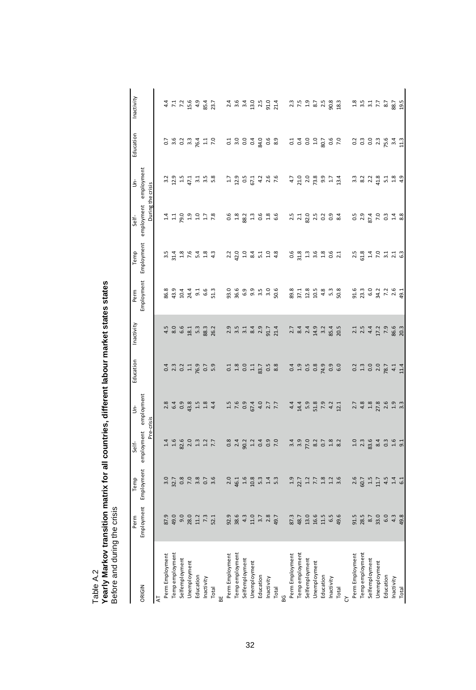| early Markov transition matrix for all countries, different labour market states states |
|-----------------------------------------------------------------------------------------|
| Before and during the crisis                                                            |

|                 | Perm                                                | Temp                                        | Self-                                                                            | ś                                         | Education                          | Inactivity                                | Perm                                    | Temp                                                    | Self-                                      | ś                                | Education                          | Inactivity                           |
|-----------------|-----------------------------------------------------|---------------------------------------------|----------------------------------------------------------------------------------|-------------------------------------------|------------------------------------|-------------------------------------------|-----------------------------------------|---------------------------------------------------------|--------------------------------------------|----------------------------------|------------------------------------|--------------------------------------|
| ORIGIN          |                                                     | Employment Employment employment employment |                                                                                  | Pre-crisis                                |                                    |                                           |                                         | Employment Employment                                   | employment employment<br>During the crisis |                                  |                                    |                                      |
| 능               |                                                     |                                             |                                                                                  |                                           |                                    |                                           |                                         |                                                         |                                            |                                  |                                    |                                      |
| Perm Employment |                                                     |                                             |                                                                                  |                                           |                                    |                                           | 86.8                                    |                                                         |                                            |                                  |                                    |                                      |
| empemployment   | 87 9 9 9 9 9 1 7 2<br>8 9 9 8 1 7 2 1               | 8<br>8 2 8 9 8 8 7 9<br>8 9 8 9 8 9 8       | $14600$<br>$250$                                                                 |                                           | a 3 3 4 5 6 5<br>2 5 5 5 6 7       | $4800$<br>$661$<br>$181$                  |                                         | n 4 8 9 4 8 9<br>3 4 5 6 4 9 4                          | $1100$ $150$                               | 2011<br>2012 11 2022             | 0.803410<br>0.803410               | 4 1 1 2 9 9 4 7<br>4 7 7 9 9 4 7     |
| Selfemployment  |                                                     |                                             |                                                                                  |                                           |                                    |                                           |                                         |                                                         |                                            |                                  |                                    |                                      |
| Jnemployment    |                                                     |                                             |                                                                                  |                                           |                                    |                                           |                                         |                                                         |                                            |                                  |                                    |                                      |
| Education       |                                                     |                                             | $1.3$<br>$1.2$<br>$7.7$                                                          | $\begin{array}{c} 1.5 \\ 1.8 \end{array}$ |                                    | 5.3                                       | 9<br>9 9 9 9 9 9 9<br>9 9 9 9 9 9       |                                                         |                                            |                                  |                                    |                                      |
| nactivity       |                                                     |                                             |                                                                                  |                                           |                                    | 88.3                                      |                                         |                                                         |                                            |                                  |                                    |                                      |
| Total           |                                                     |                                             |                                                                                  | 44                                        |                                    | 26.2                                      |                                         |                                                         |                                            |                                  |                                    |                                      |
| Perm Employment |                                                     |                                             |                                                                                  |                                           |                                    |                                           |                                         |                                                         |                                            |                                  |                                    |                                      |
| Temp employment | 9.8<br>이 8.8 4 11 m 2 8<br>이 8.9 7                  | $20$<br>$45$<br>$45$<br>$108$               |                                                                                  | $1.694077$<br>$7.769407$                  | 13301238                           |                                           | o woon o wo<br>go woo woo               | 22 22 32 32 32 32 32 33 34 35 36 37 38 39 30 31 32 33 4 | 32333636                                   | 12957288                         |                                    | 2 3 4 5 5 7 9 7 9 7<br>2 9 7 9 7 9 7 |
| Selfemployment  |                                                     |                                             |                                                                                  |                                           |                                    |                                           |                                         |                                                         |                                            |                                  |                                    |                                      |
| Unemployment    |                                                     |                                             |                                                                                  |                                           |                                    |                                           |                                         |                                                         |                                            |                                  |                                    |                                      |
| Education       |                                                     | $5.\overline{3}$ $4.\overline{3}$           |                                                                                  |                                           |                                    |                                           |                                         |                                                         |                                            |                                  |                                    |                                      |
| Inactivity      |                                                     |                                             |                                                                                  |                                           |                                    | $91.7$<br>21.4                            |                                         |                                                         |                                            |                                  |                                    |                                      |
| Total           |                                                     |                                             |                                                                                  |                                           |                                    |                                           |                                         |                                                         |                                            |                                  |                                    |                                      |
|                 |                                                     |                                             |                                                                                  |                                           |                                    |                                           |                                         |                                                         |                                            |                                  |                                    |                                      |
| Perm Employment |                                                     |                                             |                                                                                  | $\frac{4}{4}$                             |                                    |                                           |                                         |                                                         |                                            |                                  |                                    |                                      |
| Temp employment |                                                     |                                             |                                                                                  |                                           |                                    |                                           |                                         |                                                         |                                            |                                  |                                    |                                      |
| Selfemployment  | 8<br>8<br>8<br>9<br>9<br>9<br>9<br>9<br>9<br>9<br>9 |                                             |                                                                                  | 14.9.89.21<br>14.9.89.21                  |                                    | 2 3 4 4 9 2 4 5 6<br>2 8 7 4 9 7 8 9 7    | 8<br>8 5 7 8 9 9 9 9 9<br>8 7 1 9 4 5 9 | 0 8 9 9 9 9 9 9<br>0 1 1 1 1 1 0 1                      | 22222323                                   | 4 7 1 2 8 9 7 4<br>4 7 2 8 9 7 4 | 33335 36 2                         | 2.52528                              |
| Jnemployment    |                                                     |                                             |                                                                                  |                                           |                                    |                                           |                                         |                                                         |                                            |                                  |                                    |                                      |
| Education       |                                                     |                                             |                                                                                  |                                           |                                    |                                           |                                         |                                                         |                                            |                                  |                                    |                                      |
| Inactivity      |                                                     |                                             |                                                                                  |                                           |                                    |                                           |                                         |                                                         |                                            |                                  |                                    |                                      |
| Total           |                                                     |                                             |                                                                                  | 12.1                                      |                                    |                                           |                                         |                                                         |                                            |                                  |                                    | 18.3                                 |
|                 |                                                     |                                             |                                                                                  |                                           |                                    |                                           |                                         |                                                         |                                            |                                  |                                    |                                      |
| Perm Employment |                                                     |                                             |                                                                                  |                                           |                                    |                                           |                                         |                                                         |                                            |                                  |                                    |                                      |
| Temp employment |                                                     | $2.5$<br>$60.7$<br>$1.5$<br>$11.7$          |                                                                                  | $2.3$<br>$4.3$<br>$1.8$                   |                                    |                                           |                                         |                                                         |                                            |                                  |                                    |                                      |
| Selfemployment  |                                                     |                                             |                                                                                  |                                           |                                    |                                           |                                         |                                                         |                                            |                                  |                                    |                                      |
| Jnemployment    |                                                     |                                             |                                                                                  | 27.8                                      |                                    |                                           |                                         |                                                         |                                            |                                  |                                    |                                      |
| Education       |                                                     | 4.5                                         | 1<br>1<br>1<br>1<br>2<br>1<br>2<br>1<br>2<br>1<br>2<br>1<br>2<br>1<br>2<br>1<br> | $2.6$<br>$1.9$<br>$3.3$                   | 0 1 0 0 1 0 1 1<br>0 1 0 0 1 0 1 1 | 1<br>1 1 1 1 1 0 9 0 1<br>1 1 1 1 9 9 0 1 |                                         | 2<br>2 3 4 0 4 4 5 4<br>2 4 5 4 7 8 9                   | <b>222222322</b><br>222222                 | 2223123139<br>2224124            | 2 3 9 3 4 5 4 7<br>2 9 9 9 9 9 9 9 |                                      |
| nactivity       |                                                     | $1.4$ 6.1                                   |                                                                                  |                                           |                                    |                                           |                                         |                                                         |                                            |                                  |                                    |                                      |
| Total           |                                                     |                                             |                                                                                  |                                           |                                    |                                           |                                         |                                                         |                                            |                                  |                                    |                                      |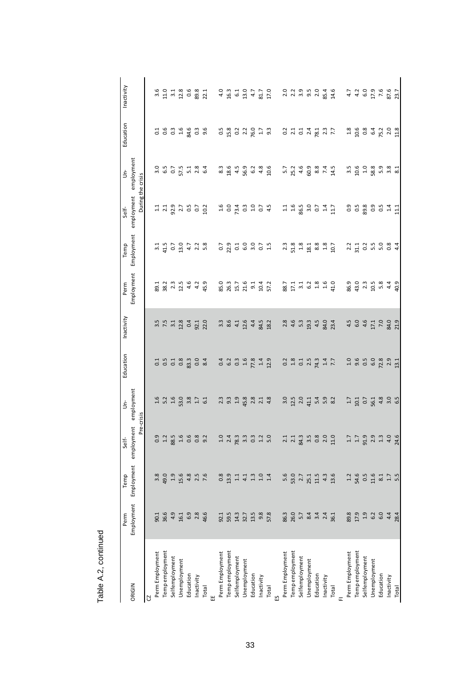|                       | Perm                                | Temp                                 | Self-                             | ś                                  | Education                          | Inactivity                     | Perm                                      | Temp                    | Self-                            | ś                                                                                                                   | Education                          | Inactivity              |
|-----------------------|-------------------------------------|--------------------------------------|-----------------------------------|------------------------------------|------------------------------------|--------------------------------|-------------------------------------------|-------------------------|----------------------------------|---------------------------------------------------------------------------------------------------------------------|------------------------------------|-------------------------|
| ORIGIN                | Employment                          |                                      | Employment employment employment  |                                    |                                    |                                |                                           | Employment Employment   | employment employment            |                                                                                                                     |                                    |                         |
|                       |                                     |                                      | Pre-crisis                        |                                    |                                    |                                |                                           |                         | During the crisis                |                                                                                                                     |                                    |                         |
| S                     |                                     |                                      |                                   |                                    |                                    |                                |                                           |                         |                                  |                                                                                                                     |                                    |                         |
| Perm Employment       |                                     | 3.8                                  | 0.9                               |                                    |                                    |                                |                                           | $\frac{1}{2}$           |                                  |                                                                                                                     |                                    |                         |
| <b>Tempemployment</b> | 90.1<br>36.6                        | 49.0                                 |                                   | 1<br>1 5 1 1 1 2 3<br>1 1 3 3 4    | 3 3 3 3 3 3 3 3<br>3 4 5 3 3 3 3 4 | $3.5$<br>7.5<br>3.1            | 83235                                     | $41.5$<br>0.7<br>13.0   | 1139.755                         | 1<br>1<br>1<br>1<br>1<br>1<br>1<br>1<br>2<br>1<br>2<br>1<br>2<br>1<br>2<br>1<br>2<br>1<br>1<br>1<br>1<br>1<br>1<br> | 169999996                          |                         |
| Selfemployment        |                                     | $1.9$<br>15.6                        | $1.2$<br>$80.5$<br>$1.6$<br>$0.6$ |                                    |                                    |                                |                                           |                         |                                  |                                                                                                                     |                                    |                         |
| Jnemployment          | $4.9$<br>$4.1$ $6.3$<br>$2.8$       |                                      |                                   |                                    |                                    | 12.8                           |                                           |                         |                                  |                                                                                                                     |                                    |                         |
| Education             |                                     |                                      |                                   |                                    |                                    | 0.4                            | 4.6                                       | $4.7$<br>$2.3$<br>$5.8$ |                                  |                                                                                                                     |                                    |                         |
| nactivity             |                                     | $4.8$<br>$2.5$<br>7.6                | 0.8<br>9.2                        | $1.7$<br>$6.1$                     |                                    | 92.1                           | $4.2$<br>45.9                             |                         |                                  |                                                                                                                     |                                    |                         |
| Total                 | 46.6                                |                                      |                                   |                                    |                                    | 22.0                           |                                           |                         |                                  |                                                                                                                     |                                    |                         |
|                       |                                     |                                      |                                   |                                    |                                    |                                |                                           |                         |                                  |                                                                                                                     |                                    |                         |
| Perm Employment       |                                     |                                      |                                   |                                    |                                    | 3.3                            |                                           | $\overline{0.7}$        |                                  |                                                                                                                     |                                    |                         |
| <b>Tempemployment</b> |                                     |                                      |                                   |                                    |                                    |                                |                                           |                         |                                  |                                                                                                                     |                                    |                         |
| Selfemployment        |                                     |                                      |                                   | 23345                              |                                    | $8.5$<br>$4.1$<br>$12.6$       |                                           |                         |                                  |                                                                                                                     |                                    | 4 3 5 9<br>4 9 9 9      |
| Jnemployment          |                                     |                                      |                                   |                                    |                                    |                                |                                           |                         |                                  | 8<br>8 8 9 9 9 9<br>8 9 9 9 0                                                                                       |                                    |                         |
| Education             |                                     | 8 9 1 1 1 1 1 1 1<br>8 9 1 1 1 1 1 1 | o 4 m m m n 0<br>H N & m 0 H n    | 2.8                                |                                    | 4.4                            |                                           | 2100221                 | 10 10 10 10 11<br>10 10 10 10 11 |                                                                                                                     | 5 3 3 3 9 5 5 9<br>5 5 6 7 9 5 9   | 47                      |
| Inactivity            | 9.8                                 |                                      |                                   | $2.\overline{3}$<br>4.8            | $1.4$<br>$12.9$                    | 84.5                           |                                           |                         |                                  | 4.8                                                                                                                 |                                    | 81.7<br>17.0            |
| Total                 | 57.8                                |                                      |                                   |                                    |                                    | 18.2                           |                                           |                         |                                  | 10.6                                                                                                                |                                    |                         |
|                       |                                     |                                      |                                   |                                    |                                    |                                |                                           |                         |                                  |                                                                                                                     |                                    |                         |
| Perm Employment       |                                     |                                      |                                   |                                    |                                    |                                |                                           | 23                      |                                  |                                                                                                                     |                                    |                         |
| Tempemployment        |                                     |                                      |                                   |                                    |                                    |                                |                                           |                         |                                  |                                                                                                                     |                                    |                         |
| Selfemployment        |                                     | 5.0<br>53.7<br>53.7<br>51.5          |                                   | a n o r r a o x<br>a n o r r a o x | 233233417                          | 2.8<br>2.4<br>5.3<br>19.3      | 0<br>8 1 1 1 2 8 9 9 9<br>8 1 1 2 3 9 9 9 | 23<br>23283<br>2428     | 119 S 30 2 4 1<br>119 S 30 2 4 1 | r 2 3 4 5 8 9 7<br>P 3 4 5 8 9 7                                                                                    | 2 1 1 1 1 1 2 2 2 2                | 2 2 3 5 2<br>2 3 3 9 2  |
| Unemployment          |                                     |                                      |                                   |                                    |                                    |                                |                                           |                         |                                  |                                                                                                                     |                                    |                         |
| Education             |                                     |                                      |                                   |                                    |                                    | 4.5                            |                                           |                         |                                  |                                                                                                                     |                                    |                         |
| nactivity             |                                     | 4.3                                  |                                   |                                    |                                    | 84.0                           |                                           |                         |                                  |                                                                                                                     |                                    | 85.4<br>14.6            |
| Total                 |                                     | 13.6                                 |                                   |                                    |                                    | 23.4                           |                                           | 10.7                    |                                  | 14.5                                                                                                                |                                    |                         |
|                       |                                     |                                      |                                   |                                    |                                    |                                |                                           |                         |                                  |                                                                                                                     |                                    |                         |
| Perm Employment       |                                     | $\frac{1}{2}$                        |                                   | $\ddot{ }$                         |                                    | 4.5                            |                                           |                         |                                  |                                                                                                                     |                                    |                         |
| <b>Tempemployment</b> |                                     |                                      |                                   |                                    |                                    |                                |                                           |                         |                                  |                                                                                                                     |                                    |                         |
| Selfemployment        |                                     |                                      |                                   |                                    |                                    |                                |                                           |                         |                                  |                                                                                                                     |                                    |                         |
| Jnemployment          | 8<br>8 1 1 6 6 4 8<br>8 1 1 6 6 4 8 | 54.011<br>54.0112.012                | $1.7999006$<br>$1.7990006$        |                                    |                                    | $6.0$<br>$4.5$<br>$7.1$<br>7.0 |                                           | 2<br>2 1 2 2 2 3 4 4    | e n se e n 4 H<br>e n se e n 4 H |                                                                                                                     | a g a g a y a g<br>d g a g a y a g | $44099607$<br>$4407560$ |
| ducation              |                                     |                                      |                                   |                                    |                                    |                                |                                           |                         |                                  |                                                                                                                     |                                    |                         |
| <b>Inactivity</b>     |                                     |                                      |                                   |                                    |                                    | 84.0<br>21.9                   | $4.4$<br>40.9                             |                         |                                  |                                                                                                                     |                                    |                         |
| <b>Total</b>          |                                     |                                      |                                   |                                    |                                    |                                |                                           |                         |                                  |                                                                                                                     |                                    |                         |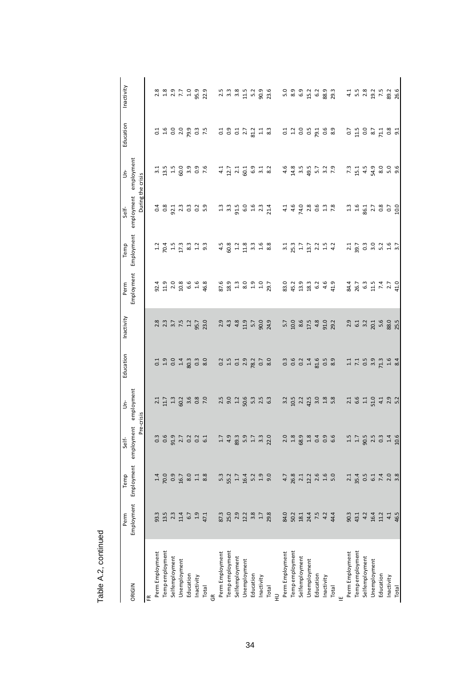|                       | Perm                                  | Temp                | Self-                            | ś                                  | Education                                                                                                                                                                                                                                                                                                               | Inactivity    | Perm                                    | Temp                                    | Self-                            | ś                                     | Education                                | Inactivity                           |
|-----------------------|---------------------------------------|---------------------|----------------------------------|------------------------------------|-------------------------------------------------------------------------------------------------------------------------------------------------------------------------------------------------------------------------------------------------------------------------------------------------------------------------|---------------|-----------------------------------------|-----------------------------------------|----------------------------------|---------------------------------------|------------------------------------------|--------------------------------------|
| ORIGIN                | Employment                            |                     | Employment employment employment |                                    |                                                                                                                                                                                                                                                                                                                         |               | Employment                              | Employment                              | employment employment            |                                       |                                          |                                      |
|                       |                                       |                     | Pre-crisis                       |                                    |                                                                                                                                                                                                                                                                                                                         |               |                                         |                                         | During the crisis                |                                       |                                          |                                      |
| 뚠                     |                                       |                     |                                  |                                    |                                                                                                                                                                                                                                                                                                                         |               |                                         |                                         |                                  |                                       |                                          |                                      |
| Perm Employment       |                                       |                     |                                  | $\overline{c}$                     |                                                                                                                                                                                                                                                                                                                         |               | 92.4                                    | $\frac{1}{2}$                           |                                  | $\frac{1}{3}$                         |                                          |                                      |
| Tempemployment        | 3<br>3 1 2 1 1 0 1 1<br>3 1 1 1 0 1 1 | 1<br>1005 % 1 %     | 6 9 1 2 2 3 4<br>6 5 1 2 6 6     | 11.7                               | <b>G H S H S S S S</b>                                                                                                                                                                                                                                                                                                  |               | $13086688$<br>$1409648$                 |                                         |                                  | 13 13 0 10 10 10<br>13 10 10 10 10 11 | cie o o o o o o cie<br>Cie o o o o o cie | 8 8 9 9 7 9 9 9<br>2 8 9 7 7 9 9 9 9 |
| Selfemployment        |                                       |                     |                                  |                                    |                                                                                                                                                                                                                                                                                                                         |               |                                         |                                         |                                  |                                       |                                          |                                      |
| Jnemployment          |                                       |                     |                                  |                                    |                                                                                                                                                                                                                                                                                                                         |               |                                         |                                         |                                  |                                       |                                          |                                      |
| Education             |                                       |                     |                                  |                                    |                                                                                                                                                                                                                                                                                                                         |               |                                         |                                         |                                  |                                       |                                          |                                      |
| Inactivity            |                                       |                     |                                  |                                    |                                                                                                                                                                                                                                                                                                                         | 95.7          |                                         |                                         |                                  |                                       |                                          |                                      |
| Total                 |                                       |                     |                                  |                                    |                                                                                                                                                                                                                                                                                                                         | 23.0          |                                         |                                         |                                  |                                       |                                          |                                      |
|                       |                                       |                     |                                  |                                    |                                                                                                                                                                                                                                                                                                                         |               |                                         |                                         |                                  |                                       |                                          |                                      |
| Perm Employment       |                                       |                     |                                  |                                    |                                                                                                                                                                                                                                                                                                                         | 2.9           |                                         | 4.5                                     |                                  |                                       |                                          |                                      |
| Temp employment       |                                       |                     |                                  |                                    |                                                                                                                                                                                                                                                                                                                         | 4.3           |                                         |                                         |                                  |                                       |                                          |                                      |
| Selfemployment        |                                       |                     |                                  |                                    |                                                                                                                                                                                                                                                                                                                         | $4.8$<br>11.9 |                                         |                                         |                                  |                                       |                                          |                                      |
| Unemployment          |                                       |                     | 1 4 8 5 1 1 1 2 2 2              | n o n e m n m<br>n o n e m n m     | $\begin{array}{c} 2 & 1 & 2 & 3 & 5 & 6 \\ 3 & 1 & 2 & 3 & 6 & 6 \\ 4 & 1 & 3 & 6 & 6 & 8 \\ 5 & 6 & 1 & 6 & 6 & 8 \\ 6 & 1 & 3 & 6 & 6 & 8 \\ 7 & 8 & 1 & 6 & 6 & 8 \\ 8 & 1 & 1 & 6 & 6 & 8 \\ 9 & 1 & 1 & 1 & 1 & 1 \\ 10 & 1 & 1 & 1 & 1 & 1 \\ 11 & 1 & 1 & 1 & 1 & 1 \\ 12 & 1 & 1 & 1 & 1 & 1 \\ 13 & 1 & 1 & 1$ |               | 8<br>8 2 3 3 4 5 9 7<br>8 3 4 5 9 7     | 82<br>823334                            |                                  | 4 1 1 1 1 9 1 1 2<br>4 1 1 1 9 1 1 2  | 3 3 3 4 5 4 5 8                          | 23 34 35 36 36 36 36 36 36 36 37     |
| Education             |                                       |                     |                                  |                                    |                                                                                                                                                                                                                                                                                                                         | 5.7           |                                         |                                         |                                  |                                       |                                          |                                      |
| Inactivity            |                                       |                     |                                  |                                    |                                                                                                                                                                                                                                                                                                                         | 90.0          |                                         |                                         |                                  |                                       |                                          |                                      |
| Total                 | 29.8                                  |                     |                                  |                                    |                                                                                                                                                                                                                                                                                                                         | 24.9          |                                         | 8.8                                     |                                  |                                       |                                          |                                      |
|                       |                                       |                     |                                  |                                    |                                                                                                                                                                                                                                                                                                                         |               |                                         |                                         |                                  |                                       |                                          |                                      |
| Perm Employment       |                                       |                     |                                  |                                    |                                                                                                                                                                                                                                                                                                                         |               |                                         |                                         |                                  |                                       |                                          |                                      |
| Temp employment       |                                       |                     |                                  |                                    |                                                                                                                                                                                                                                                                                                                         |               |                                         |                                         |                                  |                                       |                                          |                                      |
| Selfemployment        | 8 5 8 8 7 7 4<br>8 9 8 8 7 7 4        |                     | 0 8 9 8 9 9 9 0<br>0 9 9 9 9 9 0 | 2<br>22 22 32 32 33<br>23 32 33 34 |                                                                                                                                                                                                                                                                                                                         |               | 8<br>8 4 5 8 9 9 4 5<br>8 9 5 9 9 9 9 9 |                                         | 4 4 4 5 5 5 7 8<br>4 4 4 5 6 7 8 |                                       | sus a graces                             | c 3 3 3 4 5 8 7<br>2 8 9 7 8 9 8 7   |
| Jnemployment          |                                       |                     |                                  |                                    |                                                                                                                                                                                                                                                                                                                         |               |                                         |                                         |                                  |                                       |                                          |                                      |
| Education             |                                       |                     |                                  |                                    |                                                                                                                                                                                                                                                                                                                         |               |                                         |                                         |                                  |                                       |                                          |                                      |
| nactivity             |                                       |                     |                                  |                                    |                                                                                                                                                                                                                                                                                                                         | 91.0          |                                         |                                         |                                  |                                       |                                          |                                      |
| Total                 | 44.4                                  |                     |                                  |                                    |                                                                                                                                                                                                                                                                                                                         | 29.2          |                                         | $\frac{2}{4}$                           |                                  |                                       |                                          |                                      |
|                       |                                       |                     |                                  |                                    |                                                                                                                                                                                                                                                                                                                         |               |                                         |                                         |                                  |                                       |                                          |                                      |
| Perm Employment       |                                       |                     |                                  |                                    |                                                                                                                                                                                                                                                                                                                         |               |                                         |                                         |                                  |                                       |                                          |                                      |
| <b>Tempemployment</b> |                                       |                     |                                  |                                    |                                                                                                                                                                                                                                                                                                                         |               |                                         |                                         |                                  |                                       |                                          |                                      |
| Selfemployment        | 9 3 4 5 1 4 5<br>9 3 4 5 1 4 5        | 21452408<br>2154528 | 11921019<br>11921019             |                                    | $11.759$<br>$71.759$<br>$71.7$                                                                                                                                                                                                                                                                                          |               | 8 18 19 19 19 19<br>8 19 19 19 19 19    | 21 2 3 3 3 4 5 7<br>2 3 5 9 8 9 9 9 9 9 | 115 x 105 000                    |                                       | crescress                                | 458252826                            |
| Jnemployment          |                                       |                     |                                  |                                    |                                                                                                                                                                                                                                                                                                                         |               |                                         |                                         |                                  |                                       |                                          |                                      |
| ducation              |                                       |                     |                                  |                                    |                                                                                                                                                                                                                                                                                                                         |               |                                         |                                         |                                  |                                       |                                          |                                      |
| nactivity             |                                       |                     |                                  |                                    | $1.6$<br>8.4                                                                                                                                                                                                                                                                                                            | 88.0<br>25.5  |                                         |                                         |                                  |                                       |                                          |                                      |
| <b>Total</b>          |                                       |                     |                                  |                                    |                                                                                                                                                                                                                                                                                                                         |               |                                         |                                         |                                  |                                       |                                          |                                      |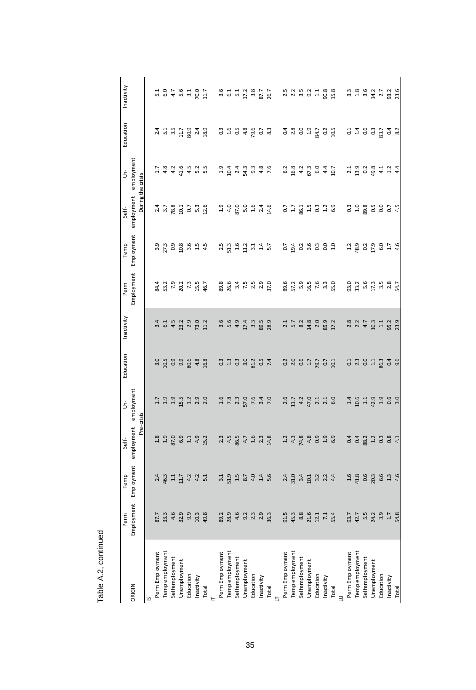|                       | Perm                    | Temp                           | Self-                                   | ś                                                | iducation                                                                                                                                                                                                                                                                                                                       | Inactivity                       | Perm                                       | Temp                              | Self-                              | ś                                | Education                                                                                                                               | Inactivity                                |
|-----------------------|-------------------------|--------------------------------|-----------------------------------------|--------------------------------------------------|---------------------------------------------------------------------------------------------------------------------------------------------------------------------------------------------------------------------------------------------------------------------------------------------------------------------------------|----------------------------------|--------------------------------------------|-----------------------------------|------------------------------------|----------------------------------|-----------------------------------------------------------------------------------------------------------------------------------------|-------------------------------------------|
| ORIGIN                | Employment              | Employment                     | employment employment                   |                                                  |                                                                                                                                                                                                                                                                                                                                 |                                  |                                            | Employment Employment             | employment employment              |                                  |                                                                                                                                         |                                           |
|                       |                         |                                | Pre-crisis                              |                                                  |                                                                                                                                                                                                                                                                                                                                 |                                  |                                            |                                   | During the crisis                  |                                  |                                                                                                                                         |                                           |
| S                     |                         |                                |                                         |                                                  |                                                                                                                                                                                                                                                                                                                                 |                                  |                                            |                                   |                                    |                                  |                                                                                                                                         |                                           |
| Perm Employment       |                         |                                | 1.8                                     | $\frac{17}{2}$                                   |                                                                                                                                                                                                                                                                                                                                 |                                  | 84.4                                       |                                   |                                    |                                  |                                                                                                                                         |                                           |
| <b>Tempemployment</b> |                         | $2.4$<br>46.3                  |                                         | $\begin{array}{c} 1.9 \\ 1.9 \\ 1.5 \end{array}$ |                                                                                                                                                                                                                                                                                                                                 | 3.4<br>5.4<br>5.2<br>23.2        | $3.2$<br>$7.9$<br>$7.3$<br>$7.3$<br>$15.5$ |                                   | 2.5 8 2 5 5 5 7<br>2.6 8 2 5 7 7 8 | 1 3 3 4 4<br>1 4 4 4 4           | 1<br>1 1 1 1 1 2 1 1 2<br>1 1 1 2 1 2 1 2                                                                                               | r 107 4 11 11 12 11<br>107 4 11 11 12 13  |
| Selfemployment        |                         | $1.1$ $11.7$                   | $\frac{1.9}{87.0}$                      |                                                  |                                                                                                                                                                                                                                                                                                                                 |                                  |                                            |                                   |                                    |                                  |                                                                                                                                         |                                           |
| Unemployment          |                         |                                |                                         |                                                  |                                                                                                                                                                                                                                                                                                                                 |                                  |                                            |                                   |                                    |                                  |                                                                                                                                         |                                           |
| Education             |                         | $4.2$<br>$4.2$<br>$5.1$        | $11$                                    | $1.3$<br>$2.9$<br>$2.0$                          |                                                                                                                                                                                                                                                                                                                                 | 2.9                              |                                            |                                   |                                    |                                  |                                                                                                                                         |                                           |
| nactivity             |                         |                                | 4.9                                     |                                                  |                                                                                                                                                                                                                                                                                                                                 | 73.0                             |                                            | $1.5$<br>$4.5$                    |                                    | 5.2<br>5.5                       |                                                                                                                                         |                                           |
| Total                 | 49.8                    |                                | 15.2                                    |                                                  | 16.8                                                                                                                                                                                                                                                                                                                            | 11.2                             | 46.7                                       |                                   |                                    |                                  |                                                                                                                                         |                                           |
|                       |                         |                                |                                         |                                                  |                                                                                                                                                                                                                                                                                                                                 |                                  |                                            |                                   |                                    |                                  |                                                                                                                                         |                                           |
| Perm Employment       |                         |                                |                                         |                                                  |                                                                                                                                                                                                                                                                                                                                 |                                  |                                            | 2.5                               |                                    |                                  |                                                                                                                                         |                                           |
| <b>Tempemployment</b> |                         |                                |                                         |                                                  |                                                                                                                                                                                                                                                                                                                                 |                                  |                                            |                                   |                                    |                                  |                                                                                                                                         |                                           |
| Selfemployment        |                         |                                |                                         |                                                  |                                                                                                                                                                                                                                                                                                                                 |                                  |                                            |                                   |                                    |                                  |                                                                                                                                         |                                           |
| Jnemployment          |                         |                                |                                         |                                                  |                                                                                                                                                                                                                                                                                                                                 |                                  |                                            | $3.3$<br>$1.6$<br>$1.2$<br>$3.1$  |                                    |                                  |                                                                                                                                         |                                           |
| Education             |                         |                                |                                         |                                                  |                                                                                                                                                                                                                                                                                                                                 | 3.3                              | 8<br>8 8 8 7 8 9 9 9<br>8 8 7 8 9 9 9 9    |                                   |                                    | 101413186<br>101419186           |                                                                                                                                         | 3.6 13.7 3.7 2.8 1<br>3.6 1 1 2.8 1 2.9 1 |
| nactivity             |                         |                                |                                         |                                                  |                                                                                                                                                                                                                                                                                                                                 | 89.5<br>28.9                     |                                            | $1.4$<br>5.7                      |                                    |                                  |                                                                                                                                         |                                           |
| Total                 |                         |                                |                                         |                                                  |                                                                                                                                                                                                                                                                                                                                 |                                  |                                            |                                   |                                    |                                  |                                                                                                                                         |                                           |
|                       |                         |                                |                                         |                                                  |                                                                                                                                                                                                                                                                                                                                 |                                  |                                            |                                   |                                    |                                  |                                                                                                                                         |                                           |
| Perm Employment       | $91.5$<br>$45.3$        |                                |                                         | 2.6                                              |                                                                                                                                                                                                                                                                                                                                 |                                  |                                            |                                   |                                    |                                  |                                                                                                                                         |                                           |
| Temp employment       |                         | 2<br>12 3 4 5 9 9 9 4 9        | 1<br>1 1 1 2 1 0 1 0<br>1 1 1 1 1 0 1 0 | $11300$<br>$130110$<br>$1100$                    | $\begin{array}{c} 2 & 0 & 0 & 0 \\ 0 & 0 & 0 & 0 \\ 0 & 0 & 0 & 0 \\ 0 & 0 & 0 & 0 \\ 0 & 0 & 0 & 0 \\ 0 & 0 & 0 & 0 \\ 0 & 0 & 0 & 0 \\ 0 & 0 & 0 & 0 \\ 0 & 0 & 0 & 0 \\ 0 & 0 & 0 & 0 \\ 0 & 0 & 0 & 0 \\ 0 & 0 & 0 & 0 \\ 0 & 0 & 0 & 0 \\ 0 & 0 & 0 & 0 \\ 0 & 0 & 0 & 0 \\ 0 & 0 & 0 & 0 \\ 0 & 0 & 0 & 0 & 0 \\ 0 & 0 &$ | $7.7$<br>$5.2$<br>$6.8$<br>$14$  | 8<br>8 5 7 8 9 9 9 9 9<br>8 5 9 9 9 9 9 9  |                                   | ch gheada                          |                                  |                                                                                                                                         | 22521382                                  |
| Selfemployment        | 8.8<br>21<br>7.1<br>7.1 |                                |                                         |                                                  |                                                                                                                                                                                                                                                                                                                                 |                                  |                                            |                                   |                                    |                                  |                                                                                                                                         |                                           |
| Unemployment          |                         |                                |                                         |                                                  |                                                                                                                                                                                                                                                                                                                                 |                                  |                                            |                                   |                                    |                                  |                                                                                                                                         |                                           |
| Education             |                         |                                |                                         |                                                  |                                                                                                                                                                                                                                                                                                                                 | 2.0                              |                                            |                                   |                                    |                                  |                                                                                                                                         |                                           |
| nactivity             |                         |                                |                                         |                                                  |                                                                                                                                                                                                                                                                                                                                 | 85.9                             |                                            |                                   |                                    |                                  |                                                                                                                                         |                                           |
| Total                 | 55.4                    |                                |                                         |                                                  |                                                                                                                                                                                                                                                                                                                                 | 17.2                             |                                            |                                   |                                    | 10.7                             |                                                                                                                                         |                                           |
|                       |                         |                                |                                         |                                                  |                                                                                                                                                                                                                                                                                                                                 |                                  |                                            |                                   |                                    |                                  |                                                                                                                                         |                                           |
| Perm Employment       |                         |                                |                                         |                                                  |                                                                                                                                                                                                                                                                                                                                 | 2.8                              |                                            | 1.2                               |                                    |                                  |                                                                                                                                         |                                           |
| <b>Tempemployment</b> |                         |                                |                                         |                                                  |                                                                                                                                                                                                                                                                                                                                 |                                  |                                            |                                   |                                    |                                  |                                                                                                                                         |                                           |
| Selfemployment        |                         | e a e a e a e<br>H d d d e d e |                                         | 1919000                                          | $0.1$<br>$0.1$<br>$0.1$<br>$0.1$<br>$0.3$                                                                                                                                                                                                                                                                                       | $2.3$<br>$4.7$<br>$1.3$<br>$1.1$ |                                            | 8<br>8 8 9 9 9 9 9<br>8 9 9 9 9 9 |                                    | 21 31 32 32 4<br>21 31 32 4 52 4 | 1<br>1<br>1<br>1<br>1<br>1<br>2<br>2<br>2<br>2<br>2<br>2<br>2<br>2<br>2<br>1<br>2<br>2<br>1<br>2<br>1<br>1<br>2<br>1<br>1<br>1<br>2<br> |                                           |
| Jnemployment          |                         |                                |                                         |                                                  |                                                                                                                                                                                                                                                                                                                                 |                                  |                                            |                                   |                                    |                                  |                                                                                                                                         |                                           |
| Education             |                         |                                |                                         |                                                  |                                                                                                                                                                                                                                                                                                                                 |                                  |                                            |                                   |                                    |                                  |                                                                                                                                         |                                           |
| nactivity             | $1.7$<br>54.8           |                                |                                         |                                                  | 0.4                                                                                                                                                                                                                                                                                                                             | 95.2<br>23.9                     |                                            |                                   |                                    |                                  |                                                                                                                                         |                                           |
| Total                 |                         |                                |                                         |                                                  |                                                                                                                                                                                                                                                                                                                                 |                                  |                                            |                                   |                                    |                                  |                                                                                                                                         |                                           |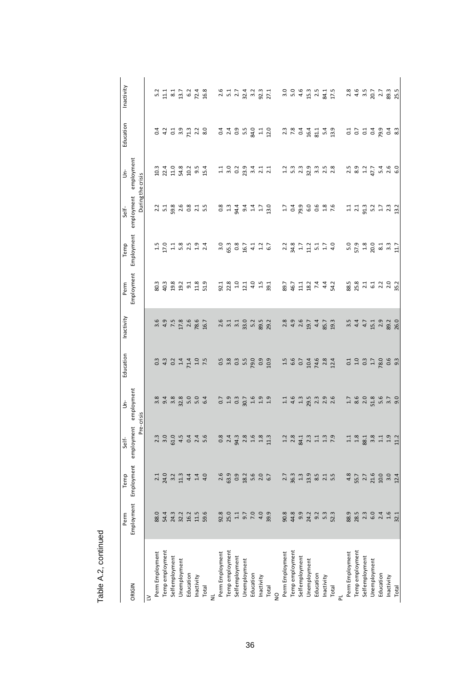|                       | Perm                                       | Temp                              | Self-                                          | ś                             | Education                                 | Inactivity   | Perm               | Temp                         | Self-                                      | ś                   | Education                                  | Inactivity                           |
|-----------------------|--------------------------------------------|-----------------------------------|------------------------------------------------|-------------------------------|-------------------------------------------|--------------|--------------------|------------------------------|--------------------------------------------|---------------------|--------------------------------------------|--------------------------------------|
| DRIGIN                | Employment                                 |                                   | Employment employment employment<br>Pre-crisis |                               |                                           |              |                    | Employment Employment        | employment employment<br>During the crisis |                     |                                            |                                      |
| ≥                     |                                            |                                   |                                                |                               |                                           |              |                    |                              |                                            |                     |                                            |                                      |
| Perm Employment       |                                            | 2.1                               |                                                |                               |                                           | 3.6          | 80.3               | $\frac{15}{11}$              |                                            |                     |                                            |                                      |
| <b>Tempemployment</b> | 0 4 m n n n<br>88 5 4 5 1 5 1              | 24.0                              | 2.3<br>2.9<br>2.9<br>4.5                       | 8<br>8 9 9 8 9<br>8 9 8 9 8   | o 4 o 4 4 9 5<br>0 4 0 4 4 9 5            | 4.9          | 40.3               | 17.0                         | $\begin{array}{c} 2.2 \\ 5.1 \end{array}$  | 10.3<br>22.4        | a 11 12 11 12 12 13 14 15 16 17 17 18 18 1 | 21122248<br>2122248                  |
| Selfemployment        |                                            | $3.2$<br>11.3                     |                                                |                               |                                           | 7.5          | 19.8               |                              |                                            | $11.0$<br>54.8      |                                            |                                      |
| Jnemployment          |                                            |                                   |                                                |                               |                                           | 17.8         |                    |                              |                                            |                     |                                            |                                      |
| Education             |                                            | 4.4                               | $0.4$<br>$2.4$<br>$5.6$                        | $5.0$<br>$5.0$<br>$6.4$       |                                           | 2.6          | $19.2$<br>$9.1$    | $138594$<br>$134$            | 8<br>8 8 8 9 1 9<br>8 1 0 1 1              | 0.354               |                                            |                                      |
| nactivity             |                                            | 1.4                               |                                                |                               |                                           | 78.6         | 11.8               |                              |                                            |                     |                                            |                                      |
| <b>Total</b>          | 59.6                                       |                                   |                                                |                               |                                           | 16.7         | 51.9               |                              |                                            |                     |                                            |                                      |
| Perm Employment       |                                            | 2.6                               |                                                |                               |                                           |              | 92.1               |                              | 0.8                                        |                     |                                            |                                      |
| <b>Tempemployment</b> |                                            |                                   | 8 3 4 5 8 9 9 9 1<br>8 7 4 8 9 9 9 1           |                               | n ∞ m n o o o<br>o m o n p o o            | $2.5 + 7.1$  |                    |                              |                                            | 12233411<br>1223411 |                                            |                                      |
| Selfemployment        |                                            | 9<br>8<br>9<br>9<br>2             |                                                |                               |                                           |              | 23 5 5 5 5 5 7 8 7 |                              | 고 4 4 4 7<br>고 4 4 4 7                     |                     |                                            |                                      |
| Unemployment          |                                            |                                   |                                                |                               |                                           | 33.0         |                    |                              |                                            |                     |                                            |                                      |
| Education             |                                            | $5.6$<br>$2.0$<br>$6.7$           |                                                |                               |                                           | 5.2          |                    |                              |                                            |                     |                                            |                                      |
| nactivity             |                                            |                                   |                                                |                               |                                           | 89.5<br>29.2 |                    |                              |                                            |                     |                                            |                                      |
| <b>Total</b>          | 39.9                                       |                                   |                                                |                               |                                           |              |                    |                              | 13.0                                       |                     |                                            |                                      |
|                       |                                            |                                   |                                                |                               |                                           |              |                    |                              |                                            |                     |                                            |                                      |
| Perm Employment       |                                            |                                   |                                                |                               |                                           | 2.8          | 89.7               |                              |                                            |                     |                                            |                                      |
| <b>Tempemployment</b> |                                            |                                   |                                                |                               |                                           |              | 46.7               |                              |                                            |                     |                                            |                                      |
| Selfemployment        | 8 8 9 9 1 1 1 1<br>8 4 9 1 9 1 9           |                                   | 12 3 4 5 4 5 5 6 7<br>1 8 4 5 7 5 9            | $1.1$<br>4.5<br>$1.3$<br>29.5 | 1<br>1600 408 4<br>1600 400               | $4.9$<br>2.6 | 122442             | 22221774<br>22211774         |                                            | 123333428           | 22241149<br>2241149                        | a 5 5 4 5 5 5 7 5<br>3 5 4 5 7 5 7 7 |
| Jnemployment          |                                            |                                   |                                                |                               |                                           | 19.7         |                    |                              |                                            |                     |                                            |                                      |
| ducation              |                                            |                                   |                                                |                               |                                           | 4.4          |                    |                              |                                            |                     |                                            |                                      |
| nactivity             |                                            |                                   |                                                | $2.3$<br>$2.9$<br>$2.6$       |                                           | 85.7         |                    |                              |                                            |                     |                                            |                                      |
| Total                 | 52.3                                       |                                   |                                                |                               |                                           | 19.3         |                    |                              |                                            |                     |                                            |                                      |
|                       |                                            |                                   |                                                |                               |                                           |              |                    |                              |                                            |                     |                                            |                                      |
| Perm Employment       |                                            | 4.8                               |                                                |                               |                                           | 3.5          |                    |                              |                                            |                     |                                            |                                      |
| <b>Tempemployment</b> |                                            |                                   |                                                |                               |                                           | 4.4          |                    |                              |                                            |                     |                                            |                                      |
| Selfemployment        | 8 8 8 9 9 9 9 9 9 9<br>8 9 8 9 9 9 9 9 9 9 | $5.7$<br>$2.7$<br>$2.6$<br>$10.0$ | 12 32 32 12 13<br>12 32 32 13 14               | $1.76008$<br>$2.8$<br>$51.8$  | $10370$<br>$04070$                        | 4.7          |                    | n<br>2008<br>2008 31 31 32 4 | 113<br>1131<br>1131<br>1132                |                     | 3.53300                                    | 24 32 23 32                          |
| Jnemployment          |                                            |                                   |                                                |                               |                                           | 15.1         |                    |                              |                                            |                     |                                            |                                      |
| ducation              |                                            |                                   |                                                | 5.6                           |                                           | 2.9          |                    |                              |                                            |                     |                                            |                                      |
| nactivity             |                                            | $3.0$<br>12.4                     |                                                | $3.7$<br>9.0                  | $\begin{array}{c} 0.6 \\ 9.3 \end{array}$ | 89.2<br>26.0 |                    |                              |                                            |                     | $0.4$ 8.3                                  |                                      |
| <b>Total</b>          |                                            |                                   |                                                |                               |                                           |              |                    |                              |                                            |                     |                                            |                                      |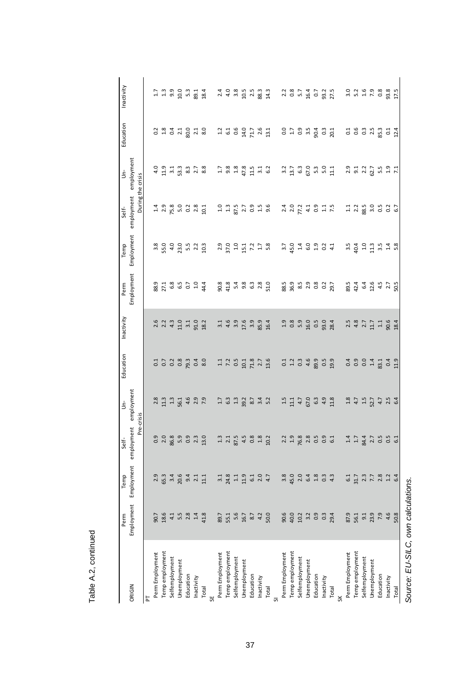|                 | Perm                                         | Temp                                         | Self-                          | ś                       | ducation                                                 | Inactivity       | Perm                              | Temp                               | Self-                      | ś                                                                                               | Education                                | Inactivity                                                                                             |
|-----------------|----------------------------------------------|----------------------------------------------|--------------------------------|-------------------------|----------------------------------------------------------|------------------|-----------------------------------|------------------------------------|----------------------------|-------------------------------------------------------------------------------------------------|------------------------------------------|--------------------------------------------------------------------------------------------------------|
| ORIGIN          | Employment                                   | Employment                                   | employment employment          |                         |                                                          |                  | Employment                        | Employment                         | employment employment      |                                                                                                 |                                          |                                                                                                        |
|                 |                                              |                                              | Pre-crisis                     |                         |                                                          |                  |                                   |                                    | During the crisis          |                                                                                                 |                                          |                                                                                                        |
| E               |                                              |                                              |                                |                         |                                                          |                  |                                   |                                    |                            |                                                                                                 |                                          |                                                                                                        |
| Perm Employment |                                              | 2.9                                          |                                | 2.8                     |                                                          | $2.6$<br>2.2     | 88.9                              | 3.8                                |                            | $\frac{0}{4}$                                                                                   |                                          |                                                                                                        |
| Temp employment | 0<br>0 8 4 5 5 7 8 9<br>0 8 4 5 6 7 8 9      | 65.3                                         | 0 0 0 0 0 0 0<br>0 0 0 0 0 0 0 | 11.3                    | $3.538$ $\frac{3.53}{2.53}$                              |                  |                                   | 55.0                               | $1.4$<br>2.9               | 1133378                                                                                         | 2 3 4 4 5 6 7 8 9                        | 11 31 91 91 91<br>11 91 91 91 91                                                                       |
| Selfemployment  |                                              |                                              |                                |                         |                                                          | 4.3              |                                   | 4.0                                |                            |                                                                                                 |                                          |                                                                                                        |
| Unemployment    |                                              |                                              |                                |                         |                                                          | $11.0$           |                                   |                                    |                            |                                                                                                 |                                          |                                                                                                        |
| Education       |                                              | a 6 4 4 4<br>2 6 4 4 4<br>3 6 7 4            |                                | $3.7699$<br>$3.7699$    |                                                          | 3.1              | $27.1$<br>$6.8$<br>$6.5$<br>$1.0$ | $23.5$<br>$5.5$<br>$2.2$           | $5.381$<br>$5.381$         |                                                                                                 |                                          |                                                                                                        |
| Inactivity      |                                              |                                              |                                |                         |                                                          | 91.0             |                                   |                                    |                            |                                                                                                 |                                          |                                                                                                        |
| Total           |                                              |                                              | 13.0                           |                         |                                                          | 18.2             | 44.4                              | 10.3                               |                            |                                                                                                 |                                          | 18.4                                                                                                   |
| Perm Employment |                                              | $\frac{1}{3}$                                |                                |                         |                                                          | $\frac{1}{3}$    |                                   |                                    |                            |                                                                                                 |                                          |                                                                                                        |
| Temp employment |                                              | $24.8$<br>$1.1$<br>$1.9$                     |                                | $1.3$ $0.3$             | $1.25$<br>$7.35$<br>$1.35$<br>$1.35$<br>$1.35$<br>$1.35$ | 4.6              | 8<br>8 3 4 8 5 8 9 8 9            | $2.58$ $3.59$ $4.59$ $7.78$ $8.59$ | $1.1877996$<br>$1.5879996$ | $\begin{array}{cccccc} 1 & 3 & 3 & 3 & 5 \\ 9 & 3 & 4 & 5 & 1 \\ 1 & 1 & 1 & 3 & 5 \end{array}$ | 2569767                                  | 21 4 30 51 51 80 51 52 53 54 55 65 74 56 75 76 77 59 77 59 77 59 77 59 77 59 79 79 79 79 79 79 79 79 7 |
| Selfemployment  |                                              |                                              |                                |                         |                                                          | 3.9              |                                   |                                    |                            |                                                                                                 |                                          |                                                                                                        |
| Unemployment    |                                              |                                              |                                |                         |                                                          | $17.6$<br>$3.9$  |                                   |                                    |                            |                                                                                                 |                                          |                                                                                                        |
| Education       |                                              |                                              |                                |                         |                                                          |                  |                                   |                                    |                            |                                                                                                 |                                          |                                                                                                        |
| Inactivity      |                                              | $6.1$<br>$2.0$<br>$4.7$                      |                                |                         |                                                          | 85.9             |                                   |                                    |                            |                                                                                                 |                                          |                                                                                                        |
| Total           |                                              |                                              |                                |                         |                                                          | 16.4             |                                   |                                    |                            |                                                                                                 |                                          |                                                                                                        |
|                 |                                              |                                              |                                |                         |                                                          |                  |                                   |                                    |                            |                                                                                                 |                                          |                                                                                                        |
| Perm Employment |                                              | 3.8                                          |                                | 1.5                     |                                                          | 1.9              | 88.5                              | $\frac{1}{2}$                      |                            |                                                                                                 |                                          |                                                                                                        |
| Temp employment |                                              |                                              |                                | 11.1                    |                                                          | 0.8              |                                   |                                    |                            |                                                                                                 |                                          |                                                                                                        |
| Selfemployment  |                                              |                                              |                                | 4.7                     |                                                          | 5.9              |                                   |                                    |                            |                                                                                                 |                                          |                                                                                                        |
| Unemployment    |                                              |                                              |                                | 67.0                    |                                                          | 16.0             |                                   |                                    |                            |                                                                                                 |                                          |                                                                                                        |
| Education       | 8 g g d 3 g g d<br>8 g g 4 g 5 g g           | 004 204<br>1904 204                          | 23.9889937                     | 6.3                     | 12399999                                                 | 0.5              | 85<br>862 825<br>862 825          |                                    |                            | 3 1 2 3 6 9 9 9 1<br>3 4 9 9 9 9 1                                                              | 0 1 0 1 0 1 0 0 0 0<br>0 1 0 1 0 0 0 0 0 | 28747235                                                                                               |
| Inactivity      |                                              |                                              |                                | 4.9                     |                                                          | $93.0$<br>$28.4$ |                                   |                                    |                            |                                                                                                 |                                          |                                                                                                        |
| Total           |                                              |                                              |                                | 11.8                    |                                                          |                  |                                   |                                    |                            |                                                                                                 |                                          |                                                                                                        |
|                 |                                              |                                              |                                |                         |                                                          |                  |                                   |                                    |                            |                                                                                                 |                                          |                                                                                                        |
| Perm Employment | 87.9<br>56.1                                 | $6.1$<br>31.7                                | 1.4                            | 1.8                     |                                                          | 2.5              | 89.5                              | 3.5                                | $\Xi$                      |                                                                                                 |                                          |                                                                                                        |
| Temp employment |                                              |                                              |                                | 4.7                     | a 9 9 4 5<br>0 6 9 4 5<br>0 8 7 9                        | 4.8              | 42.4                              | 40.4                               | $2.2$<br>88.5              |                                                                                                 |                                          | 2<br>22 23 23 24<br>23 24 25 26                                                                        |
| Selfemployment  |                                              |                                              |                                | 1.5                     |                                                          | 2.7              |                                   |                                    |                            |                                                                                                 |                                          |                                                                                                        |
| Unemployment    |                                              |                                              |                                | 52.7                    |                                                          | 11.7             |                                   |                                    |                            |                                                                                                 |                                          |                                                                                                        |
| Education       |                                              |                                              |                                |                         |                                                          | $1.1\,$          |                                   |                                    |                            |                                                                                                 |                                          |                                                                                                        |
| Inactivity      | $3, 3, 9, 6, 8$<br>$7, 3, 6, 8$<br>$6, 8, 8$ | $7, 7, 8, 7, 4$<br>$7, 7, 8, 7, 4$<br>$6, 4$ | 7470000                        | $4.7$<br>$2.5$<br>$6.4$ | 0.4                                                      | 90.6<br>18.4     | 6.4<br>0.4 4 2<br>50.5            | $13.548$<br>$13.548$               | $3.0$ 5 $3$ 6.7            |                                                                                                 | 1 9 9 9 9 9 9 9<br>0 9 9 9 9 9 9 9       |                                                                                                        |
| Total           |                                              |                                              |                                |                         | 11.9                                                     |                  |                                   |                                    |                            |                                                                                                 |                                          | 17.5                                                                                                   |

*Source: EU-SILC, own calculations.*

Source: EU-SILC, own calculations.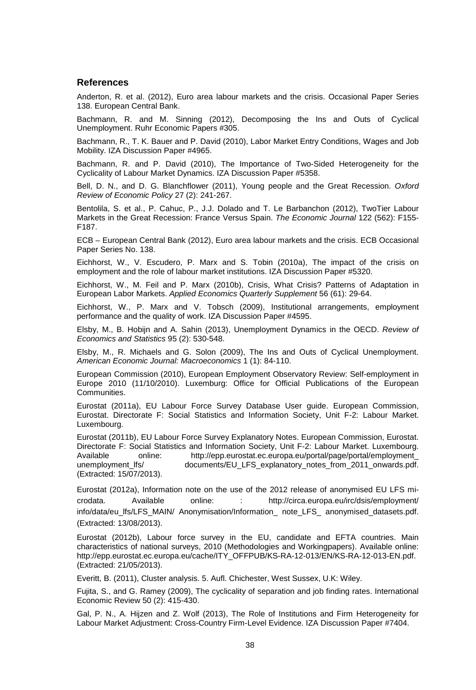#### **References**

Anderton, R. et al. (2012), Euro area labour markets and the crisis. Occasional Paper Series 138. European Central Bank.

Bachmann, R. and M. Sinning (2012), Decomposing the Ins and Outs of Cyclical Unemployment. Ruhr Economic Papers #305.

Bachmann, R., T. K. Bauer and P. David (2010), Labor Market Entry Conditions, Wages and Job Mobility. IZA Discussion Paper #4965.

Bachmann, R. and P. David (2010), The Importance of Two-Sided Heterogeneity for the Cyclicality of Labour Market Dynamics. IZA Discussion Paper #5358.

Bell, D. N., and D. G. Blanchflower (2011), Young people and the Great Recession. *Oxford Review of Economic Policy* 27 (2): 241-267.

Bentolila, S. et al., P. Cahuc, P., J.J. Dolado and T. Le Barbanchon (2012), TwoTier Labour Markets in the Great Recession: France Versus Spain. *The Economic Journal* 122 (562): F155- F187.

ECB – European Central Bank (2012), Euro area labour markets and the crisis. ECB Occasional Paper Series No. 138.

Eichhorst, W., V. Escudero, P. Marx and S. Tobin (2010a), The impact of the crisis on employment and the role of labour market institutions. IZA Discussion Paper #5320.

Eichhorst, W., M. Feil and P. Marx (2010b), Crisis, What Crisis? Patterns of Adaptation in European Labor Markets. *Applied Economics Quarterly Supplement* 56 (61): 29-64.

Eichhorst, W., P. Marx and V. Tobsch (2009), Institutional arrangements, employment performance and the quality of work. IZA Discussion Paper #4595.

Elsby, M., B. Hobijn and A. Sahin (2013), Unemployment Dynamics in the OECD. *Review of Economics and Statistics* 95 (2): 530-548.

Elsby, M., R. Michaels and G. Solon (2009), The Ins and Outs of Cyclical Unemployment. *American Economic Journal: Macroeconomics* 1 (1): 84-110.

European Commission (2010), European Employment Observatory Review: Self-employment in Europe 2010 (11/10/2010). Luxemburg: Office for Official Publications of the European Communities.

Eurostat (2011a), EU Labour Force Survey Database User guide. European Commission, Eurostat. Directorate F: Social Statistics and Information Society, Unit F-2: Labour Market. Luxembourg.

Eurostat (2011b), EU Labour Force Survey Explanatory Notes. European Commission, Eurostat. Directorate F: Social Statistics and Information Society, Unit F-2: Labour Market. Luxembourg. Available online: http://epp.eurostat.ec.europa.eu/portal/page/portal/employment\_<br>unemployment\_lfs/ documents/EU\_LFS\_explanatory\_notes\_from\_2011\_onwards.pdf. documents/EU\_LFS\_explanatory\_notes\_from\_2011\_onwards.pdf. (Extracted: 15/07/2013).

Eurostat (2012a), Information note on the use of the 2012 release of anonymised EU LFS microdata. Available online: : http://circa.europa.eu/irc/dsis/employment/ info/data/eu lfs/LFS\_MAIN/\_Anonymisation/Information\_note\_LFS\_ anonymised\_datasets.pdf. (Extracted: 13/08/2013).

Eurostat (2012b), Labour force survey in the EU, candidate and EFTA countries. Main characteristics of national surveys, 2010 (Methodologies and Workingpapers). Available online: http://epp.eurostat.ec.europa.eu/cache/ITY\_OFFPUB/KS-RA-12-013/EN/KS-RA-12-013-EN.pdf. (Extracted: 21/05/2013).

Everitt, B. (2011), Cluster analysis. 5. Aufl. Chichester, West Sussex, U.K: Wiley.

Fujita, S., and G. Ramey (2009), The cyclicality of separation and job finding rates. International Economic Review 50 (2): 415-430.

Gal, P. N., A. Hijzen and Z. Wolf (2013), The Role of Institutions and Firm Heterogeneity for Labour Market Adjustment: Cross-Country Firm-Level Evidence. IZA Discussion Paper #7404.